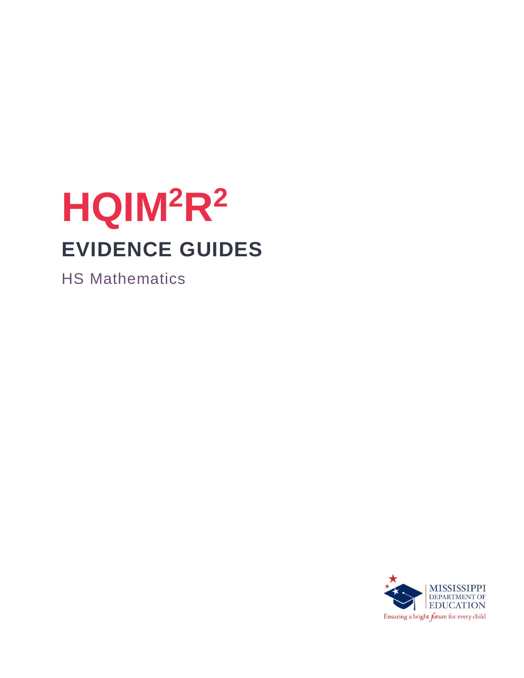# **HQIM<sup>2</sup>R<sup>2</sup> EVIDENCE GUIDES**

HS Mathematics

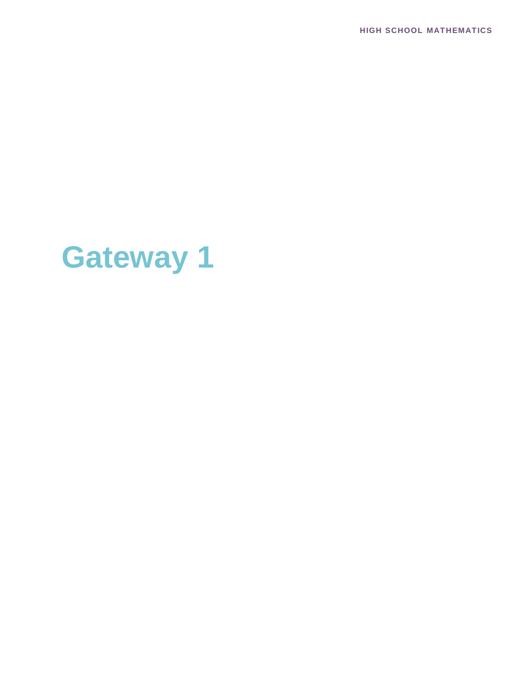**HIGH SCHOOL MATHEMATICS**

# **Gateway 1**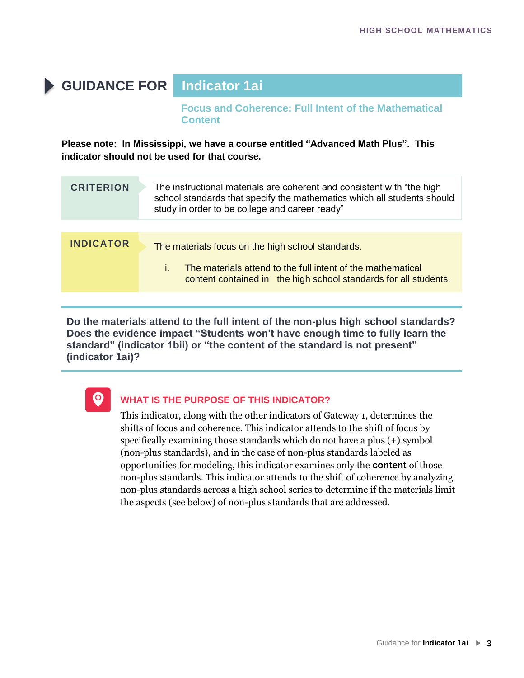# **GUIDANCE FOR Indicator 1ai**

**Focus and Coherence: Full Intent of the Mathematical Content**

**Please note: In Mississippi, we have a course entitled "Advanced Math Plus". This indicator should not be used for that course.** 

| <b>CRITERION</b> | The instructional materials are coherent and consistent with "the high<br>school standards that specify the mathematics which all students should<br>study in order to be college and career ready" |
|------------------|-----------------------------------------------------------------------------------------------------------------------------------------------------------------------------------------------------|
|                  |                                                                                                                                                                                                     |
| <b>INDICATOR</b> | The materials focus on the high school standards.<br>i.<br>The materials attend to the full intent of the mathematical<br>content contained in the high school standards for all students.          |
|                  |                                                                                                                                                                                                     |

**Do the materials attend to the full intent of the non-plus high school standards? Does the evidence impact "Students won't have enough time to fully learn the standard" (indicator 1bii) or "the content of the standard is not present" (indicator 1ai)?**



#### **WHAT IS THE PURPOSE OF THIS INDICATOR?**

This indicator, along with the other indicators of Gateway 1, determines the shifts of focus and coherence. This indicator attends to the shift of focus by specifically examining those standards which do not have a plus (+) symbol (non-plus standards), and in the case of non-plus standards labeled as opportunities for modeling, this indicator examines only the **content** of those non-plus standards. This indicator attends to the shift of coherence by analyzing non-plus standards across a high school series to determine if the materials limit the aspects (see below) of non-plus standards that are addressed.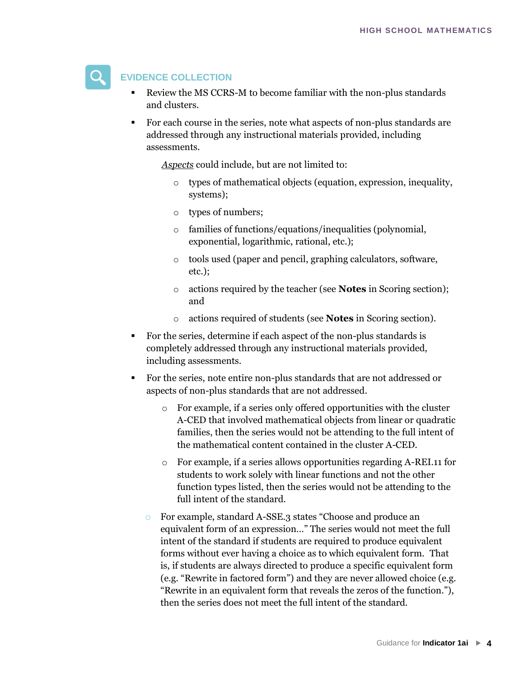

#### **EVIDENCE COLLECTION**

- Review the MS CCRS-M to become familiar with the non-plus standards and clusters.
- For each course in the series, note what aspects of non-plus standards are addressed through any instructional materials provided, including assessments.

*Aspects* could include, but are not limited to:

- o types of mathematical objects (equation, expression, inequality, systems);
- o types of numbers;
- o families of functions/equations/inequalities (polynomial, exponential, logarithmic, rational, etc.);
- o tools used (paper and pencil, graphing calculators, software, etc.);
- o actions required by the teacher (see **Notes** in Scoring section); and
- o actions required of students (see **Notes** in Scoring section).
- For the series, determine if each aspect of the non-plus standards is completely addressed through any instructional materials provided, including assessments.
- For the series, note entire non-plus standards that are not addressed or aspects of non-plus standards that are not addressed.
	- o For example, if a series only offered opportunities with the cluster A-CED that involved mathematical objects from linear or quadratic families, then the series would not be attending to the full intent of the mathematical content contained in the cluster A-CED.
	- o For example, if a series allows opportunities regarding A-REI.11 for students to work solely with linear functions and not the other function types listed, then the series would not be attending to the full intent of the standard.
	- o For example, standard A-SSE.3 states "Choose and produce an equivalent form of an expression…" The series would not meet the full intent of the standard if students are required to produce equivalent forms without ever having a choice as to which equivalent form. That is, if students are always directed to produce a specific equivalent form (e.g. "Rewrite in factored form") and they are never allowed choice (e.g. "Rewrite in an equivalent form that reveals the zeros of the function."), then the series does not meet the full intent of the standard.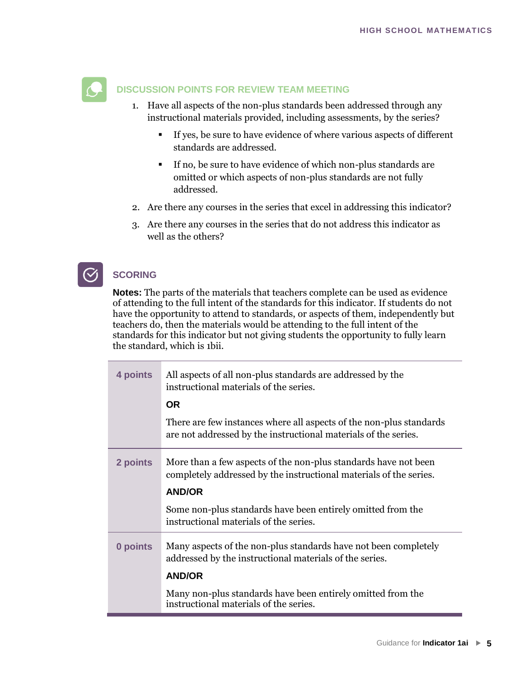

#### **DISCUSSION POINTS FOR REVIEW TEAM MEETING**

- 1. Have all aspects of the non-plus standards been addressed through any instructional materials provided, including assessments, by the series?
	- If yes, be sure to have evidence of where various aspects of different standards are addressed.
	- If no, be sure to have evidence of which non-plus standards are omitted or which aspects of non-plus standards are not fully addressed.
- 2. Are there any courses in the series that excel in addressing this indicator?
- 3. Are there any courses in the series that do not address this indicator as well as the others?

#### **SCORING**

**Notes:** The parts of the materials that teachers complete can be used as evidence of attending to the full intent of the standards for this indicator. If students do not have the opportunity to attend to standards, or aspects of them, independently but teachers do, then the materials would be attending to the full intent of the standards for this indicator but not giving students the opportunity to fully learn the standard, which is 1bii.

| 4 points | All aspects of all non-plus standards are addressed by the<br>instructional materials of the series.                                   |
|----------|----------------------------------------------------------------------------------------------------------------------------------------|
|          | <b>OR</b>                                                                                                                              |
|          | There are few instances where all aspects of the non-plus standards<br>are not addressed by the instructional materials of the series. |
| 2 points | More than a few aspects of the non-plus standards have not been<br>completely addressed by the instructional materials of the series.  |
|          | <b>AND/OR</b>                                                                                                                          |
|          | Some non-plus standards have been entirely omitted from the<br>instructional materials of the series.                                  |
| 0 points | Many aspects of the non-plus standards have not been completely<br>addressed by the instructional materials of the series.             |
|          | <b>AND/OR</b>                                                                                                                          |
|          | Many non-plus standards have been entirely omitted from the<br>instructional materials of the series.                                  |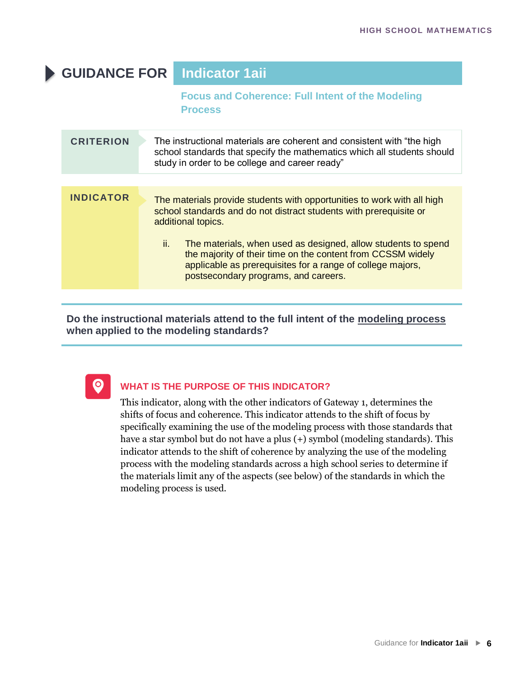# **GUIDANCE FOR Indicator 1aii**

#### **Focus and Coherence: Full Intent of the Modeling Process**

| <b>CRITERION</b> | The instructional materials are coherent and consistent with "the high<br>school standards that specify the mathematics which all students should<br>study in order to be college and career ready"                                                                                                                                                                                                              |
|------------------|------------------------------------------------------------------------------------------------------------------------------------------------------------------------------------------------------------------------------------------------------------------------------------------------------------------------------------------------------------------------------------------------------------------|
|                  |                                                                                                                                                                                                                                                                                                                                                                                                                  |
| <b>INDICATOR</b> | The materials provide students with opportunities to work with all high<br>school standards and do not distract students with prerequisite or<br>additional topics.<br>ii.<br>The materials, when used as designed, allow students to spend<br>the majority of their time on the content from CCSSM widely<br>applicable as prerequisites for a range of college majors,<br>postsecondary programs, and careers. |
|                  |                                                                                                                                                                                                                                                                                                                                                                                                                  |

**Do the instructional materials attend to the full intent of the modeling process when applied to the modeling standards?**



#### **WHAT IS THE PURPOSE OF THIS INDICATOR?**

This indicator, along with the other indicators of Gateway 1, determines the shifts of focus and coherence. This indicator attends to the shift of focus by specifically examining the use of the modeling process with those standards that have a star symbol but do not have a plus (+) symbol (modeling standards). This indicator attends to the shift of coherence by analyzing the use of the modeling process with the modeling standards across a high school series to determine if the materials limit any of the aspects (see below) of the standards in which the modeling process is used.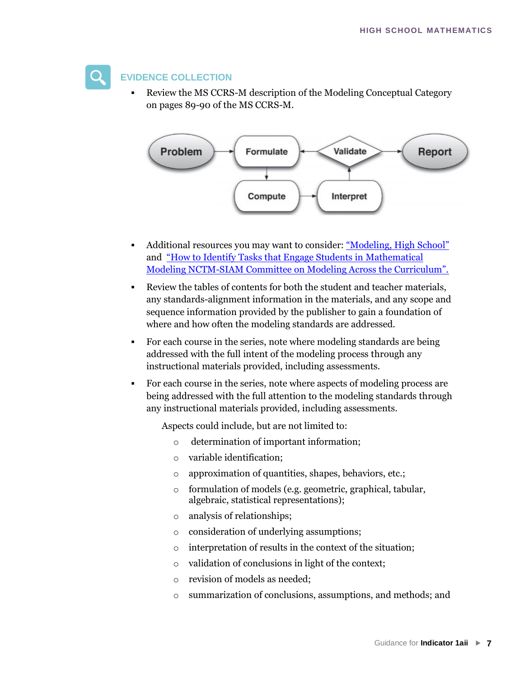#### **EVIDENCE COLLECTION**

Review the MS CCRS-M description of the Modeling Conceptual Category on pages 89-90 of the MS CCRS-M.



- Additional resources you may want to consider: ["Modeling, High School"](http://commoncoretools.me/wp-content/uploads/2013/07/ccss_progression_modeling_2013_07_04.pdf) and ["How to Identify](http://commoncoretools.me/wp-content/uploads/2013/07/ccss_progression_modeling_2013_07_04.pdf) [Tasks that Engage Students in Mathematical](https://drive.google.com/file/d/0B9t46rM82-qucVVEWkdtcURvUGc/view?usp=sharing)  Modeling NCTM-[SIAM Committee on Modeling Across the Curriculum".](https://drive.google.com/file/d/0B9t46rM82-qucVVEWkdtcURvUGc/view?usp=sharing)
- [Review the tables of contents for both the student and teacher materials,](https://drive.google.com/file/d/0B9t46rM82-qucVVEWkdtcURvUGc/view?usp=sharing)  [any standards-alignment information in the mater](https://drive.google.com/file/d/0B9t46rM82-qucVVEWkdtcURvUGc/view?usp=sharing)ials, and any scope and sequence information provided by the publisher to gain a foundation of where and how often the modeling standards are addressed.
- For each course in the series, note where modeling standards are being addressed with the full intent of the modeling process through any instructional materials provided, including assessments.
- For each course in the series, note where aspects of modeling process are being addressed with the full attention to the modeling standards through any instructional materials provided, including assessments.

Aspects could include, but are not limited to:

- o determination of important information;
- o variable identification;
- o approximation of quantities, shapes, behaviors, etc.;
- o formulation of models (e.g. geometric, graphical, tabular, algebraic, statistical representations);
- o analysis of relationships;
- o consideration of underlying assumptions;
- o interpretation of results in the context of the situation;
- o validation of conclusions in light of the context;
- o revision of models as needed;
- o summarization of conclusions, assumptions, and methods; and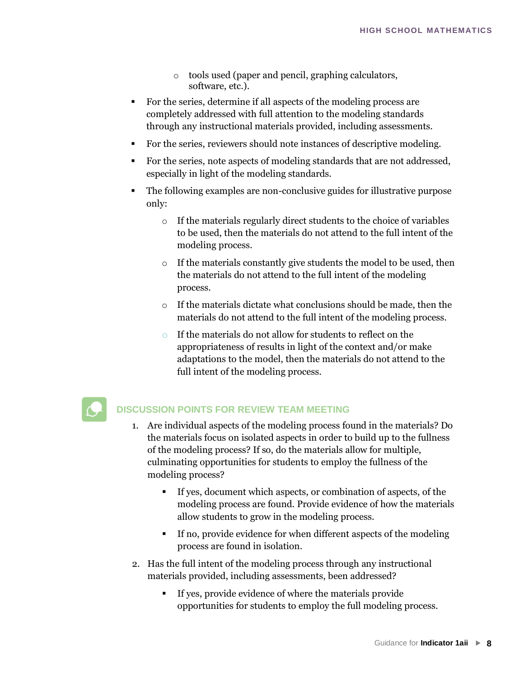- o tools used (paper and pencil, graphing calculators, software, etc.).
- For the series, determine if all aspects of the modeling process are completely addressed with full attention to the modeling standards through any instructional materials provided, including assessments.
- For the series, reviewers should note instances of descriptive modeling.
- For the series, note aspects of modeling standards that are not addressed, especially in light of the modeling standards.
- The following examples are non-conclusive guides for illustrative purpose only:
	- o If the materials regularly direct students to the choice of variables to be used, then the materials do not attend to the full intent of the modeling process.
	- o If the materials constantly give students the model to be used, then the materials do not attend to the full intent of the modeling process.
	- o If the materials dictate what conclusions should be made, then the materials do not attend to the full intent of the modeling process.
	- o If the materials do not allow for students to reflect on the appropriateness of results in light of the context and/or make adaptations to the model, then the materials do not attend to the full intent of the modeling process.

#### **DISCUSSION POINTS FOR REVIEW TEAM MEETING**

- 1. Are individual aspects of the modeling process found in the materials? Do the materials focus on isolated aspects in order to build up to the fullness of the modeling process? If so, do the materials allow for multiple, culminating opportunities for students to employ the fullness of the modeling process?
	- If yes, document which aspects, or combination of aspects, of the modeling process are found. Provide evidence of how the materials allow students to grow in the modeling process.
	- If no, provide evidence for when different aspects of the modeling process are found in isolation.
- 2. Has the full intent of the modeling process through any instructional materials provided, including assessments, been addressed?
	- If yes, provide evidence of where the materials provide opportunities for students to employ the full modeling process.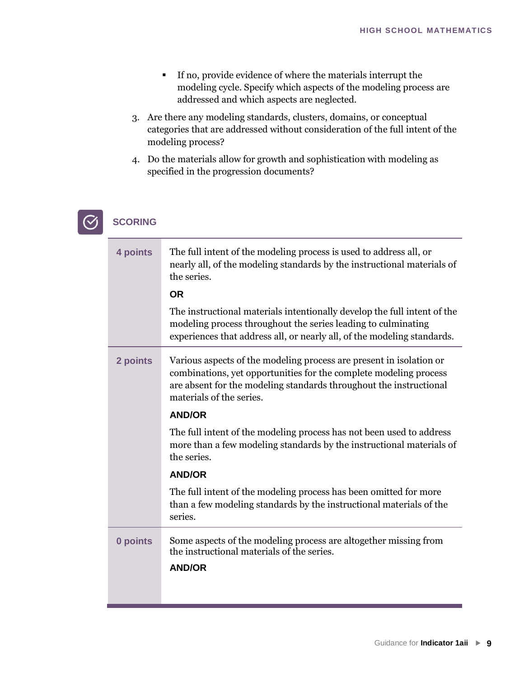- If no, provide evidence of where the materials interrupt the modeling cycle. Specify which aspects of the modeling process are addressed and which aspects are neglected.
- 3. Are there any modeling standards, clusters, domains, or conceptual categories that are addressed without consideration of the full intent of the modeling process?
- 4. Do the materials allow for growth and sophistication with modeling as specified in the progression documents?



## **SCORING**

| 4 points | The full intent of the modeling process is used to address all, or<br>nearly all, of the modeling standards by the instructional materials of<br>the series.<br><b>OR</b>                                                                  |
|----------|--------------------------------------------------------------------------------------------------------------------------------------------------------------------------------------------------------------------------------------------|
|          |                                                                                                                                                                                                                                            |
|          | The instructional materials intentionally develop the full intent of the<br>modeling process throughout the series leading to culminating<br>experiences that address all, or nearly all, of the modeling standards.                       |
| 2 points | Various aspects of the modeling process are present in isolation or<br>combinations, yet opportunities for the complete modeling process<br>are absent for the modeling standards throughout the instructional<br>materials of the series. |
|          | <b>AND/OR</b>                                                                                                                                                                                                                              |
|          | The full intent of the modeling process has not been used to address<br>more than a few modeling standards by the instructional materials of<br>the series.                                                                                |
|          | <b>AND/OR</b>                                                                                                                                                                                                                              |
|          | The full intent of the modeling process has been omitted for more<br>than a few modeling standards by the instructional materials of the<br>series.                                                                                        |
| 0 points | Some aspects of the modeling process are altogether missing from<br>the instructional materials of the series.                                                                                                                             |
|          | <b>AND/OR</b>                                                                                                                                                                                                                              |
|          |                                                                                                                                                                                                                                            |
|          |                                                                                                                                                                                                                                            |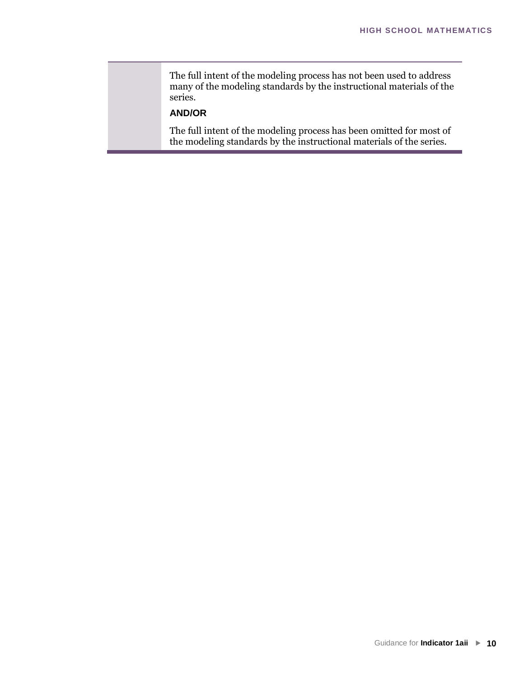The full intent of the modeling process has not been used to address many of the modeling standards by the instructional materials of the series.

#### **AND/OR**

The full intent of the modeling process has been omitted for most of the modeling standards by the instructional materials of the series.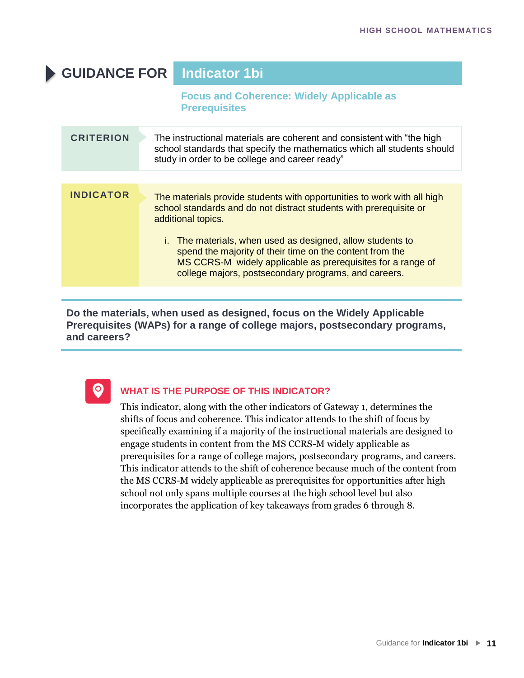# **GUIDANCE FOR Indicator 1bi**

**Focus and Coherence: Widely Applicable as Prerequisites**

| <b>CRITERION</b> | The instructional materials are coherent and consistent with "the high<br>school standards that specify the mathematics which all students should<br>study in order to be college and career ready"                                           |
|------------------|-----------------------------------------------------------------------------------------------------------------------------------------------------------------------------------------------------------------------------------------------|
|                  |                                                                                                                                                                                                                                               |
| <b>INDICATOR</b> | The materials provide students with opportunities to work with all high<br>school standards and do not distract students with prerequisite or<br>additional topics.                                                                           |
|                  | i. The materials, when used as designed, allow students to<br>spend the majority of their time on the content from the<br>MS CCRS-M widely applicable as prerequisites for a range of<br>college majors, postsecondary programs, and careers. |

**Do the materials, when used as designed, focus on the Widely Applicable Prerequisites (WAPs) for a range of college majors, postsecondary programs, and careers?**



#### **WHAT IS THE PURPOSE OF THIS INDICATOR?**

This indicator, along with the other indicators of Gateway 1, determines the shifts of focus and coherence. This indicator attends to the shift of focus by specifically examining if a majority of the instructional materials are designed to engage students in content from the MS CCRS-M widely applicable as prerequisites for a range of college majors, postsecondary programs, and careers. This indicator attends to the shift of coherence because much of the content from the MS CCRS-M widely applicable as prerequisites for opportunities after high school not only spans multiple courses at the high school level but also incorporates the application of key takeaways from grades 6 through 8.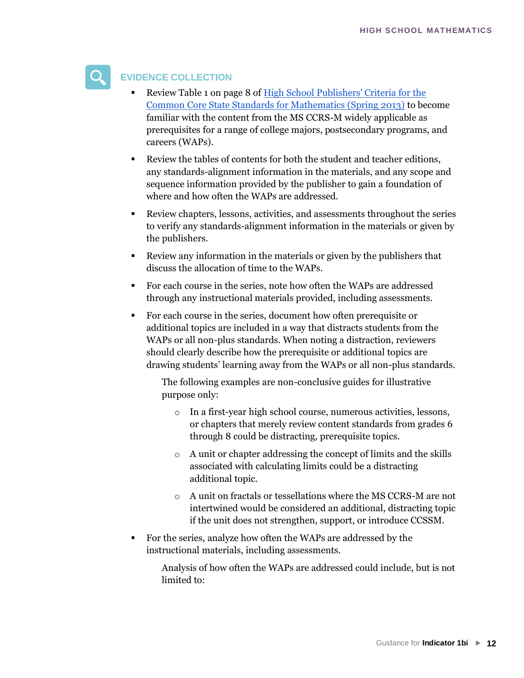

#### **EVIDENCE COLLECTION**

- Review Table 1 on page 8 of High School Publishers' Criteria for the [Common Core State Standards for Mathematics \(Spring 2013\)](http://www.corestandards.org/assets/Math_Publishers_Criteria_HS_Spring%202013_FINAL.pdf) [to become](http://www.corestandards.org/assets/Math_Publishers_Criteria_HS_Spring 2013_FINAL.pdf) [familiar with the content from the MS CCRS-M widely applicable as](http://www.corestandards.org/assets/Math_Publishers_Criteria_HS_Spring 2013_FINAL.pdf) [prerequisites for a r](http://www.corestandards.org/assets/Math_Publishers_Criteria_HS_Spring 2013_FINAL.pdf)ange of college majors, postsecondary programs, and careers (WAPs).
- Review the tables of contents for both the student and teacher editions, any standards-alignment information in the materials, and any scope and sequence information provided by the publisher to gain a foundation of where and how often the WAPs are addressed.
- Review chapters, lessons, activities, and assessments throughout the series to verify any standards-alignment information in the materials or given by the publishers.
- Review any information in the materials or given by the publishers that discuss the allocation of time to the WAPs.
- For each course in the series, note how often the WAPs are addressed through any instructional materials provided, including assessments.
- For each course in the series, document how often prerequisite or additional topics are included in a way that distracts students from the WAPs or all non-plus standards. When noting a distraction, reviewers should clearly describe how the prerequisite or additional topics are drawing students' learning away from the WAPs or all non-plus standards.

The following examples are non-conclusive guides for illustrative purpose only:

- o In a first-year high school course, numerous activities, lessons, or chapters that merely review content standards from grades 6 through 8 could be distracting, prerequisite topics.
- o A unit or chapter addressing the concept of limits and the skills associated with calculating limits could be a distracting additional topic.
- o A unit on fractals or tessellations where the MS CCRS-M are not intertwined would be considered an additional, distracting topic if the unit does not strengthen, support, or introduce CCSSM.
- For the series, analyze how often the WAPs are addressed by the instructional materials, including assessments.

Analysis of how often the WAPs are addressed could include, but is not limited to: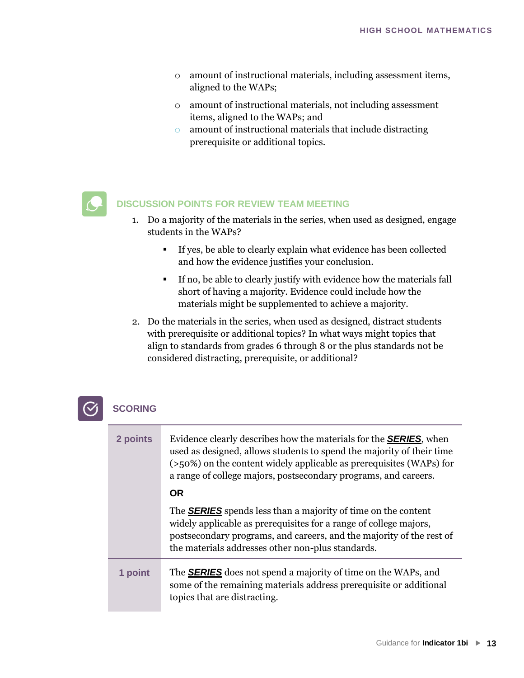- o amount of instructional materials, including assessment items, aligned to the WAPs;
- o amount of instructional materials, not including assessment items, aligned to the WAPs; and
- o amount of instructional materials that include distracting prerequisite or additional topics.

#### **DISCUSSION POINTS FOR REVIEW TEAM MEETING**

- 1. Do a majority of the materials in the series, when used as designed, engage students in the WAPs?
	- If yes, be able to clearly explain what evidence has been collected and how the evidence justifies your conclusion.
	- If no, be able to clearly justify with evidence how the materials fall short of having a majority. Evidence could include how the materials might be supplemented to achieve a majority.
- 2. Do the materials in the series, when used as designed, distract students with prerequisite or additional topics? In what ways might topics that align to standards from grades 6 through 8 or the plus standards not be considered distracting, prerequisite, or additional?

### **SCORING**

| 2 points | Evidence clearly describes how the materials for the <b>SERIES</b> , when<br>used as designed, allows students to spend the majority of their time<br>$($ >50%) on the content widely applicable as prerequisites (WAPs) for<br>a range of college majors, postsecondary programs, and careers. |
|----------|-------------------------------------------------------------------------------------------------------------------------------------------------------------------------------------------------------------------------------------------------------------------------------------------------|
|          | <b>OR</b>                                                                                                                                                                                                                                                                                       |
|          | The <b>SERIES</b> spends less than a majority of time on the content<br>widely applicable as prerequisites for a range of college majors,<br>postsecondary programs, and careers, and the majority of the rest of<br>the materials addresses other non-plus standards.                          |
| 1 point  | The <b>SERIES</b> does not spend a majority of time on the WAPs, and<br>some of the remaining materials address prerequisite or additional<br>topics that are distracting.                                                                                                                      |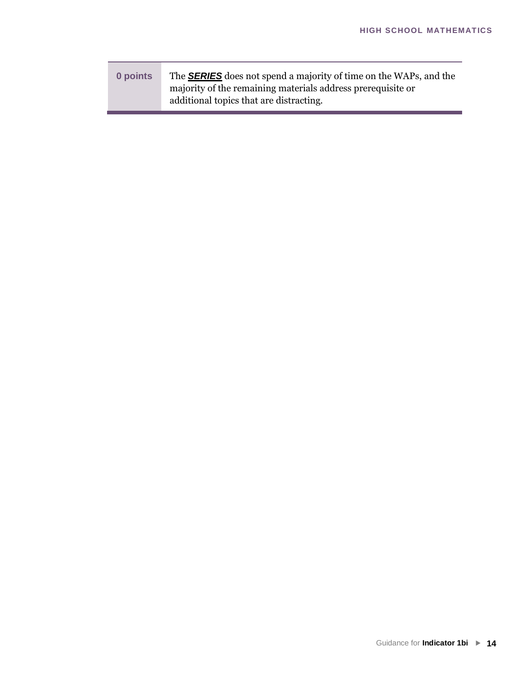| 0 points | The <b>SERIES</b> does not spend a majority of time on the WAPs, and the |
|----------|--------------------------------------------------------------------------|
|          | majority of the remaining materials address prerequisite or              |
|          | additional topics that are distracting.                                  |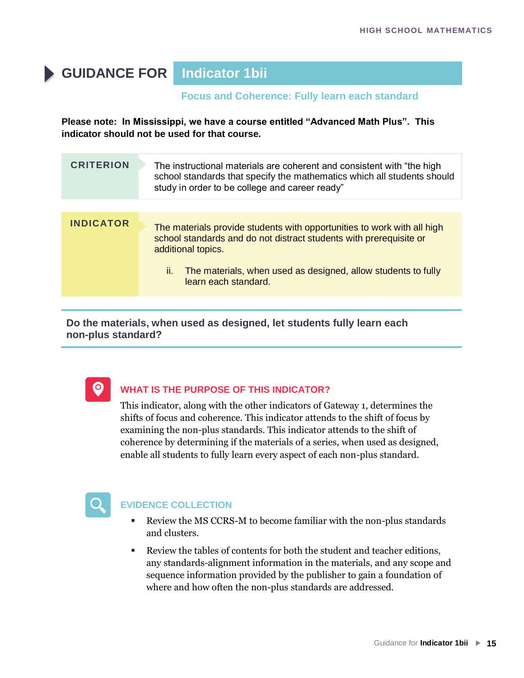# **GUIDANCE FOR Indicator 1bii**

#### **Focus and Coherence: Fully learn each standard**

**Please note: In Mississippi, we have a course entitled "Advanced Math Plus". This indicator should not be used for that course.** 

|                  | school standards that specify the mathematics which all students should<br>study in order to be college and career ready"                                                                                                                                          |
|------------------|--------------------------------------------------------------------------------------------------------------------------------------------------------------------------------------------------------------------------------------------------------------------|
|                  |                                                                                                                                                                                                                                                                    |
| <b>INDICATOR</b> | The materials provide students with opportunities to work with all high<br>school standards and do not distract students with prerequisite or<br>additional topics.<br>The materials, when used as designed, allow students to fully<br>Ш.<br>learn each standard. |

**Do the materials, when used as designed, let students fully learn each non-plus standard?**



#### **WHAT IS THE PURPOSE OF THIS INDICATOR?**

This indicator, along with the other indicators of Gateway 1, determines the shifts of focus and coherence. This indicator attends to the shift of focus by examining the non-plus standards. This indicator attends to the shift of coherence by determining if the materials of a series, when used as designed, enable all students to fully learn every aspect of each non-plus standard.



#### **EVIDENCE COLLECTION**

- Review the MS CCRS-M to become familiar with the non-plus standards and clusters.
- Review the tables of contents for both the student and teacher editions, any standards-alignment information in the materials, and any scope and sequence information provided by the publisher to gain a foundation of where and how often the non-plus standards are addressed.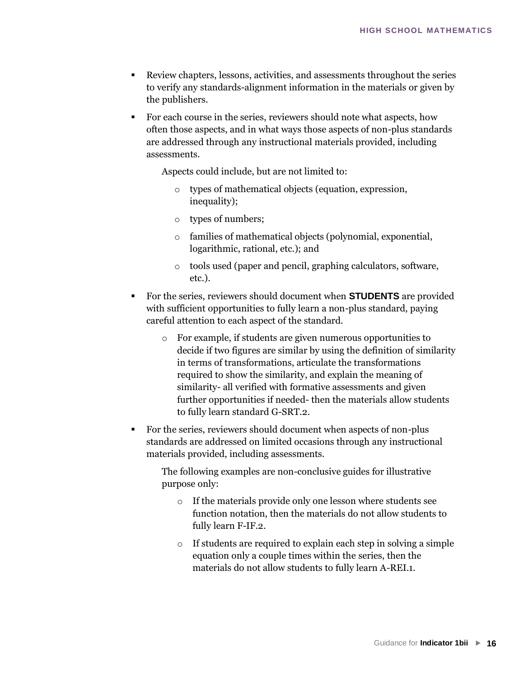- Review chapters, lessons, activities, and assessments throughout the series to verify any standards-alignment information in the materials or given by the publishers.
- For each course in the series, reviewers should note what aspects, how often those aspects, and in what ways those aspects of non-plus standards are addressed through any instructional materials provided, including assessments.

Aspects could include, but are not limited to:

- o types of mathematical objects (equation, expression, inequality);
- o types of numbers;
- o families of mathematical objects (polynomial, exponential, logarithmic, rational, etc.); and
- o tools used (paper and pencil, graphing calculators, software, etc.).
- For the series, reviewers should document when **STUDENTS** are provided with sufficient opportunities to fully learn a non-plus standard, paying careful attention to each aspect of the standard.
	- o For example, if students are given numerous opportunities to decide if two figures are similar by using the definition of similarity in terms of transformations, articulate the transformations required to show the similarity, and explain the meaning of similarity- all verified with formative assessments and given further opportunities if needed- then the materials allow students to fully learn standard G-SRT.2.
- For the series, reviewers should document when aspects of non-plus standards are addressed on limited occasions through any instructional materials provided, including assessments.

The following examples are non-conclusive guides for illustrative purpose only:

- o If the materials provide only one lesson where students see function notation, then the materials do not allow students to fully learn F-IF.2.
- o If students are required to explain each step in solving a simple equation only a couple times within the series, then the materials do not allow students to fully learn A-REI.1.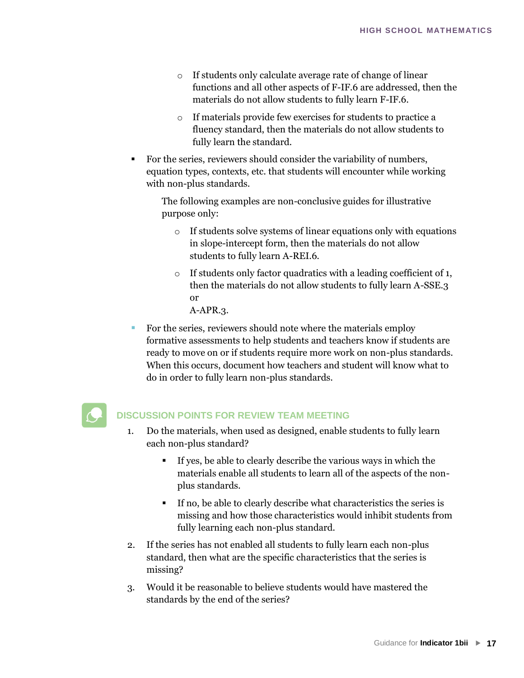- o If students only calculate average rate of change of linear functions and all other aspects of F-IF.6 are addressed, then the materials do not allow students to fully learn F-IF.6.
- o If materials provide few exercises for students to practice a fluency standard, then the materials do not allow students to fully learn the standard.
- For the series, reviewers should consider the variability of numbers, equation types, contexts, etc. that students will encounter while working with non-plus standards.

The following examples are non-conclusive guides for illustrative purpose only:

- o If students solve systems of linear equations only with equations in slope-intercept form, then the materials do not allow students to fully learn A-REI.6.
- o If students only factor quadratics with a leading coefficient of 1, then the materials do not allow students to fully learn A-SSE.3 or

A-APR.3.

For the series, reviewers should note where the materials employ formative assessments to help students and teachers know if students are ready to move on or if students require more work on non-plus standards. When this occurs, document how teachers and student will know what to do in order to fully learn non-plus standards.



#### **DISCUSSION POINTS FOR REVIEW TEAM MEETING**

- 1. Do the materials, when used as designed, enable students to fully learn each non-plus standard?
	- If yes, be able to clearly describe the various ways in which the materials enable all students to learn all of the aspects of the nonplus standards.
	- If no, be able to clearly describe what characteristics the series is missing and how those characteristics would inhibit students from fully learning each non-plus standard.
- 2. If the series has not enabled all students to fully learn each non-plus standard, then what are the specific characteristics that the series is missing?
- 3. Would it be reasonable to believe students would have mastered the standards by the end of the series?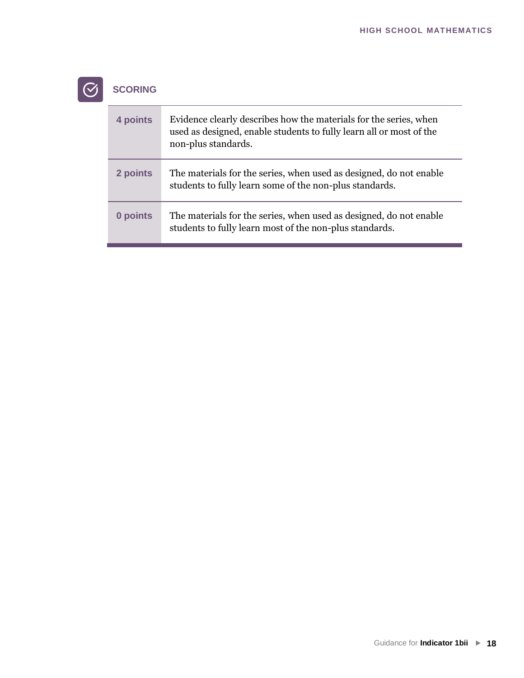

# $\boxed{\textcircled{S}}$  SCORING

| 4 points | Evidence clearly describes how the materials for the series, when<br>used as designed, enable students to fully learn all or most of the<br>non-plus standards. |
|----------|-----------------------------------------------------------------------------------------------------------------------------------------------------------------|
| 2 points | The materials for the series, when used as designed, do not enable<br>students to fully learn some of the non-plus standards.                                   |
| 0 points | The materials for the series, when used as designed, do not enable<br>students to fully learn most of the non-plus standards.                                   |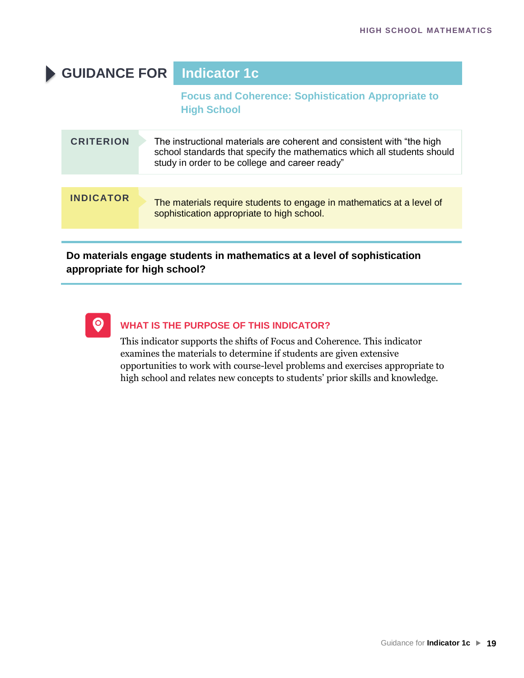# **GUIDANCE FOR Indicator 1c**

**Focus and Coherence: Sophistication Appropriate to High School**

| <b>CRITERION</b> | The instructional materials are coherent and consistent with "the high<br>school standards that specify the mathematics which all students should<br>study in order to be college and career ready" |
|------------------|-----------------------------------------------------------------------------------------------------------------------------------------------------------------------------------------------------|
| <b>INDICATOR</b> | The materials require students to engage in mathematics at a level of<br>sophistication appropriate to high school.                                                                                 |

#### **Do materials engage students in mathematics at a level of sophistication appropriate for high school?**



#### **WHAT IS THE PURPOSE OF THIS INDICATOR?**

This indicator supports the shifts of Focus and Coherence. This indicator examines the materials to determine if students are given extensive opportunities to work with course-level problems and exercises appropriate to high school and relates new concepts to students' prior skills and knowledge.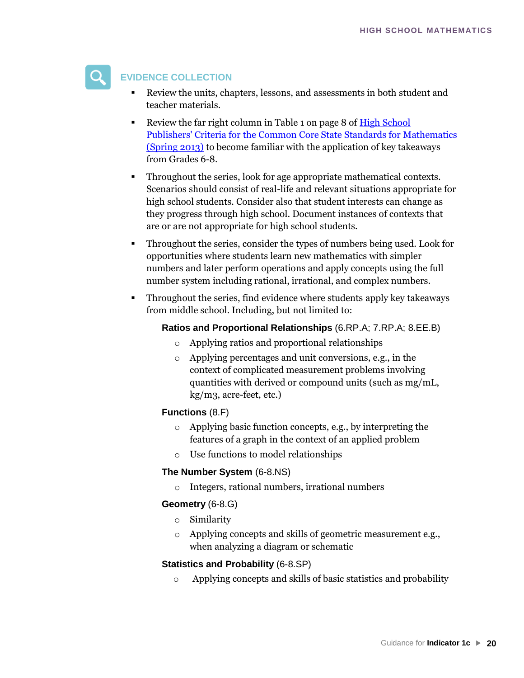

#### **EVIDENCE COLLECTION**

- Review the units, chapters, lessons, and assessments in both student and teacher materials.
- Review the far right column in Table 1 on page 8 of High School [Publishers' Criteria for the Common Core State Standards for Mathematics](http://www.corestandards.org/assets/Math_Publishers_Criteria_HS_Spring%202013_FINAL.pdf)  [\(Spring 2013\)](http://www.corestandards.org/assets/Math_Publishers_Criteria_HS_Spring%202013_FINAL.pdf) [to become familiar with the application of key takeaways](http://www.corestandards.org/assets/Math_Publishers_Criteria_HS_Spring 2013_FINAL.pdf)  [from Grades 6-8.](http://www.corestandards.org/assets/Math_Publishers_Criteria_HS_Spring 2013_FINAL.pdf)
- [Throughout the series,](http://www.corestandards.org/assets/Math_Publishers_Criteria_HS_Spring 2013_FINAL.pdf) look for age appropriate mathematical contexts. Scenarios should consist of real-life and relevant situations appropriate for high school students. Consider also that student interests can change as they progress through high school. Document instances of contexts that are or are not appropriate for high school students.
- Throughout the series, consider the types of numbers being used. Look for opportunities where students learn new mathematics with simpler numbers and later perform operations and apply concepts using the full number system including rational, irrational, and complex numbers.
- Throughout the series, find evidence where students apply key takeaways from middle school. Including, but not limited to:

#### **Ratios and Proportional Relationships** (6.RP.A; 7.RP.A; 8.EE.B)

- o Applying ratios and proportional relationships
- o Applying percentages and unit conversions, e.g., in the context of complicated measurement problems involving quantities with derived or compound units (such as mg/mL, kg/m3, acre-feet, etc.)

#### **Functions** (8.F)

- o Applying basic function concepts, e.g., by interpreting the features of a graph in the context of an applied problem
- o Use functions to model relationships

#### **The Number System** (6-8.NS)

o Integers, rational numbers, irrational numbers

#### **Geometry** (6-8.G)

- o Similarity
- o Applying concepts and skills of geometric measurement e.g., when analyzing a diagram or schematic

#### **Statistics and Probability** (6-8.SP)

o Applying concepts and skills of basic statistics and probability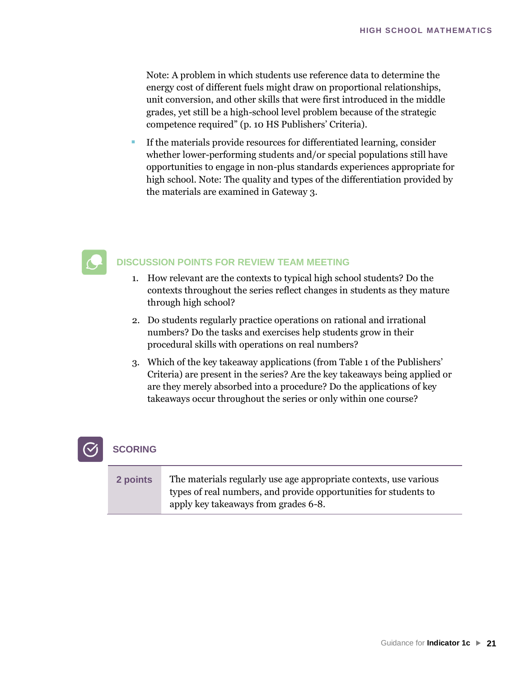Note: A problem in which students use reference data to determine the energy cost of different fuels might draw on proportional relationships, unit conversion, and other skills that were first introduced in the middle grades, yet still be a high-school level problem because of the strategic competence required" (p. 10 HS Publishers' Criteria).

If the materials provide resources for differentiated learning, consider whether lower-performing students and/or special populations still have opportunities to engage in non-plus standards experiences appropriate for high school. Note: The quality and types of the differentiation provided by the materials are examined in Gateway 3.

### **DISCUSSION POINTS FOR REVIEW TEAM MEETING**

- 1. How relevant are the contexts to typical high school students? Do the contexts throughout the series reflect changes in students as they mature through high school?
- 2. Do students regularly practice operations on rational and irrational numbers? Do the tasks and exercises help students grow in their procedural skills with operations on real numbers?
- 3. Which of the key takeaway applications (from Table 1 of the Publishers' Criteria) are present in the series? Are the key takeaways being applied or are they merely absorbed into a procedure? Do the applications of key takeaways occur throughout the series or only within one course?



#### **SCORING**

| 2 points | The materials regularly use age appropriate contexts, use various |
|----------|-------------------------------------------------------------------|
|          | types of real numbers, and provide opportunities for students to  |
|          | apply key takeaways from grades 6-8.                              |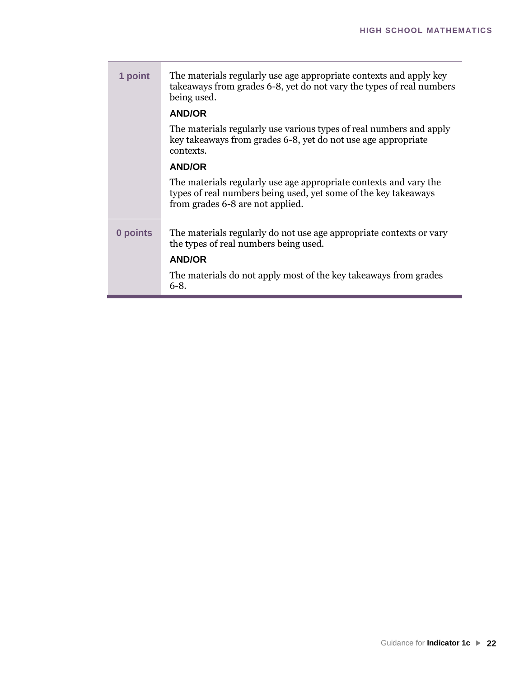| 1 point  | The materials regularly use age appropriate contexts and apply key<br>takeaways from grades 6-8, yet do not vary the types of real numbers<br>being used.                |
|----------|--------------------------------------------------------------------------------------------------------------------------------------------------------------------------|
|          | <b>AND/OR</b>                                                                                                                                                            |
|          | The materials regularly use various types of real numbers and apply<br>key takeaways from grades 6-8, yet do not use age appropriate<br>contexts.                        |
|          | <b>AND/OR</b>                                                                                                                                                            |
|          | The materials regularly use age appropriate contexts and vary the<br>types of real numbers being used, yet some of the key takeaways<br>from grades 6-8 are not applied. |
| 0 points | The materials regularly do not use age appropriate contexts or vary<br>the types of real numbers being used.<br><b>AND/OR</b>                                            |
|          | The materials do not apply most of the key takeaways from grades                                                                                                         |
|          | $6-8.$                                                                                                                                                                   |

T.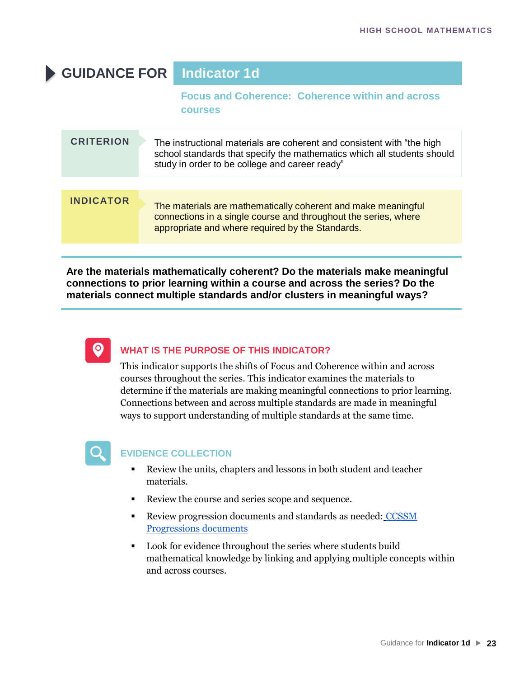| <b>GUIDANCE FOR</b> |  | Indicator 1d                                                                                                                                                                                        |
|---------------------|--|-----------------------------------------------------------------------------------------------------------------------------------------------------------------------------------------------------|
|                     |  | <b>Focus and Coherence: Coherence within and across</b><br><b>COUISES</b>                                                                                                                           |
| <b>CRITERION</b>    |  | The instructional materials are coherent and consistent with "the high<br>school standards that specify the mathematics which all students should<br>study in order to be college and career ready" |
| <b>INDICATOR</b>    |  | The materials are mathematically coherent and make meaningful<br>connections in a single course and throughout the series, where<br>appropriate and where required by the Standards.                |

**Are the materials mathematically coherent? Do the materials make meaningful connections to prior learning within a course and across the series? Do the materials connect multiple standards and/or clusters in meaningful ways?**



#### **WHAT IS THE PURPOSE OF THIS INDICATOR?**

This indicator supports the shifts of Focus and Coherence within and across courses throughout the series. This indicator examines the materials to determine if the materials are making meaningful connections to prior learning. Connections between and across multiple standards are made in meaningful ways to support understanding of multiple standards at the same time.



#### **EVIDENCE COLLECTION**

- Review the units, chapters and lessons in both student and teacher materials.
- Review the course and series scope and sequence.
- **EXECTE:** Review progression documents and standards as needed: CCSSM [Progressions documents](http://ime.math.arizona.edu/progressions/)
- [Look for evidence throughout](http://ime.math.arizona.edu/progressions/) the series where students build mathematical knowledge by linking and applying multiple concepts within and across courses.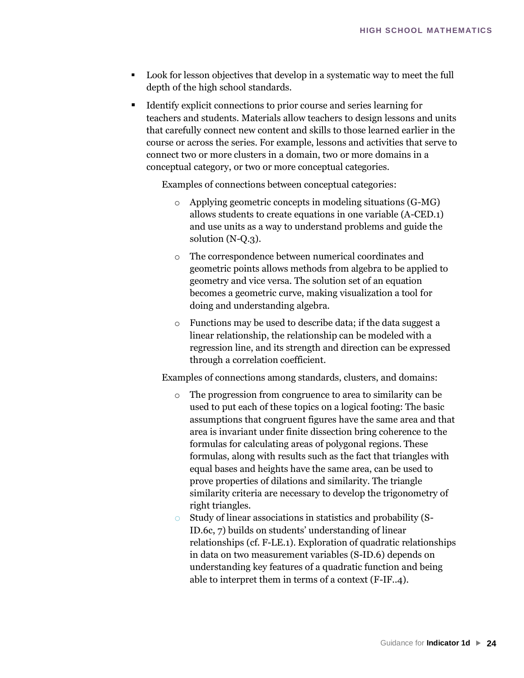- Look for lesson objectives that develop in a systematic way to meet the full depth of the high school standards.
- Identify explicit connections to prior course and series learning for teachers and students. Materials allow teachers to design lessons and units that carefully connect new content and skills to those learned earlier in the course or across the series. For example, lessons and activities that serve to connect two or more clusters in a domain, two or more domains in a conceptual category, or two or more conceptual categories.

Examples of connections between conceptual categories:

- o Applying geometric concepts in modeling situations (G-MG) allows students to create equations in one variable (A-CED.1) and use units as a way to understand problems and guide the solution (N-Q.3).
- o The correspondence between numerical coordinates and geometric points allows methods from algebra to be applied to geometry and vice versa. The solution set of an equation becomes a geometric curve, making visualization a tool for doing and understanding algebra.
- o Functions may be used to describe data; if the data suggest a linear relationship, the relationship can be modeled with a regression line, and its strength and direction can be expressed through a correlation coefficient.

Examples of connections among standards, clusters, and domains:

- The progression from congruence to area to similarity can be used to put each of these topics on a logical footing: The basic assumptions that congruent figures have the same area and that area is invariant under finite dissection bring coherence to the formulas for calculating areas of polygonal regions. These formulas, along with results such as the fact that triangles with equal bases and heights have the same area, can be used to prove properties of dilations and similarity. The triangle similarity criteria are necessary to develop the trigonometry of right triangles.
- o Study of linear associations in statistics and probability (S-ID.6c, 7) builds on students' understanding of linear relationships (cf. F-LE.1). Exploration of quadratic relationships in data on two measurement variables (S-ID.6) depends on understanding key features of a quadratic function and being able to interpret them in terms of a context (F-IF..4).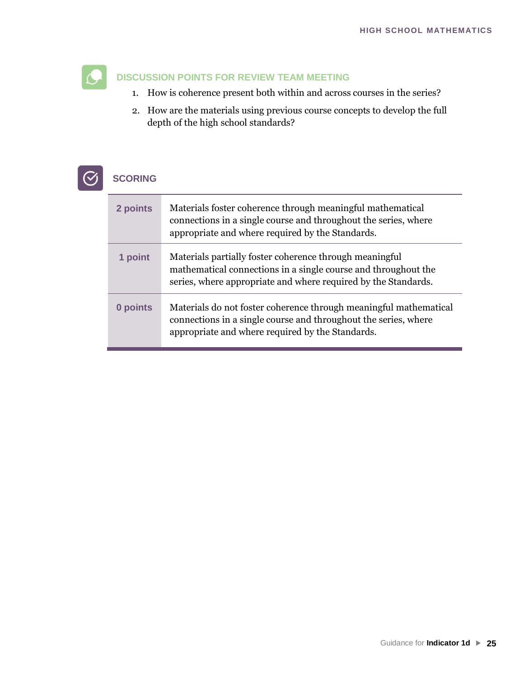### **DISCUSSION POINTS FOR REVIEW TEAM MEETING**

- 1. How is coherence present both within and across courses in the series?
- 2. How are the materials using previous course concepts to develop the full depth of the high school standards?



## **SCORING**

| 2 points | Materials foster coherence through meaningful mathematical<br>connections in a single course and throughout the series, where<br>appropriate and where required by the Standards.           |
|----------|---------------------------------------------------------------------------------------------------------------------------------------------------------------------------------------------|
| 1 point  | Materials partially foster coherence through meaningful<br>mathematical connections in a single course and throughout the<br>series, where appropriate and where required by the Standards. |
| 0 points | Materials do not foster coherence through meaningful mathematical<br>connections in a single course and throughout the series, where<br>appropriate and where required by the Standards.    |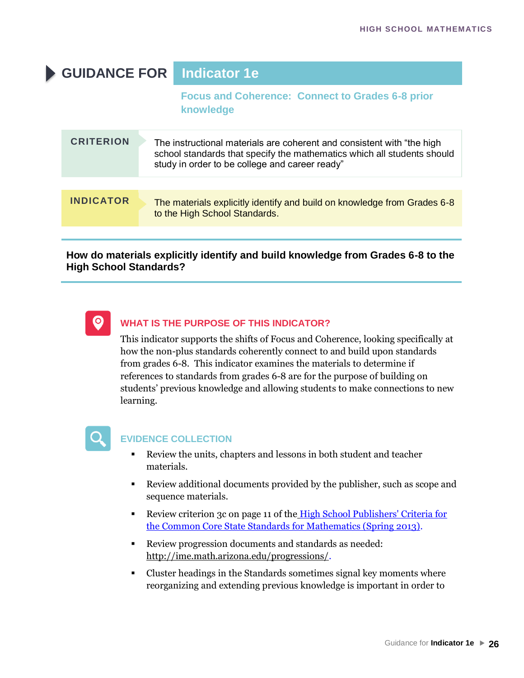# **GUIDANCE FOR Indicator 1e**

**Focus and Coherence: Connect to Grades 6-8 prior knowledge**

| <b>CRITERION</b> | The instructional materials are coherent and consistent with "the high<br>school standards that specify the mathematics which all students should<br>study in order to be college and career ready" |
|------------------|-----------------------------------------------------------------------------------------------------------------------------------------------------------------------------------------------------|
| <b>INDICATOR</b> | The materials explicitly identify and build on knowledge from Grades 6-8<br>to the High School Standards.                                                                                           |

#### **How do materials explicitly identify and build knowledge from Grades 6-8 to the High School Standards?**



#### **WHAT IS THE PURPOSE OF THIS INDICATOR?**

This indicator supports the shifts of Focus and Coherence, looking specifically at how the non-plus standards coherently connect to and build upon standards from grades 6-8. This indicator examines the materials to determine if references to standards from grades 6-8 are for the purpose of building on students' previous knowledge and allowing students to make connections to new learning.



#### **EVIDENCE COLLECTION**

- Review the units, chapters and lessons in both student and teacher materials.
- Review additional documents provided by the publisher, such as scope and sequence materials.
- **EXECUTE:** Review criterion 3c on page 11 of the High School Publishers' Criteria for [the Common Core State Standards for Mathematics \(Spring 2013\).](http://www.corestandards.org/assets/Math_Publishers_Criteria_HS_Spring%202013_FINAL.pdf)
- [Review progression documents and standards as needed:](http://www.corestandards.org/assets/Math_Publishers_Criteria_HS_Spring 2013_FINAL.pdf) [http://ime.math.arizona.edu/progressions/.](http://ime.math.arizona.edu/progressions/)
- [Cluster headings in the Standards someti](http://ime.math.arizona.edu/progressions/)mes signal key moments where reorganizing and extending previous knowledge is important in order to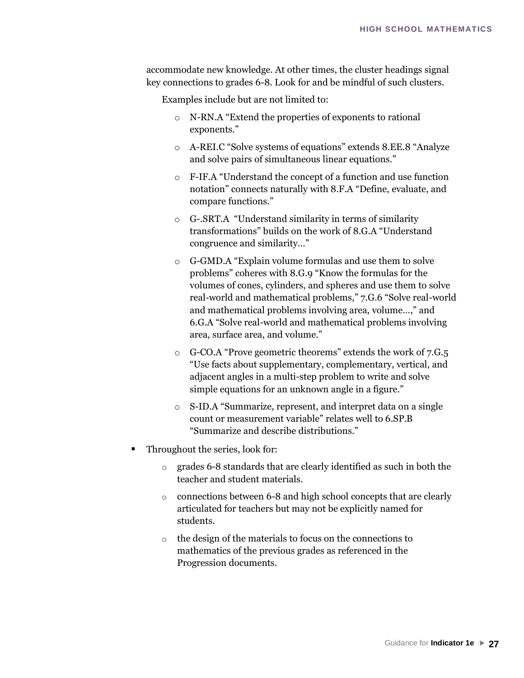accommodate new knowledge. At other times, the cluster headings signal key connections to grades 6-8. Look for and be mindful of such clusters.

Examples include but are not limited to:

- o N-RN.A "Extend the properties of exponents to rational exponents."
- o A-REI.C "Solve systems of equations" extends 8.EE.8 "Analyze and solve pairs of simultaneous linear equations."
- o F-IF.A "Understand the concept of a function and use function notation" connects naturally with 8.F.A "Define, evaluate, and compare functions."
- o G-.SRT.A "Understand similarity in terms of similarity transformations" builds on the work of 8.G.A "Understand congruence and similarity…"
- o G-GMD.A "Explain volume formulas and use them to solve problems" coheres with 8.G.9 "Know the formulas for the volumes of cones, cylinders, and spheres and use them to solve real-world and mathematical problems," 7.G.6 "Solve real-world and mathematical problems involving area, volume…," and 6.G.A "Solve real-world and mathematical problems involving area, surface area, and volume."
- o G-CO.A "Prove geometric theorems" extends the work of 7.G.5 "Use facts about supplementary, complementary, vertical, and adjacent angles in a multi-step problem to write and solve simple equations for an unknown angle in a figure."
- o S-ID.A "Summarize, represent, and interpret data on a single count or measurement variable" relates well to 6.SP.B "Summarize and describe distributions."
- Throughout the series, look for:
	- o grades 6-8 standards that are clearly identified as such in both the teacher and student materials.
	- o connections between 6-8 and high school concepts that are clearly articulated for teachers but may not be explicitly named for students.
	- o the design of the materials to focus on the connections to mathematics of the previous grades as referenced in the Progression documents.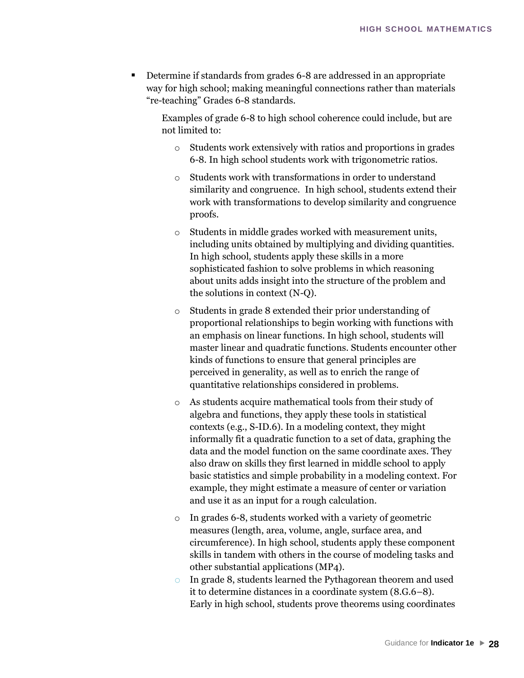Determine if standards from grades 6-8 are addressed in an appropriate way for high school; making meaningful connections rather than materials "re-teaching" Grades 6-8 standards.

Examples of grade 6-8 to high school coherence could include, but are not limited to:

- o Students work extensively with ratios and proportions in grades 6-8. In high school students work with trigonometric ratios.
- o Students work with transformations in order to understand similarity and congruence. In high school, students extend their work with transformations to develop similarity and congruence proofs.
- o Students in middle grades worked with measurement units, including units obtained by multiplying and dividing quantities. In high school, students apply these skills in a more sophisticated fashion to solve problems in which reasoning about units adds insight into the structure of the problem and the solutions in context (N-Q).
- o Students in grade 8 extended their prior understanding of proportional relationships to begin working with functions with an emphasis on linear functions. In high school, students will master linear and quadratic functions. Students encounter other kinds of functions to ensure that general principles are perceived in generality, as well as to enrich the range of quantitative relationships considered in problems.
- o As students acquire mathematical tools from their study of algebra and functions, they apply these tools in statistical contexts (e.g., S-ID.6). In a modeling context, they might informally fit a quadratic function to a set of data, graphing the data and the model function on the same coordinate axes. They also draw on skills they first learned in middle school to apply basic statistics and simple probability in a modeling context. For example, they might estimate a measure of center or variation and use it as an input for a rough calculation.
- o In grades 6-8, students worked with a variety of geometric measures (length, area, volume, angle, surface area, and circumference). In high school, students apply these component skills in tandem with others in the course of modeling tasks and other substantial applications (MP4).
- o In grade 8, students learned the Pythagorean theorem and used it to determine distances in a coordinate system (8.G.6–8). Early in high school, students prove theorems using coordinates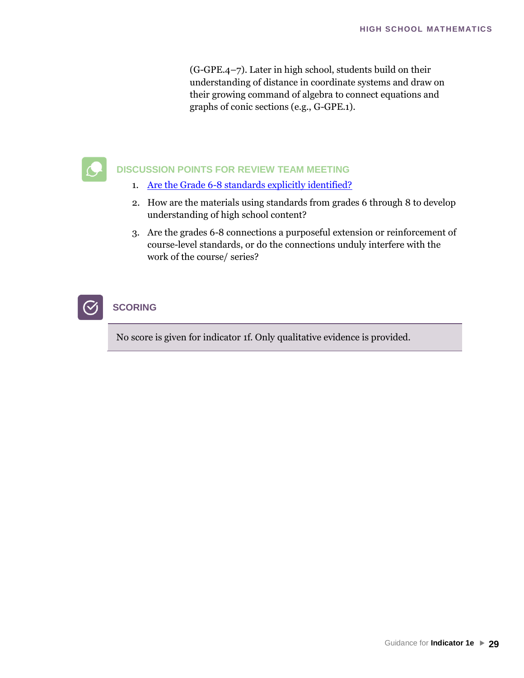(G-GPE.4–7). Later in high school, students build on their understanding of distance in coordinate systems and draw on their growing command of algebra to connect equations and graphs of conic sections (e.g., G-GPE.1).



#### **DISCUSSION POINTS FOR REVIEW TEAM MEETING**

- 1. [Are the Grade 6-8 standards explicitly identified?](http://ime.math.arizona.edu/progressions/)
- 2. [How are the materials using standards from grades](http://ime.math.arizona.edu/progressions/) 6 through 8 to develop understanding of high school content?
- 3. Are the grades 6-8 connections a purposeful extension or reinforcement of course-level standards, or do the connections unduly interfere with the work of the course/ series?



#### No score is given for indicator 1f. Only qualitative evidence is provided.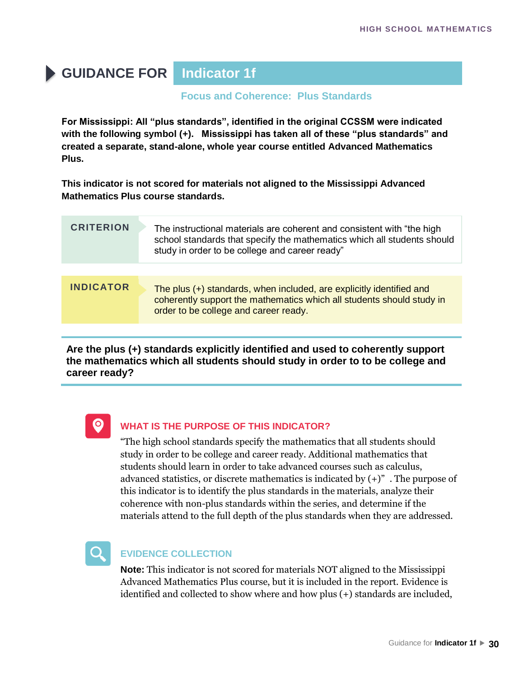# **GUIDANCE FOR Indicator 1f**

#### **Focus and Coherence: Plus Standards**

**For Mississippi: All "plus standards", identified in the original CCSSM were indicated with the following symbol (+). Mississippi has taken all of these "plus standards" and created a separate, stand-alone, whole year course entitled Advanced Mathematics Plus.** 

**This indicator is not scored for materials not aligned to the Mississippi Advanced Mathematics Plus course standards.** 

| <b>CRITERION</b> | The instructional materials are coherent and consistent with "the high<br>school standards that specify the mathematics which all students should<br>study in order to be college and career ready" |
|------------------|-----------------------------------------------------------------------------------------------------------------------------------------------------------------------------------------------------|
|                  |                                                                                                                                                                                                     |
| <b>INDICATOR</b> | The plus (+) standards, when included, are explicitly identified and<br>coherently support the mathematics which all students should study in<br>order to be college and career ready.              |
|                  |                                                                                                                                                                                                     |

**Are the plus (+) standards explicitly identified and used to coherently support the mathematics which all students should study in order to to be college and career ready?**



#### **WHAT IS THE PURPOSE OF THIS INDICATOR?**

"The high school standards specify the mathematics that all students should study in order to be college and career ready. Additional mathematics that students should learn in order to take advanced courses such as calculus, advanced statistics, or discrete mathematics is indicated by  $(+)$ ". The purpose of this indicator is to identify the plus standards in the materials, analyze their coherence with non-plus standards within the series, and determine if the materials attend to the full depth of the plus standards when they are addressed.



#### **EVIDENCE COLLECTION**

**Note:** This indicator is not scored for materials NOT aligned to the Mississippi Advanced Mathematics Plus course, but it is included in the report. Evidence is identified and collected to show where and how plus (+) standards are included,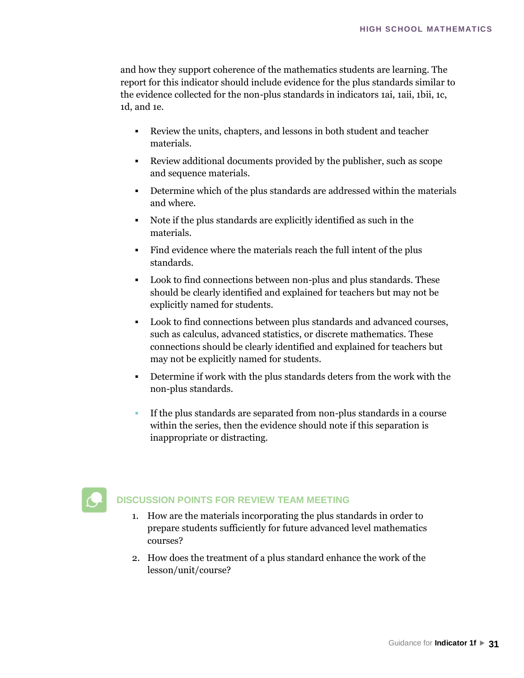and how they support coherence of the mathematics students are learning. The report for this indicator should include evidence for the plus standards similar to the evidence collected for the non-plus standards in indicators 1ai, 1aii, 1bii, 1c, 1d, and 1e.

- Review the units, chapters, and lessons in both student and teacher materials.
- Review additional documents provided by the publisher, such as scope and sequence materials.
- Determine which of the plus standards are addressed within the materials and where.
- Note if the plus standards are explicitly identified as such in the materials.
- Find evidence where the materials reach the full intent of the plus standards.
- Look to find connections between non-plus and plus standards. These should be clearly identified and explained for teachers but may not be explicitly named for students.
- Look to find connections between plus standards and advanced courses, such as calculus, advanced statistics, or discrete mathematics. These connections should be clearly identified and explained for teachers but may not be explicitly named for students.
- Determine if work with the plus standards deters from the work with the non-plus standards.
- If the plus standards are separated from non-plus standards in a course within the series, then the evidence should note if this separation is inappropriate or distracting.



- 1. How are the materials incorporating the plus standards in order to prepare students sufficiently for future advanced level mathematics courses?
- 2. How does the treatment of a plus standard enhance the work of the lesson/unit/course?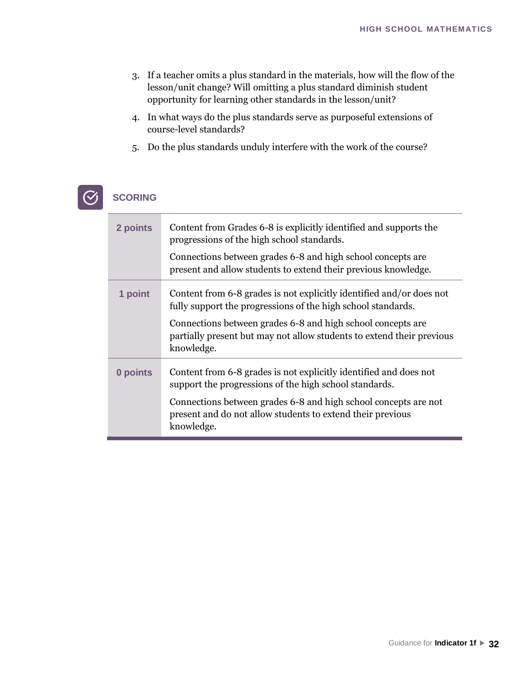- 3. If a teacher omits a plus standard in the materials, how will the flow of the lesson/unit change? Will omitting a plus standard diminish student opportunity for learning other standards in the lesson/unit?
- 4. In what ways do the plus standards serve as purposeful extensions of course-level standards?
- 5. Do the plus standards unduly interfere with the work of the course?

#### **SCORING**  $\circ$

| 2 points | Content from Grades 6-8 is explicitly identified and supports the<br>progressions of the high school standards.<br>Connections between grades 6-8 and high school concepts are<br>present and allow students to extend their previous knowledge.                                           |
|----------|--------------------------------------------------------------------------------------------------------------------------------------------------------------------------------------------------------------------------------------------------------------------------------------------|
| 1 point  | Content from 6-8 grades is not explicitly identified and/or does not<br>fully support the progressions of the high school standards.<br>Connections between grades 6-8 and high school concepts are<br>partially present but may not allow students to extend their previous<br>knowledge. |
| 0 points | Content from 6-8 grades is not explicitly identified and does not<br>support the progressions of the high school standards.<br>Connections between grades 6-8 and high school concepts are not<br>present and do not allow students to extend their previous<br>knowledge.                 |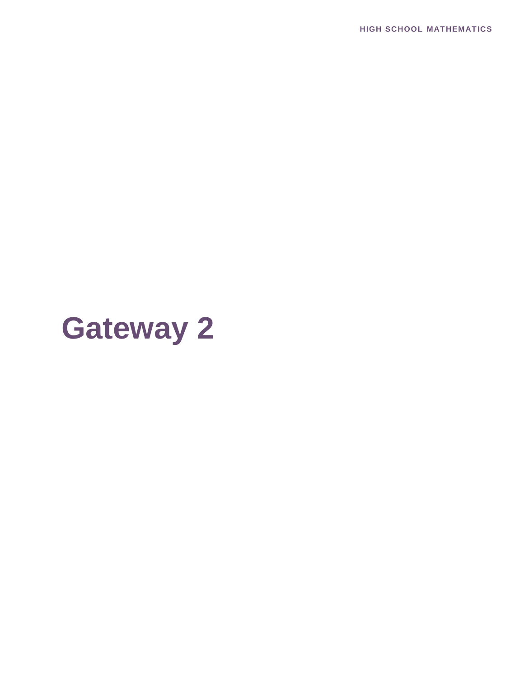**HIGH SCHOOL MATHEMATICS**

# **Gateway 2**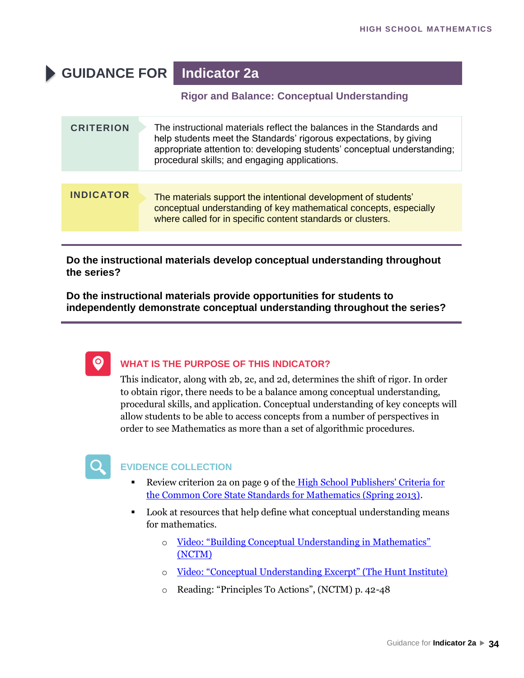# **GUIDANCE FOR Indicator 2a**

#### **Rigor and Balance: Conceptual Understanding**

| <b>CRITERION</b> | The instructional materials reflect the balances in the Standards and<br>help students meet the Standards' rigorous expectations, by giving<br>appropriate attention to: developing students' conceptual understanding;<br>procedural skills; and engaging applications. |
|------------------|--------------------------------------------------------------------------------------------------------------------------------------------------------------------------------------------------------------------------------------------------------------------------|
|                  |                                                                                                                                                                                                                                                                          |
| <b>INDICATOR</b> | The materials support the intentional development of students'<br>conceptual understanding of key mathematical concepts, especially<br>where called for in specific content standards or clusters.                                                                       |

**Do the instructional materials develop conceptual understanding throughout the series?** 

**Do the instructional materials provide opportunities for students to independently demonstrate conceptual understanding throughout the series?**



#### **WHAT IS THE PURPOSE OF THIS INDICATOR?**

This indicator, along with 2b, 2c, and 2d, determines the shift of rigor. In order to obtain rigor, there needs to be a balance among conceptual understanding, procedural skills, and application. Conceptual understanding of key concepts will allow students to be able to access concepts from a number of perspectives in order to see Mathematics as more than a set of algorithmic procedures.



#### **EVIDENCE COLLECTION**

- Review criterion 2a on page 9 of the High School Publishers' Criteria for [the Common Core State Standards for Mathematics \(Spring 2013\).](http://www.corestandards.org/assets/Math_Publishers_Criteria_HS_Spring%202013_FINAL.pdf)
- [Look at resources that help define what conceptual understanding means](http://www.corestandards.org/assets/Math_Publishers_Criteria_HS_Spring 2013_FINAL.pdf) [for mathematics.](http://www.corestandards.org/assets/Math_Publishers_Criteria_HS_Spring 2013_FINAL.pdf)
	- o [Video: "Building Conceptual Understanding in Mathematics"](https://www.youtube.com/watch?v=W1eLt0Dz8Fk)  [\(NCTM\)](https://www.youtube.com/watch?v=W1eLt0Dz8Fk)
	- o [Video: "Conceptual Understanding Excerpt" \(The Hunt Institute\)](https://www.youtube.com/watch?v=rUVDkpg_4Eg)
	- o [Reading: "Principles To Actions", \(NCTM\) p. 42](https://www.youtube.com/watch?v=rUVDkpg_4Eg)-48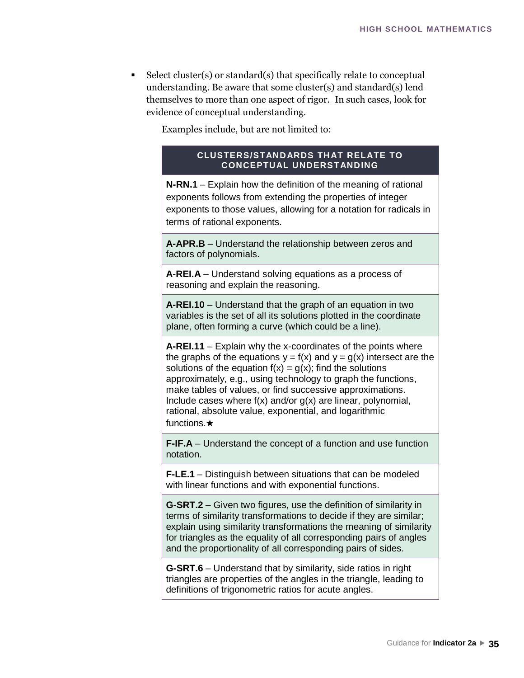$Select cluster(s)$  $Select cluster(s)$  or standard $(s)$  that specifically relate to conceptual understanding. Be aware that some cluster(s) and standard(s) lend themselves to more than one aspect of rigor. In such cases, look for evidence of conceptual understanding.

Examples include, but are not limited to:

#### **CLUSTERS/STANDARDS THAT RELATE TO CONCEPTUAL UNDERSTANDING**

**N-RN.1** – Explain how the definition of the meaning of rational exponents follows from extending the properties of integer exponents to those values, allowing for a notation for radicals in terms of rational exponents.

**A-APR.B** – Understand the relationship between zeros and factors of polynomials.

**A-REI.A** – Understand solving equations as a process of reasoning and explain the reasoning.

**A-REI.10** – Understand that the graph of an equation in two variables is the set of all its solutions plotted in the coordinate plane, often forming a curve (which could be a line).

**A-REI.11** – Explain why the x-coordinates of the points where the graphs of the equations  $y = f(x)$  and  $y = g(x)$  intersect are the solutions of the equation  $f(x) = g(x)$ ; find the solutions approximately, e.g., using technology to graph the functions, make tables of values, or find successive approximations. Include cases where  $f(x)$  and/or  $g(x)$  are linear, polynomial, rational, absolute value, exponential, and logarithmic functions.★

**F-IF.A** – Understand the concept of a function and use function notation.

**F-LE.1** – Distinguish between situations that can be modeled with linear functions and with exponential functions.

**G-SRT.2** – Given two figures, use the definition of similarity in terms of similarity transformations to decide if they are similar; explain using similarity transformations the meaning of similarity for triangles as the equality of all corresponding pairs of angles and the proportionality of all corresponding pairs of sides.

**G-SRT.6** – Understand that by similarity, side ratios in right triangles are properties of the angles in the triangle, leading to definitions of trigonometric ratios for acute angles.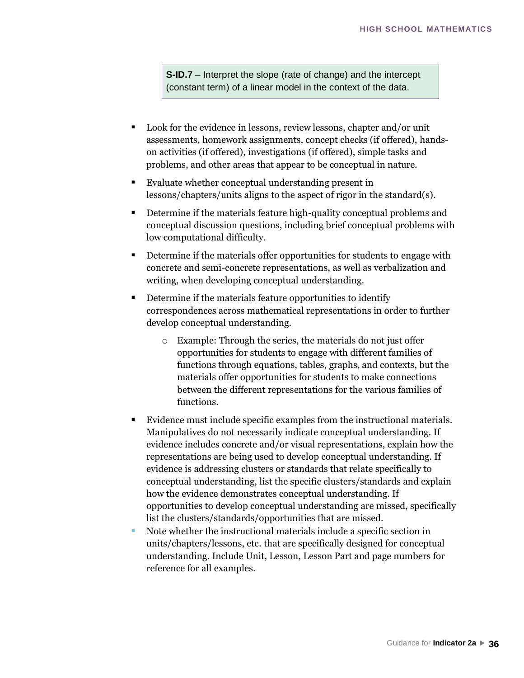**S-ID.7** – Interpret the slope (rate of change) and the intercept (constant term) of a linear model in the context of the data.

- Look for the evidence in lessons, review lessons, chapter and/or unit assessments, homework assignments, concept checks (if offered), handson activities (if offered), investigations (if offered), simple tasks and problems, and other areas that appear to be conceptual in nature.
- Evaluate whether conceptual understanding present in lessons/chapters/units aligns to the aspect of rigor in the standard(s).
- Determine if the materials feature high-quality conceptual problems and conceptual discussion questions, including brief conceptual problems with low computational difficulty.
- Determine if the materials offer opportunities for students to engage with concrete and semi-concrete representations, as well as verbalization and writing, when developing conceptual understanding.
- Determine if the materials feature opportunities to identify correspondences across mathematical representations in order to further develop conceptual understanding.
	- o Example: Through the series, the materials do not just offer opportunities for students to engage with different families of functions through equations, tables, graphs, and contexts, but the materials offer opportunities for students to make connections between the different representations for the various families of functions.
- Evidence must include specific examples from the instructional materials. Manipulatives do not necessarily indicate conceptual understanding. If evidence includes concrete and/or visual representations, explain how the representations are being used to develop conceptual understanding. If evidence is addressing clusters or standards that relate specifically to conceptual understanding, list the specific clusters/standards and explain how the evidence demonstrates conceptual understanding. If opportunities to develop conceptual understanding are missed, specifically list the clusters/standards/opportunities that are missed.
- Note whether the instructional materials include a specific section in units/chapters/lessons, etc. that are specifically designed for conceptual understanding. Include Unit, Lesson, Lesson Part and page numbers for reference for all examples.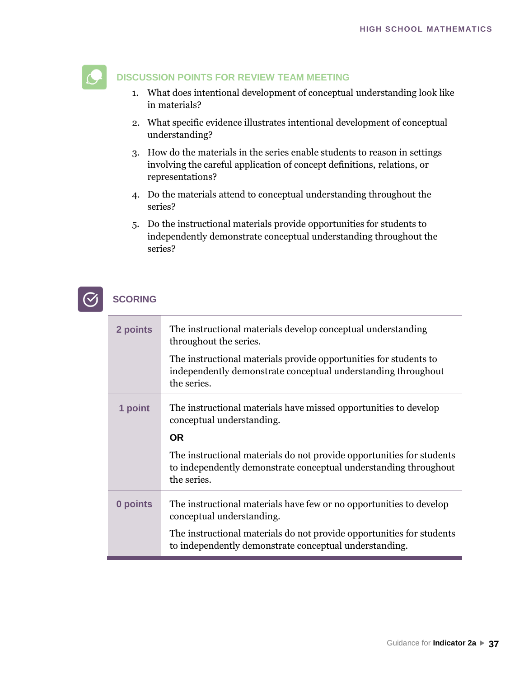

- 1. What does intentional development of conceptual understanding look like in materials?
- 2. What specific evidence illustrates intentional development of conceptual understanding?
- 3. How do the materials in the series enable students to reason in settings involving the careful application of concept definitions, relations, or representations?
- 4. Do the materials attend to conceptual understanding throughout the series?
- 5. Do the instructional materials provide opportunities for students to independently demonstrate conceptual understanding throughout the series?

| 2 points | The instructional materials develop conceptual understanding<br>throughout the series.                                                                   |
|----------|----------------------------------------------------------------------------------------------------------------------------------------------------------|
|          | The instructional materials provide opportunities for students to<br>independently demonstrate conceptual understanding throughout<br>the series.        |
| 1 point  | The instructional materials have missed opportunities to develop<br>conceptual understanding.                                                            |
|          | <b>OR</b>                                                                                                                                                |
|          | The instructional materials do not provide opportunities for students<br>to independently demonstrate conceptual understanding throughout<br>the series. |
| 0 points | The instructional materials have few or no opportunities to develop<br>conceptual understanding.                                                         |
|          | The instructional materials do not provide opportunities for students<br>to independently demonstrate conceptual understanding.                          |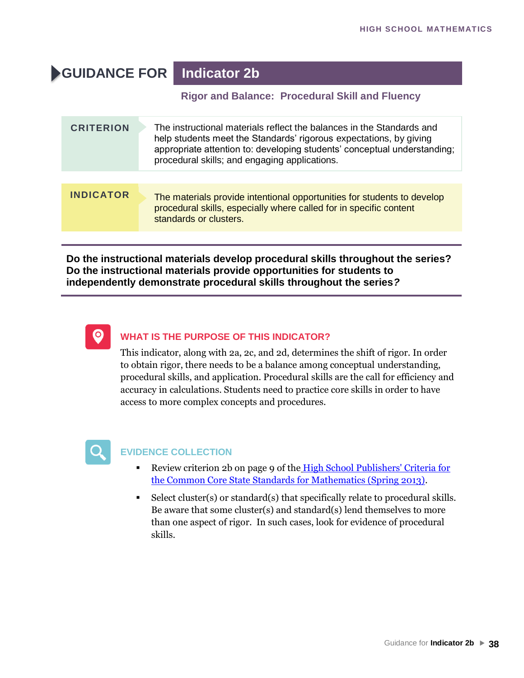## **GUIDANCE FOR Indicator 2b**

#### **Rigor and Balance: Procedural Skill and Fluency**

| <b>CRITERION</b> | The instructional materials reflect the balances in the Standards and<br>help students meet the Standards' rigorous expectations, by giving<br>appropriate attention to: developing students' conceptual understanding;<br>procedural skills; and engaging applications. |
|------------------|--------------------------------------------------------------------------------------------------------------------------------------------------------------------------------------------------------------------------------------------------------------------------|
|                  |                                                                                                                                                                                                                                                                          |
| <b>INDICATOR</b> | The materials provide intentional opportunities for students to develop<br>procedural skills, especially where called for in specific content<br>standards or clusters.                                                                                                  |

**Do the instructional materials develop procedural skills throughout the series? Do the instructional materials provide opportunities for students to independently demonstrate procedural skills throughout the series***?*



#### **WHAT IS THE PURPOSE OF THIS INDICATOR?**

This indicator, along with 2a, 2c, and 2d, determines the shift of rigor. In order to obtain rigor, there needs to be a balance among conceptual understanding, procedural skills, and application. Procedural skills are the call for efficiency and accuracy in calculations. Students need to practice core skills in order to have access to more complex concepts and procedures.



- Review criterion 2b on page 9 of the High School Publishers' Criteria for [the Common Core State Standards for Mathematics \(Spring 2013\)](http://www.corestandards.org/assets/Math_Publishers_Criteria_HS_Spring%202013_FINAL.pdf)[.](http://www.corestandards.org/assets/Math_Publishers_Criteria_HS_Spring 2013_FINAL.pdf)
- [Select cluster\(s\) or standard\(s\) that specifically relate to procedural skills.](http://www.corestandards.org/assets/Math_Publishers_Criteria_HS_Spring 2013_FINAL.pdf) [Be aware that som](http://www.corestandards.org/assets/Math_Publishers_Criteria_HS_Spring 2013_FINAL.pdf)e cluster(s) and standard(s) lend themselves to more than one aspect of rigor. In such cases, look for evidence of procedural skills.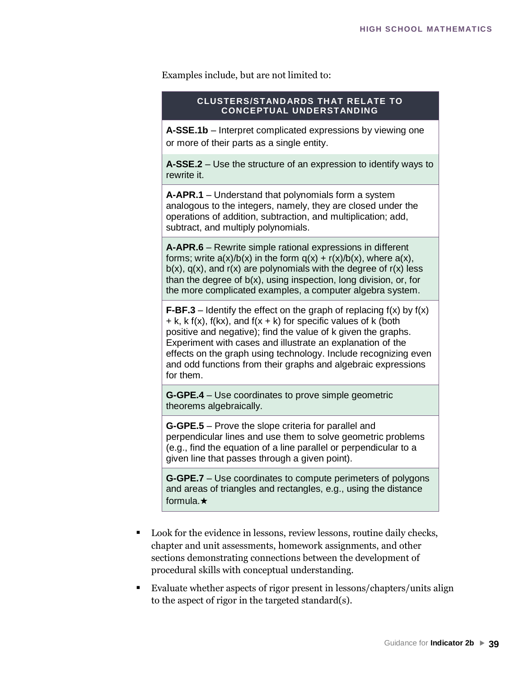Examples include, but are not limited to:

#### **CLUSTERS/STANDARDS THAT RELATE TO CONCEPTUAL UNDERSTANDING**

**A-SSE.1b** – Interpret complicated expressions by viewing one or more of their parts as a single entity.

**A-SSE.2** – Use the structure of an expression to identify ways to rewrite it.

**A-APR.1** – Understand that polynomials form a system analogous to the integers, namely, they are closed under the operations of addition, subtraction, and multiplication; add, subtract, and multiply polynomials.

**A-APR.6** – Rewrite simple rational expressions in different forms; write  $a(x)/b(x)$  in the form  $q(x) + r(x)/b(x)$ , where  $a(x)$ ,  $b(x)$ ,  $q(x)$ , and  $r(x)$  are polynomials with the degree of  $r(x)$  less than the degree of b(x), using inspection, long division, or, for the more complicated examples, a computer algebra system.

**F-BF.3** – Identify the effect on the graph of replacing  $f(x)$  by  $f(x)$  $+$  k, k f(x), f(kx), and f(x  $+$  k) for specific values of k (both positive and negative); find the value of k given the graphs. Experiment with cases and illustrate an explanation of the effects on the graph using technology. Include recognizing even and odd functions from their graphs and algebraic expressions for them.

**G-GPE.4** – Use coordinates to prove simple geometric theorems algebraically.

**G-GPE.5** – Prove the slope criteria for parallel and perpendicular lines and use them to solve geometric problems (e.g., find the equation of a line parallel or perpendicular to a given line that passes through a given point).

**G-GPE.7** – Use coordinates to compute perimeters of polygons and areas of triangles and rectangles, e.g., using the distance formula.★

- Look for the evidence in lessons, review lessons, routine daily checks, chapter and unit assessments, homework assignments, and other sections demonstrating connections between the development of procedural skills with conceptual understanding.
- Evaluate whether aspects of rigor present in lessons/chapters/units align to the aspect of rigor in the targeted standard(s).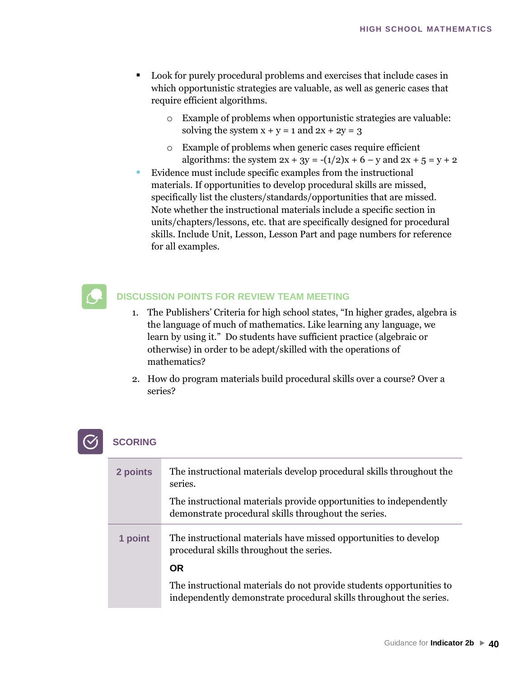- Look for purely procedural problems and exercises that include cases in which opportunistic strategies are valuable, as well as generic cases that require efficient algorithms.
	- o Example of problems when opportunistic strategies are valuable: solving the system  $x + y = 1$  and  $2x + 2y = 3$
	- o Example of problems when generic cases require efficient algorithms: the system  $2x + 3y = -(1/2)x + 6 - y$  and  $2x + 5 = y + 2$
- Evidence must include specific examples from the instructional materials. If opportunities to develop procedural skills are missed, specifically list the clusters/standards/opportunities that are missed. Note whether the instructional materials include a specific section in units/chapters/lessons, etc. that are specifically designed for procedural skills. Include Unit, Lesson, Lesson Part and page numbers for reference for all examples.



- 1. The Publishers' Criteria for high school states, "In higher grades, algebra is the language of much of mathematics. Like learning any language, we learn by using it." Do students have sufficient practice (algebraic or otherwise) in order to be adept/skilled with the operations of mathematics?
- 2. How do program materials build procedural skills over a course? Over a series?

| 2 points | The instructional materials develop procedural skills throughout the<br>series.                                                            |
|----------|--------------------------------------------------------------------------------------------------------------------------------------------|
|          | The instructional materials provide opportunities to independently<br>demonstrate procedural skills throughout the series.                 |
| 1 point  | The instructional materials have missed opportunities to develop<br>procedural skills throughout the series.                               |
|          | <b>OR</b>                                                                                                                                  |
|          | The instructional materials do not provide students opportunities to<br>independently demonstrate procedural skills throughout the series. |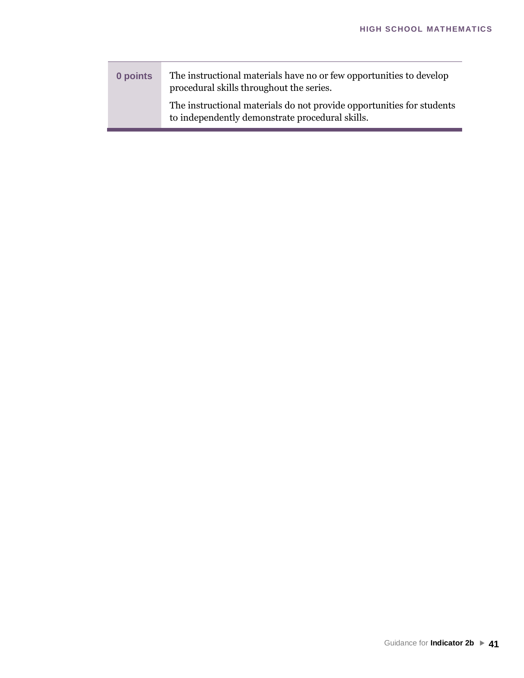| 0 points | The instructional materials have no or few opportunities to develop<br>procedural skills throughout the series.          |
|----------|--------------------------------------------------------------------------------------------------------------------------|
|          | The instructional materials do not provide opportunities for students<br>to independently demonstrate procedural skills. |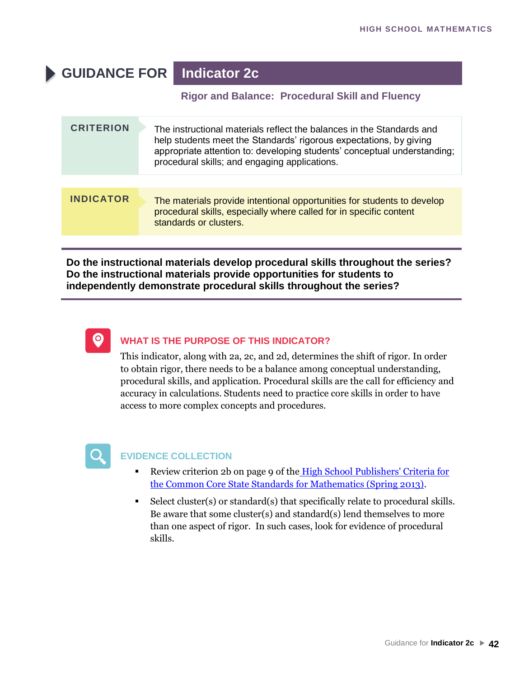## **GUIDANCE FOR Indicator 2c**

#### **Rigor and Balance: Procedural Skill and Fluency**

| <b>CRITERION</b> | The instructional materials reflect the balances in the Standards and<br>help students meet the Standards' rigorous expectations, by giving<br>appropriate attention to: developing students' conceptual understanding;<br>procedural skills; and engaging applications. |
|------------------|--------------------------------------------------------------------------------------------------------------------------------------------------------------------------------------------------------------------------------------------------------------------------|
|                  |                                                                                                                                                                                                                                                                          |
| <b>INDICATOR</b> | The materials provide intentional opportunities for students to develop<br>procedural skills, especially where called for in specific content<br>standards or clusters.                                                                                                  |

**Do the instructional materials develop procedural skills throughout the series? Do the instructional materials provide opportunities for students to independently demonstrate procedural skills throughout the series?**



#### **WHAT IS THE PURPOSE OF THIS INDICATOR?**

This indicator, along with 2a, 2c, and 2d, determines the shift of rigor. In order to obtain rigor, there needs to be a balance among conceptual understanding, procedural skills, and application. Procedural skills are the call for efficiency and accuracy in calculations. Students need to practice core skills in order to have access to more complex concepts and procedures.



- Review criterion 2b on page 9 of the High School Publishers' Criteria for [the Common Core State Standards for Mathematics \(Spring 2013\).](http://www.corestandards.org/assets/Math_Publishers_Criteria_HS_Spring%202013_FINAL.pdf)
- [Select cluster\(s\) or standard\(s\) that specifically relate to procedural skills.](http://www.corestandards.org/assets/Math_Publishers_Criteria_HS_Spring 2013_FINAL.pdf) [Be aware that some](http://www.corestandards.org/assets/Math_Publishers_Criteria_HS_Spring 2013_FINAL.pdf) cluster(s) and standard(s) lend themselves to more than one aspect of rigor. In such cases, look for evidence of procedural skills.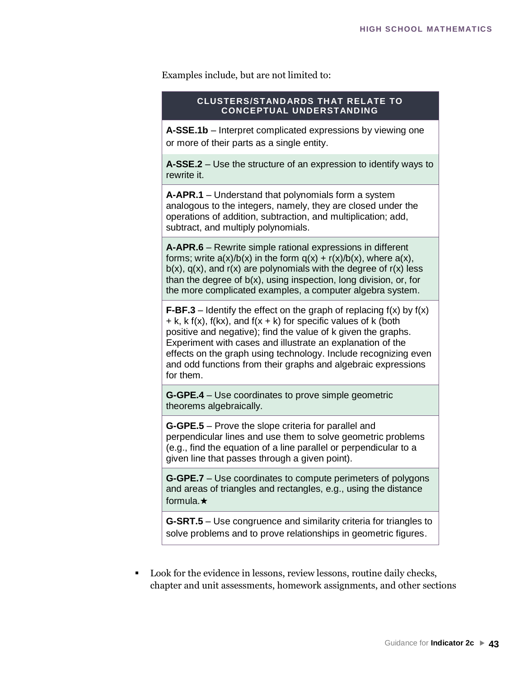Examples include, but are not limited to:

#### **CLUSTERS/STANDARDS THAT RELATE TO CONCEPTUAL UNDERSTANDING**

**A-SSE.1b** – Interpret complicated expressions by viewing one or more of their parts as a single entity.

**A-SSE.2** – Use the structure of an expression to identify ways to rewrite it.

**A-APR.1** – Understand that polynomials form a system analogous to the integers, namely, they are closed under the operations of addition, subtraction, and multiplication; add, subtract, and multiply polynomials.

**A-APR.6** – Rewrite simple rational expressions in different forms; write  $a(x)/b(x)$  in the form  $q(x) + r(x)/b(x)$ , where  $a(x)$ ,  $b(x)$ ,  $q(x)$ , and  $r(x)$  are polynomials with the degree of  $r(x)$  less than the degree of b(x), using inspection, long division, or, for the more complicated examples, a computer algebra system.

**F-BF.3** – Identify the effect on the graph of replacing  $f(x)$  by  $f(x)$  $+$  k, k f(x), f(kx), and f(x  $+$  k) for specific values of k (both positive and negative); find the value of k given the graphs. Experiment with cases and illustrate an explanation of the effects on the graph using technology. Include recognizing even and odd functions from their graphs and algebraic expressions for them.

**G-GPE.4** – Use coordinates to prove simple geometric theorems algebraically.

**G-GPE.5** – Prove the slope criteria for parallel and perpendicular lines and use them to solve geometric problems (e.g., find the equation of a line parallel or perpendicular to a given line that passes through a given point).

**G-GPE.7** – Use coordinates to compute perimeters of polygons and areas of triangles and rectangles, e.g., using the distance formula.★

**G-SRT.5** – Use congruence and similarity criteria for triangles to solve problems and to prove relationships in geometric figures.

▪ Look for the evidence in lessons, review lessons, routine daily checks, chapter and unit assessments, homework assignments, and other sections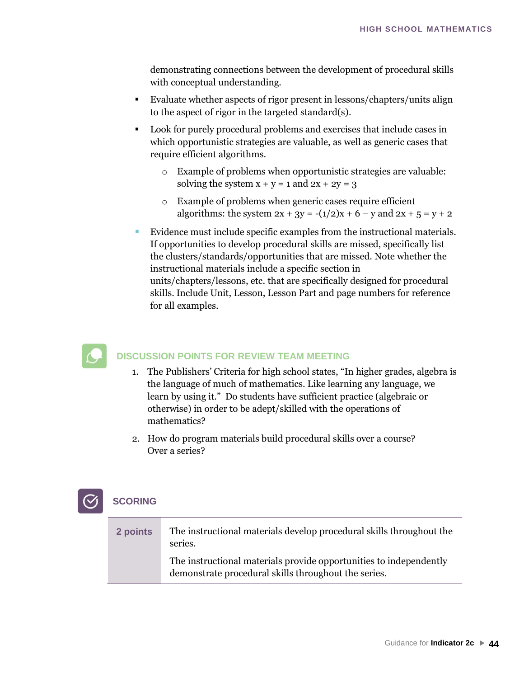demonstrating connections between the development of procedural skills with conceptual understanding.

- Evaluate whether aspects of rigor present in lessons/chapters/units align to the aspect of rigor in the targeted standard(s).
- Look for purely procedural problems and exercises that include cases in which opportunistic strategies are valuable, as well as generic cases that require efficient algorithms.
	- o Example of problems when opportunistic strategies are valuable: solving the system  $x + y = 1$  and  $2x + 2y = 3$
	- o Example of problems when generic cases require efficient algorithms: the system  $2x + 3y = -(1/2)x + 6 - y$  and  $2x + 5 = y + 2$
- Evidence must include specific examples from the instructional materials. If opportunities to develop procedural skills are missed, specifically list the clusters/standards/opportunities that are missed. Note whether the instructional materials include a specific section in units/chapters/lessons, etc. that are specifically designed for procedural

skills. Include Unit, Lesson, Lesson Part and page numbers for reference for all examples.



#### **DISCUSSION POINTS FOR REVIEW TEAM MEETING**

- 1. The Publishers' Criteria for high school states, "In higher grades, algebra is the language of much of mathematics. Like learning any language, we learn by using it." Do students have sufficient practice (algebraic or otherwise) in order to be adept/skilled with the operations of mathematics?
- 2. How do program materials build procedural skills over a course? Over a series?

| 2 points | The instructional materials develop procedural skills throughout the<br>series.                                            |
|----------|----------------------------------------------------------------------------------------------------------------------------|
|          | The instructional materials provide opportunities to independently<br>demonstrate procedural skills throughout the series. |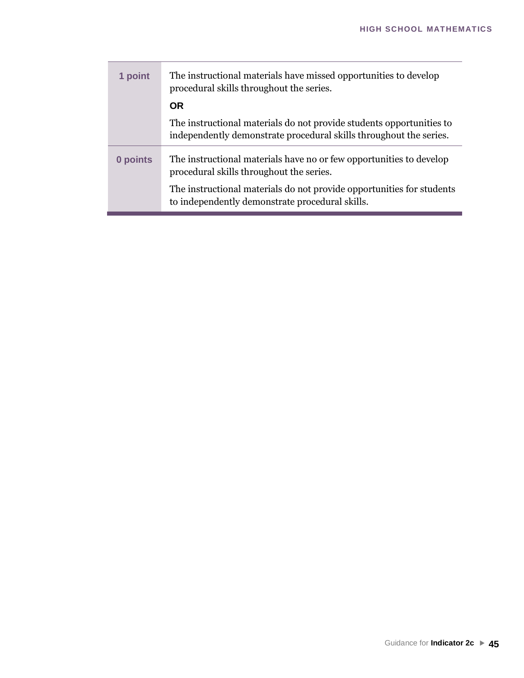| 1 point  | The instructional materials have missed opportunities to develop<br>procedural skills throughout the series.                               |
|----------|--------------------------------------------------------------------------------------------------------------------------------------------|
|          | <b>OR</b>                                                                                                                                  |
|          | The instructional materials do not provide students opportunities to<br>independently demonstrate procedural skills throughout the series. |
| 0 points | The instructional materials have no or few opportunities to develop<br>procedural skills throughout the series.                            |
|          | The instructional materials do not provide opportunities for students<br>to independently demonstrate procedural skills.                   |

<u>a m</u>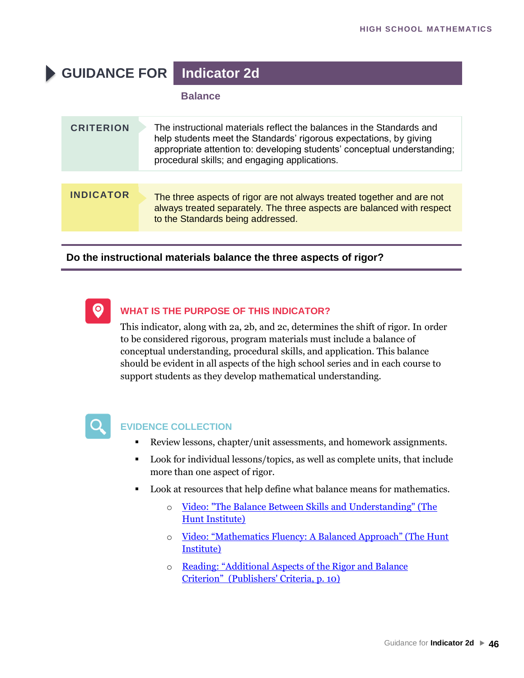## **GUIDANCE FOR Indicator 2d**

#### **Balance**

| <b>CRITERION</b> | The instructional materials reflect the balances in the Standards and<br>help students meet the Standards' rigorous expectations, by giving<br>appropriate attention to: developing students' conceptual understanding;<br>procedural skills; and engaging applications. |
|------------------|--------------------------------------------------------------------------------------------------------------------------------------------------------------------------------------------------------------------------------------------------------------------------|
|                  |                                                                                                                                                                                                                                                                          |
| <b>INDICATOR</b> | The three aspects of rigor are not always treated together and are not<br>always treated separately. The three aspects are balanced with respect<br>to the Standards being addressed.                                                                                    |

#### **Do the instructional materials balance the three aspects of rigor?**



#### **WHAT IS THE PURPOSE OF THIS INDICATOR?**

This indicator, along with 2a, 2b, and 2c, determines the shift of rigor. In order to be considered rigorous, program materials must include a balance of conceptual understanding, procedural skills, and application. This balance should be evident in all aspects of the high school series and in each course to support students as they develop mathematical understanding.



- Review lessons, chapter/unit assessments, and homework assignments.
- Look for individual lessons/topics, as well as complete units, that include more than one aspect of rigor.
- Look at resources that help define what balance means for mathematics.
	- o [Video: "The Balance Between Skills and Understanding" \(The](https://www.youtube.com/watch?v=5dUQtIXoptY)  [Hunt Institute\)](https://www.youtube.com/watch?v=5dUQtIXoptY)
	- o [Video: "Mathematics Fluency: A Balanced Approach" \(The Hunt](https://www.youtube.com/watch?v=ZFUAV00bTwA)  [Institute\)](https://www.youtube.com/watch?v=ZFUAV00bTwA)
	- o [Re](https://www.youtube.com/watch?v=5dUQtIXoptY)ading: "Additional As[pects of the Rigor and Balance](http://www.corestandards.org/assets/Math_Publishers_Criteria_HS_Spring%202013_FINAL.pdf)  [Criterion"](https://www.youtube.com/watch?v=ZFUAV00bTwA) [\(Publishers' Criteria, p. 10\)](http://www.corestandards.org/assets/Math_Publishers_Criteria_HS_Spring%202013_FINAL.pdf)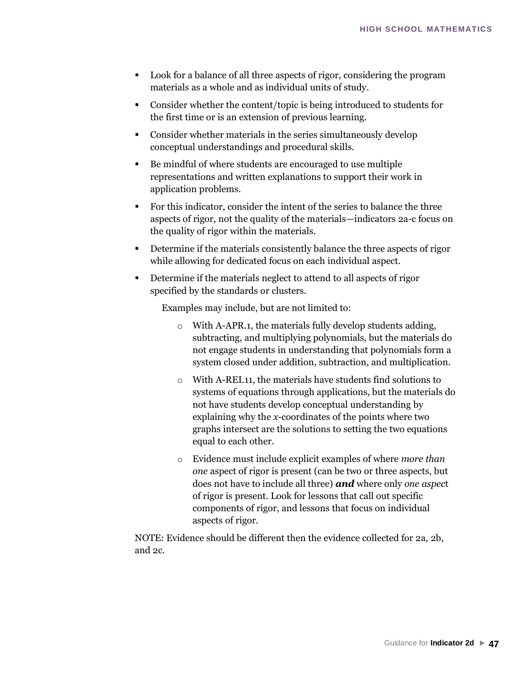- Look for a balance of all three aspects of rigor, considering the program [materials as a whol](http://www.corestandards.org/assets/Math_Publishers_Criteria_HS_Spring 2013_FINAL.pdf)e and as individual units of study.
- Consider whether the content/topic is being introduced to students for the first time or is an extension of previous learning.
- Consider whether materials in the series simultaneously develop conceptual understandings and procedural skills.
- Be mindful of where students are encouraged to use multiple representations and written explanations to support their work in application problems.
- For this indicator, consider the intent of the series to balance the three aspects of rigor, not the quality of the materials—indicators 2a-c focus on the quality of rigor within the materials.
- Determine if the materials consistently balance the three aspects of rigor while allowing for dedicated focus on each individual aspect.
- Determine if the materials neglect to attend to all aspects of rigor specified by the standards or clusters.

Examples may include, but are not limited to:

- o With A-APR.1, the materials fully develop students adding, subtracting, and multiplying polynomials, but the materials do not engage students in understanding that polynomials form a system closed under addition, subtraction, and multiplication.
- o With A-REI.11, the materials have students find solutions to systems of equations through applications, but the materials do not have students develop conceptual understanding by explaining why the *x*-coordinates of the points where two graphs intersect are the solutions to setting the two equations equal to each other.
- o Evidence must include explicit examples of where *more than one* aspect of rigor is present (can be two or three aspects, but does not have to include all three) *and* where only *one aspec*t of rigor is present. Look for lessons that call out specific components of rigor, and lessons that focus on individual aspects of rigor.

NOTE: Evidence should be different then the evidence collected for 2a, 2b, and 2c.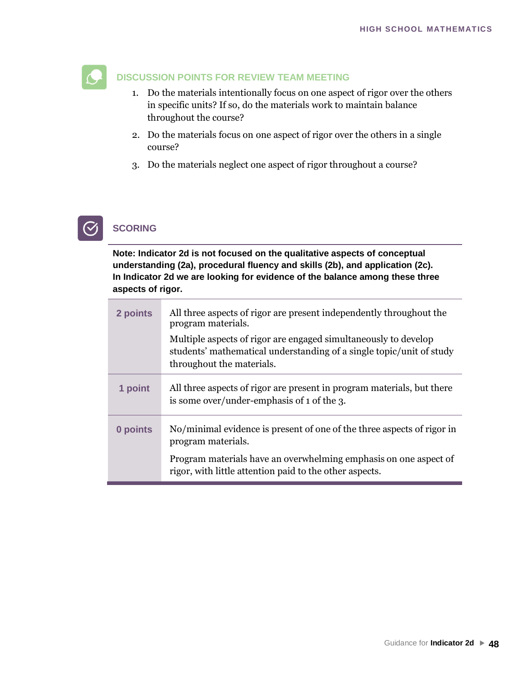

- 1. Do the materials intentionally focus on one aspect of rigor over the others in specific units? If so, do the materials work to maintain balance throughout the course?
- 2. Do the materials focus on one aspect of rigor over the others in a single course?
- 3. Do the materials neglect one aspect of rigor throughout a course?

## **SCORING**

**Note: Indicator 2d is not focused on the qualitative aspects of conceptual understanding (2a), procedural fluency and skills (2b), and application (2c). In Indicator 2d we are looking for evidence of the balance among these three aspects of rigor.** 

| 2 points | All three aspects of rigor are present independently throughout the<br>program materials.<br>Multiple aspects of rigor are engaged simultaneously to develop<br>students' mathematical understanding of a single topic/unit of study<br>throughout the materials. |
|----------|-------------------------------------------------------------------------------------------------------------------------------------------------------------------------------------------------------------------------------------------------------------------|
| 1 point  | All three aspects of rigor are present in program materials, but there<br>is some over/under-emphasis of 1 of the 3.                                                                                                                                              |
| 0 points | No/minimal evidence is present of one of the three aspects of rigor in<br>program materials.                                                                                                                                                                      |
|          | Program materials have an overwhelming emphasis on one aspect of<br>rigor, with little attention paid to the other aspects.                                                                                                                                       |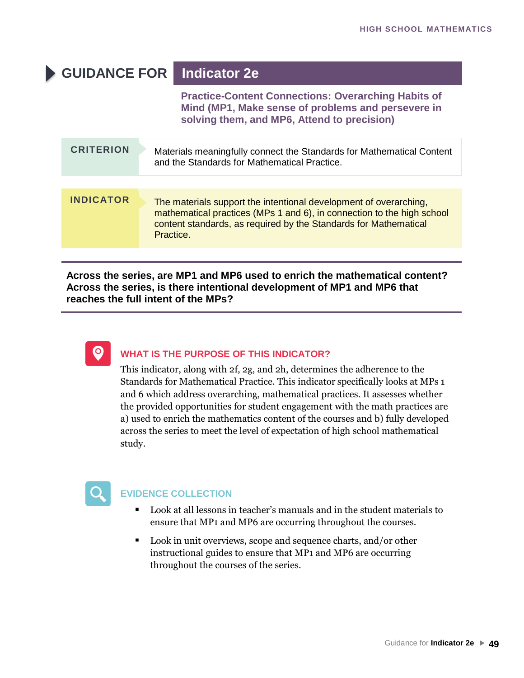## **GUIDANCE FOR Indicator 2e**

**Practice-Content Connections: Overarching Habits of Mind (MP1, Make sense of problems and persevere in solving them, and MP6, Attend to precision)**

| <b>CRITERION</b> | Materials meaningfully connect the Standards for Mathematical Content<br>and the Standards for Mathematical Practice.                                                                                                        |
|------------------|------------------------------------------------------------------------------------------------------------------------------------------------------------------------------------------------------------------------------|
| <b>INDICATOR</b> | The materials support the intentional development of overarching,<br>mathematical practices (MPs 1 and 6), in connection to the high school<br>content standards, as required by the Standards for Mathematical<br>Practice. |

**Across the series, are MP1 and MP6 used to enrich the mathematical content? Across the series, is there intentional development of MP1 and MP6 that reaches the full intent of the MPs?**



#### **WHAT IS THE PURPOSE OF THIS INDICATOR?**

This indicator, along with 2f, 2g, and 2h, determines the adherence to the Standards for Mathematical Practice. This indicator specifically looks at MPs 1 and 6 which address overarching, mathematical practices. It assesses whether the provided opportunities for student engagement with the math practices are a) used to enrich the mathematics content of the courses and b) fully developed across the series to meet the level of expectation of high school mathematical study.



- Look at all lessons in teacher's manuals and in the student materials to ensure that MP1 and MP6 are occurring throughout the courses.
- Look in unit overviews, scope and sequence charts, and/or other instructional guides to ensure that MP1 and MP6 are occurring throughout the courses of the series.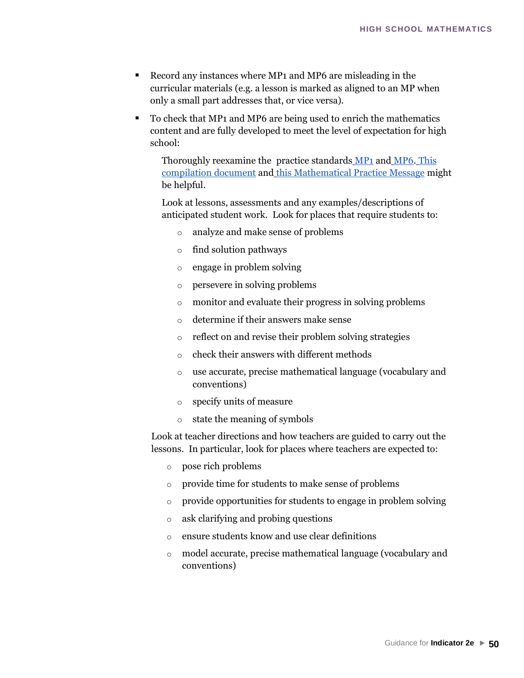- Record any instances where MP1 and MP6 are misleading in the curricular materials (e.g. a lesson is marked as aligned to an MP when only a small part addresses that, or vice versa).
- To check that MP1 and MP6 are being used to enrich the mathematics content and are fully developed to meet the level of expectation for high school:

Thoroughly reexamine the practice standards [MP1](http://www.corestandards.org/Math/Practice/#CCSS.Math.Practice.MP1) [and](http://www.corestandards.org/Math/Practice/#CCSS.Math.Practice.MP1) [MP6.](http://www.corestandards.org/Math/Practice/#CCSS.Math.Practice.MP6) [This](https://drive.google.com/a/mead354.org/file/d/0B9t46rM82-quQndiM29rUDN4Z2c/view?usp=sharing)  [compilation document](https://drive.google.com/a/mead354.org/file/d/0B9t46rM82-quQndiM29rUDN4Z2c/view?usp=sharing) and [this Mathematical Pra](https://drive.google.com/a/mead354.org/file/d/0B9t46rM82-quQndiM29rUDN4Z2c/view?usp=sharing)ctice Message might be helpful.

Look at lessons, assessments and any examples/descriptions of anticipated student work. Look for places that require students to:

- o analyze and make sense of problems
- o find solution pathways
- o engage in problem solving
- o persevere in solving problems
- o monitor and evaluate their progress in solving problems
- o determine if their answers make sense
- o reflect on and revise their problem solving strategies
- o check their answers with different methods
- o use accurate, precise mathematical language (vocabulary and conventions)
- o specify units of measure
- o state the meaning of symbols

Look at teacher directions and how teachers are guided to carry out the lessons. In particular, look for places where teachers are expected to:

- o pose rich problems
- o provide time for students to make sense of problems
- o provide opportunities for students to engage in problem solving
- o ask clarifying and probing questions
- o ensure students know and use clear definitions
- o model accurate, precise mathematical language (vocabulary and conventions)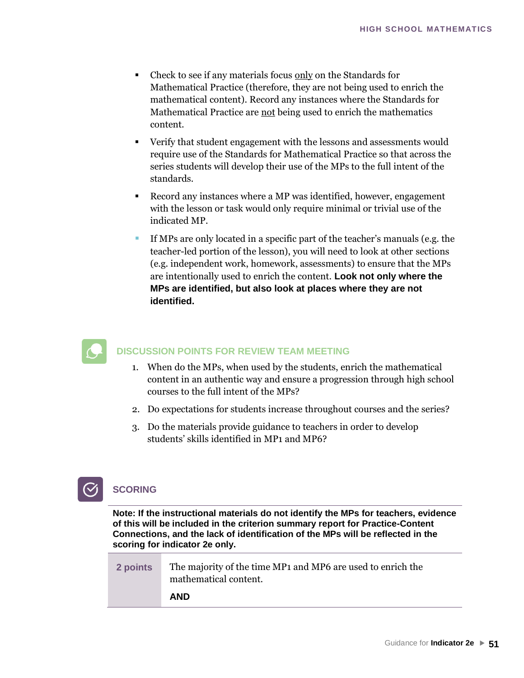- Check to see if any materials focus only on the Standards for Mathematical Practice (therefore, they are not being used to enrich the mathematical content). Record any instances where the Standards for Mathematical Practice are not being used to enrich the mathematics content.
- Verify that student engagement with the lessons and assessments would require use of the Standards for Mathematical Practice so that across the series students will develop their use of the MPs to the full intent of the standards.
- Record any instances where a MP was identified, however, engagement with the lesson or task would only require minimal or trivial use of the indicated MP.
- If MPs are only located in a specific part of the teacher's manuals (e.g. the teacher-led portion of the lesson), you will need to look at other sections (e.g. independent work, homework, assessments) to ensure that the MPs are intentionally used to enrich the content. **Look not only where the MPs are identified, but also look at places where they are not identified.**



- 1. When do the MPs, when used by the students, enrich the mathematical content in an authentic way and ensure a progression through high school courses to the full intent of the MPs?
- 2. Do expectations for students increase throughout courses and the series?
- 3. Do the materials provide guidance to teachers in order to develop students' skills identified in MP1 and MP6?



#### **Note: If the instructional materials do not identify the MPs for teachers, evidence of this will be included in the criterion summary report for Practice-Content Connections, and the lack of identification of the MPs will be reflected in the scoring for indicator 2e only.**

| 2 points | The majority of the time MP <sub>1</sub> and MP <sub>6</sub> are used to enrich the<br>mathematical content. |
|----------|--------------------------------------------------------------------------------------------------------------|
|          | <b>AND</b>                                                                                                   |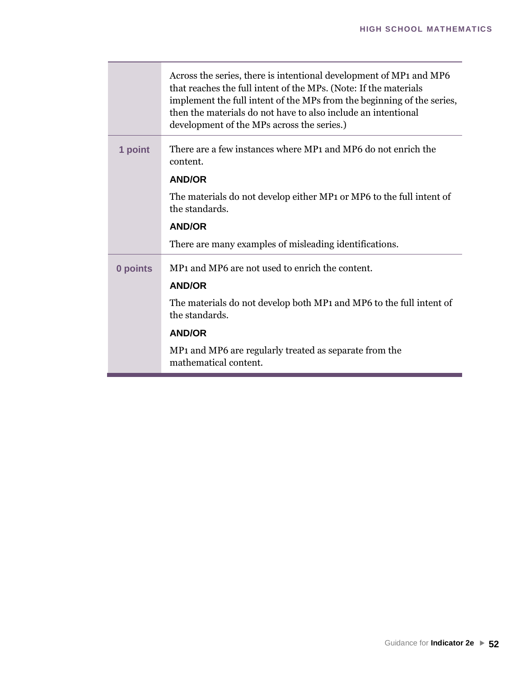|          | Across the series, there is intentional development of MP1 and MP6<br>that reaches the full intent of the MPs. (Note: If the materials<br>implement the full intent of the MPs from the beginning of the series,<br>then the materials do not have to also include an intentional<br>development of the MPs across the series.) |
|----------|---------------------------------------------------------------------------------------------------------------------------------------------------------------------------------------------------------------------------------------------------------------------------------------------------------------------------------|
| 1 point  | There are a few instances where MP1 and MP6 do not enrich the<br>content.                                                                                                                                                                                                                                                       |
|          | <b>AND/OR</b>                                                                                                                                                                                                                                                                                                                   |
|          | The materials do not develop either MP1 or MP6 to the full intent of<br>the standards.                                                                                                                                                                                                                                          |
|          | <b>AND/OR</b>                                                                                                                                                                                                                                                                                                                   |
|          | There are many examples of misleading identifications.                                                                                                                                                                                                                                                                          |
| 0 points | MP1 and MP6 are not used to enrich the content.                                                                                                                                                                                                                                                                                 |
|          | <b>AND/OR</b>                                                                                                                                                                                                                                                                                                                   |
|          | The materials do not develop both MP1 and MP6 to the full intent of<br>the standards.                                                                                                                                                                                                                                           |
|          | <b>AND/OR</b>                                                                                                                                                                                                                                                                                                                   |
|          | MP <sub>1</sub> and MP <sub>6</sub> are regularly treated as separate from the<br>mathematical content.                                                                                                                                                                                                                         |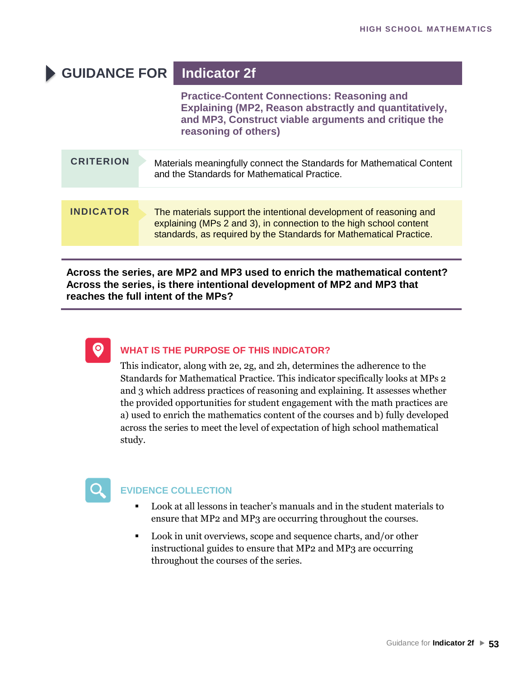## **GUIDANCE FOR Indicator 2f**

**Practice-Content Connections: Reasoning and Explaining (MP2, Reason abstractly and quantitatively, and MP3, Construct viable arguments and critique the reasoning of others)**

| <b>CRITERION</b> | Materials meaningfully connect the Standards for Mathematical Content<br>and the Standards for Mathematical Practice.                                                                                          |
|------------------|----------------------------------------------------------------------------------------------------------------------------------------------------------------------------------------------------------------|
|                  |                                                                                                                                                                                                                |
| <b>INDICATOR</b> | The materials support the intentional development of reasoning and<br>explaining (MPs 2 and 3), in connection to the high school content<br>standards, as required by the Standards for Mathematical Practice. |

**Across the series, are MP2 and MP3 used to enrich the mathematical content? Across the series, is there intentional development of MP2 and MP3 that reaches the full intent of the MPs?**



#### **WHAT IS THE PURPOSE OF THIS INDICATOR?**

This indicator, along with 2e, 2g, and 2h, determines the adherence to the Standards for Mathematical Practice. This indicator specifically looks at MPs 2 and 3 which address practices of reasoning and explaining. It assesses whether the provided opportunities for student engagement with the math practices are a) used to enrich the mathematics content of the courses and b) fully developed across the series to meet the level of expectation of high school mathematical study.



- Look at all lessons in teacher's manuals and in the student materials to ensure that MP2 and MP3 are occurring throughout the courses.
- Look in unit overviews, scope and sequence charts, and/or other instructional guides to ensure that MP2 and MP3 are occurring throughout the courses of the series.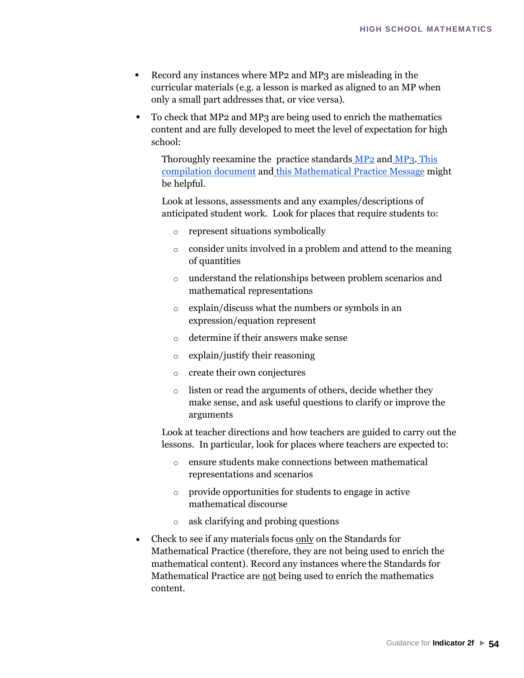- Record any instances where MP2 and MP3 are misleading in the curricular materials (e.g. a lesson is marked as aligned to an MP when only a small part addresses that, or vice versa).
- To check that MP2 and MP3 are being used to enrich the mathematics content and are fully developed to meet the level of expectation for high school:

Thoroughly reexamine the practice standards [MP2](http://www.corestandards.org/Math/Practice/#CCSS.Math.Practice.MP2) [and](http://www.corestandards.org/Math/Practice/#CCSS.Math.Practice.MP2) [MP3.](http://www.corestandards.org/Math/Practice/#CCSS.Math.Practice.MP3) [This](https://drive.google.com/a/mead354.org/file/d/0B9t46rM82-quQndiM29rUDN4Z2c/view?usp=sharing)  [compilation document](https://drive.google.com/a/mead354.org/file/d/0B9t46rM82-quQndiM29rUDN4Z2c/view?usp=sharing) and [this Mathematical Pra](https://drive.google.com/a/mead354.org/file/d/0B9t46rM82-quQndiM29rUDN4Z2c/view?usp=sharing)ctice Message might be helpful.

Look at lessons, assessments and any examples/descriptions of anticipated student work. Look for places that require students to:

- o represent situations symbolically
- o consider units involved in a problem and attend to the meaning of quantities
- o understand the relationships between problem scenarios and mathematical representations
- o explain/discuss what the numbers or symbols in an expression/equation represent
- o determine if their answers make sense
- o explain/justify their reasoning
- o create their own conjectures
- o listen or read the arguments of others, decide whether they make sense, and ask useful questions to clarify or improve the arguments

Look at teacher directions and how teachers are guided to carry out the lessons. In particular, look for places where teachers are expected to:

- o ensure students make connections between mathematical representations and scenarios
- o provide opportunities for students to engage in active mathematical discourse
- ask clarifying and probing questions
- Check to see if any materials focus only on the Standards for Mathematical Practice (therefore, they are not being used to enrich the mathematical content). Record any instances where the Standards for Mathematical Practice are not being used to enrich the mathematics content.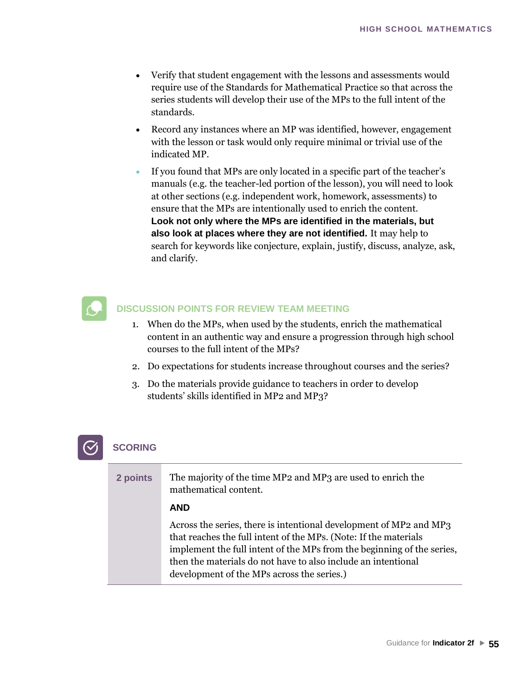- Verify that student engagement with the lessons and assessments would require use of the Standards for Mathematical Practice so that across the series students will develop their use of the MPs to the full intent of the standards.
- Record any instances where an MP was identified, however, engagement with the lesson or task would only require minimal or trivial use of the indicated MP.
- If you found that MPs are only located in a specific part of the teacher's manuals (e.g. the teacher-led portion of the lesson), you will need to look at other sections (e.g. independent work, homework, assessments) to ensure that the MPs are intentionally used to enrich the content. **Look not only where the MPs are identified in the materials, but also look at places where they are not identified.** It may help to search for keywords like conjecture, explain, justify, discuss, analyze, ask, and clarify.



- 1. When do the MPs, when used by the students, enrich the mathematical content in an authentic way and ensure a progression through high school courses to the full intent of the MPs?
- 2. Do expectations for students increase throughout courses and the series?
- 3. Do the materials provide guidance to teachers in order to develop students' skills identified in MP2 and MP3?

| 2 points | The majority of the time MP <sub>2</sub> and MP <sub>3</sub> are used to enrich the<br>mathematical content.                            |
|----------|-----------------------------------------------------------------------------------------------------------------------------------------|
|          | <b>AND</b>                                                                                                                              |
|          | Across the series, there is intentional development of MP2 and MP3<br>that reaches the full intent of the MPs. (Note: If the materials  |
|          | implement the full intent of the MPs from the beginning of the series,<br>then the materials do not have to also include an intentional |
|          | development of the MPs across the series.)                                                                                              |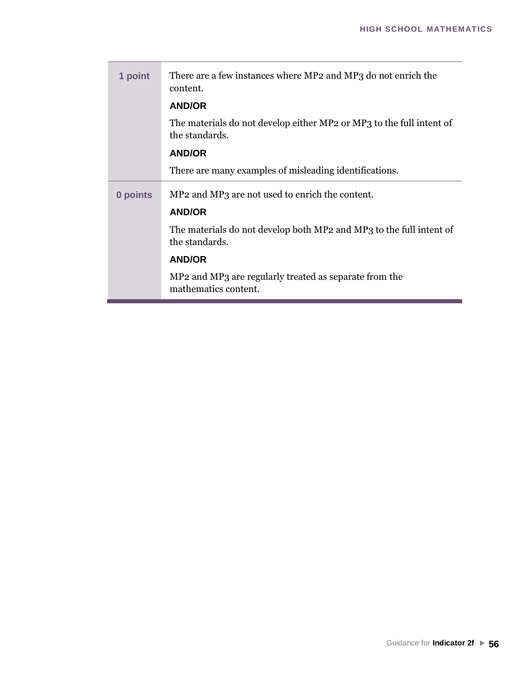| 1 point  | There are a few instances where MP2 and MP3 do not enrich the<br>content.              |
|----------|----------------------------------------------------------------------------------------|
|          | <b>AND/OR</b>                                                                          |
|          | The materials do not develop either MP2 or MP3 to the full intent of<br>the standards. |
|          | <b>AND/OR</b>                                                                          |
|          | There are many examples of misleading identifications.                                 |
|          |                                                                                        |
| 0 points | MP <sub>2</sub> and MP <sub>3</sub> are not used to enrich the content.                |
|          | <b>AND/OR</b>                                                                          |
|          | The materials do not develop both MP2 and MP3 to the full intent of<br>the standards.  |
|          | <b>AND/OR</b>                                                                          |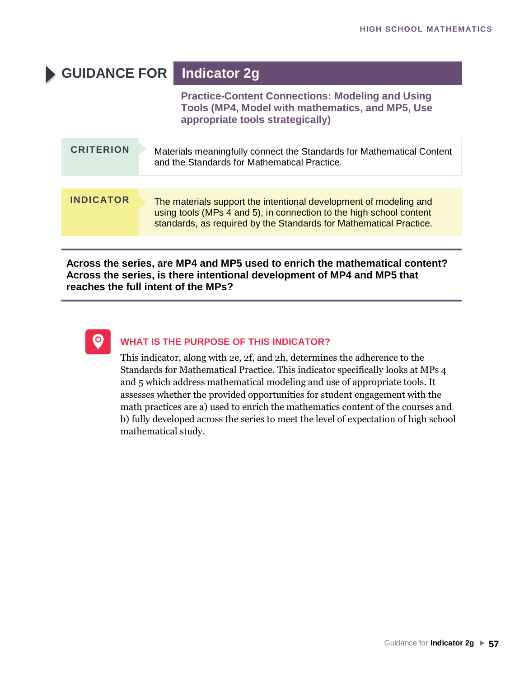## **GUIDANCE FOR Indicator 2g**

**Practice-Content Connections: Modeling and Using Tools (MP4, Model with mathematics, and MP5, Use appropriate tools strategically)**

| <b>CRITERION</b> | Materials meaningfully connect the Standards for Mathematical Content<br>and the Standards for Mathematical Practice.                                                                                          |
|------------------|----------------------------------------------------------------------------------------------------------------------------------------------------------------------------------------------------------------|
|                  |                                                                                                                                                                                                                |
| <b>INDICATOR</b> | The materials support the intentional development of modeling and<br>using tools (MPs 4 and 5), in connection to the high school content<br>standards, as required by the Standards for Mathematical Practice. |
|                  |                                                                                                                                                                                                                |

#### **Across the series, are MP4 and MP5 used to enrich the mathematical content? Across the series, is there intentional development of MP4 and MP5 that reaches the full intent of the MPs?**



#### **WHAT IS THE PURPOSE OF THIS INDICATOR?**

This indicator, along with 2e, 2f, and 2h, determines the adherence to the Standards for Mathematical Practice. This indicator specifically looks at MPs 4 and 5 which address mathematical modeling and use of appropriate tools. It assesses whether the provided opportunities for student engagement with the math practices are a) used to enrich the mathematics content of the courses and b) fully developed across the series to meet the level of expectation of high school mathematical study.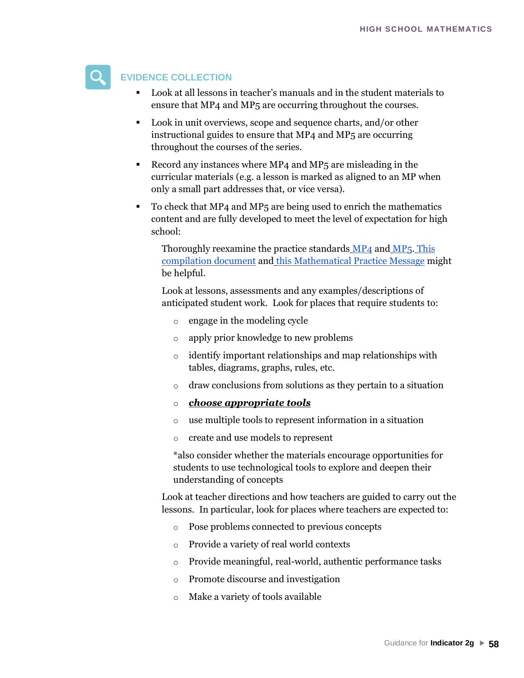

#### **EVIDENCE COLLECTION**

- Look at all lessons in teacher's manuals and in the student materials to ensure that MP4 and MP5 are occurring throughout the courses.
- Look in unit overviews, scope and sequence charts, and/or other instructional guides to ensure that MP4 and MP5 are occurring throughout the courses of the series.
- Record any instances where MP4 and MP<sub>5</sub> are misleading in the curricular materials (e.g. a lesson is marked as aligned to an MP when only a small part addresses that, or vice versa).
- To check that MP4 and MP<sub>5</sub> are being used to enrich the mathematics content and are fully developed to meet the level of expectation for high school:

Thoroughly reexamine the practice standards [MP4](http://www.corestandards.org/Math/Practice/#CCSS.Math.Practice.MP1) [and](http://www.corestandards.org/Math/Practice/#CCSS.Math.Practice.MP1) [MP5.](http://www.corestandards.org/Math/Practice/#CCSS.Math.Practice.MP6) [This](https://drive.google.com/a/mead354.org/file/d/0B9t46rM82-quQndiM29rUDN4Z2c/view?usp=sharing)  [compilation document](https://drive.google.com/a/mead354.org/file/d/0B9t46rM82-quQndiM29rUDN4Z2c/view?usp=sharing) and [this Mathematical Pra](https://drive.google.com/a/mead354.org/file/d/0B9t46rM82-quQndiM29rUDN4Z2c/view?usp=sharing)ctice Message might be helpful.

Look at lessons, assessments and any examples/descriptions of anticipated student work. Look for places that require students to:

- engage in the modeling cycle
- o apply prior knowledge to new problems
- o identify important relationships and map relationships with tables, diagrams, graphs, rules, etc.
- o draw conclusions from solutions as they pertain to a situation
- o *choose appropriate tools*
- o use multiple tools to represent information in a situation
- o create and use models to represent

\*also consider whether the materials encourage opportunities for students to use technological tools to explore and deepen their understanding of concepts

Look at teacher directions and how teachers are guided to carry out the lessons. In particular, look for places where teachers are expected to:

- o Pose problems connected to previous concepts
- o Provide a variety of real world contexts
- o Provide meaningful, real-world, authentic performance tasks
- o Promote discourse and investigation
- o Make a variety of tools available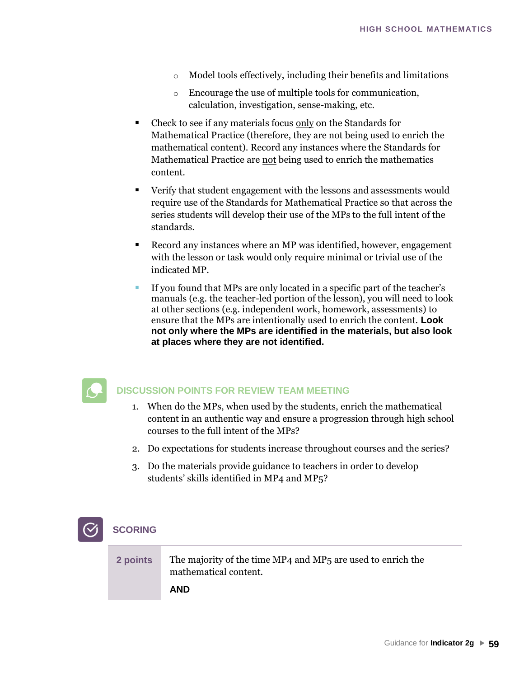- o Model tools effectively, including their benefits and limitations
- o Encourage the use of multiple tools for communication, calculation, investigation, sense-making, etc.
- Check to see if any materials focus only on the Standards for Mathematical Practice (therefore, they are not being used to enrich the mathematical content). Record any instances where the Standards for Mathematical Practice are not being used to enrich the mathematics content.
- Verify that student engagement with the lessons and assessments would require use of the Standards for Mathematical Practice so that across the series students will develop their use of the MPs to the full intent of the standards.
- Record any instances where an MP was identified, however, engagement with the lesson or task would only require minimal or trivial use of the indicated MP.
- If you found that MPs are only located in a specific part of the teacher's manuals (e.g. the teacher-led portion of the lesson), you will need to look at other sections (e.g. independent work, homework, assessments) to ensure that the MPs are intentionally used to enrich the content. **Look not only where the MPs are identified in the materials, but also look at places where they are not identified.**



- 1. When do the MPs, when used by the students, enrich the mathematical content in an authentic way and ensure a progression through high school courses to the full intent of the MPs?
- 2. Do expectations for students increase throughout courses and the series?
- 3. Do the materials provide guidance to teachers in order to develop students' skills identified in MP4 and MP5?

| 2 points | The majority of the time MP4 and MP5 are used to enrich the<br>mathematical content. |
|----------|--------------------------------------------------------------------------------------|
|          | <b>AND</b>                                                                           |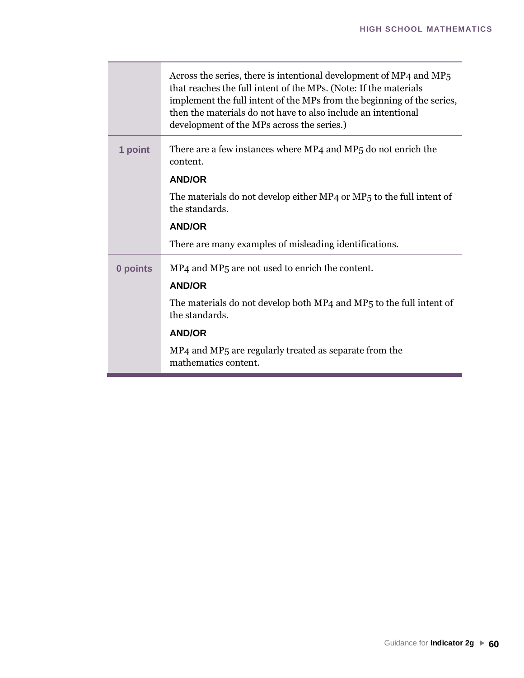|          | Across the series, there is intentional development of MP4 and MP5<br>that reaches the full intent of the MPs. (Note: If the materials<br>implement the full intent of the MPs from the beginning of the series,<br>then the materials do not have to also include an intentional<br>development of the MPs across the series.) |
|----------|---------------------------------------------------------------------------------------------------------------------------------------------------------------------------------------------------------------------------------------------------------------------------------------------------------------------------------|
| 1 point  | There are a few instances where MP4 and MP5 do not enrich the<br>content.                                                                                                                                                                                                                                                       |
|          | <b>AND/OR</b>                                                                                                                                                                                                                                                                                                                   |
|          | The materials do not develop either MP4 or MP5 to the full intent of<br>the standards.                                                                                                                                                                                                                                          |
|          | <b>AND/OR</b>                                                                                                                                                                                                                                                                                                                   |
|          | There are many examples of misleading identifications.                                                                                                                                                                                                                                                                          |
| 0 points | MP <sub>4</sub> and MP <sub>5</sub> are not used to enrich the content.                                                                                                                                                                                                                                                         |
|          | <b>AND/OR</b>                                                                                                                                                                                                                                                                                                                   |
|          | The materials do not develop both MP4 and MP5 to the full intent of<br>the standards.                                                                                                                                                                                                                                           |
|          | <b>AND/OR</b>                                                                                                                                                                                                                                                                                                                   |
|          | MP4 and MP5 are regularly treated as separate from the<br>mathematics content.                                                                                                                                                                                                                                                  |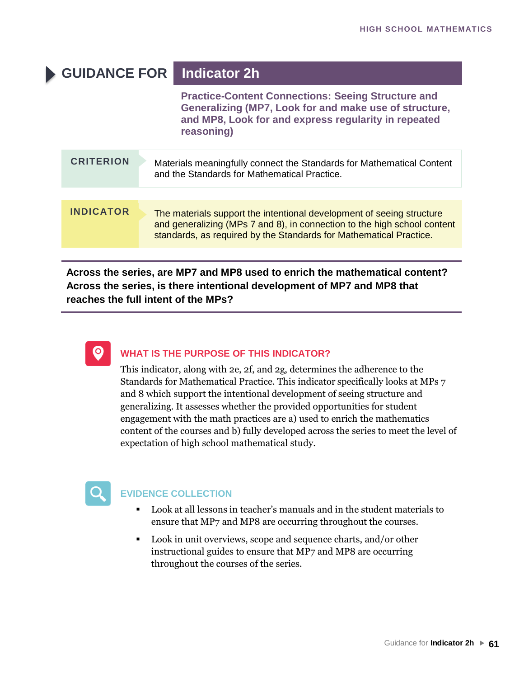## **GUIDANCE FOR Indicator 2h**

**Practice-Content Connections: Seeing Structure and Generalizing (MP7, Look for and make use of structure, and MP8, Look for and express regularity in repeated reasoning)**

| <b>CRITERION</b> | Materials meaningfully connect the Standards for Mathematical Content<br>and the Standards for Mathematical Practice.                                                                                                   |
|------------------|-------------------------------------------------------------------------------------------------------------------------------------------------------------------------------------------------------------------------|
|                  |                                                                                                                                                                                                                         |
| <b>INDICATOR</b> | The materials support the intentional development of seeing structure<br>and generalizing (MPs 7 and 8), in connection to the high school content<br>standards, as required by the Standards for Mathematical Practice. |

**Across the series, are MP7 and MP8 used to enrich the mathematical content? Across the series, is there intentional development of MP7 and MP8 that reaches the full intent of the MPs?**



#### **WHAT IS THE PURPOSE OF THIS INDICATOR?**

This indicator, along with 2e, 2f, and 2g, determines the adherence to the Standards for Mathematical Practice. This indicator specifically looks at MPs 7 and 8 which support the intentional development of seeing structure and generalizing. It assesses whether the provided opportunities for student engagement with the math practices are a) used to enrich the mathematics content of the courses and b) fully developed across the series to meet the level of expectation of high school mathematical study.



- Look at all lessons in teacher's manuals and in the student materials to ensure that MP7 and MP8 are occurring throughout the courses.
- Look in unit overviews, scope and sequence charts, and/or other instructional guides to ensure that MP7 and MP8 are occurring throughout the courses of the series.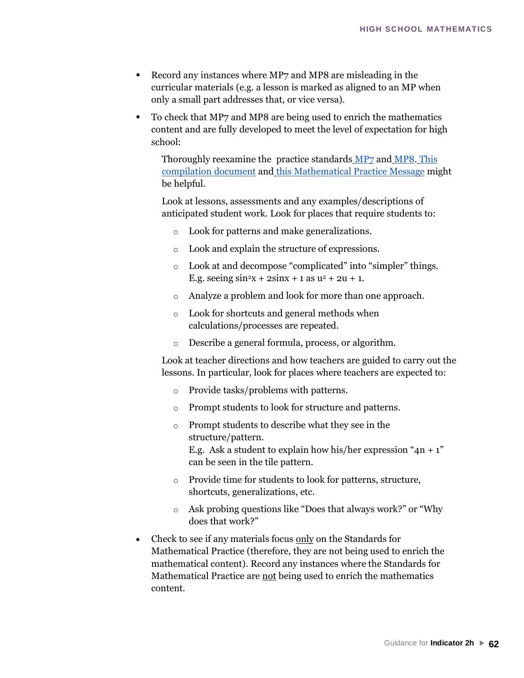- Record any instances where MP7 and MP8 are misleading in the curricular materials (e.g. a lesson is marked as aligned to an MP when only a small part addresses that, or vice versa).
- To check that MP7 and MP8 are being used to enrich the mathematics content and are fully developed to meet the level of expectation for high school:

Thoroughly reexamine the practice standards [MP7](http://www.corestandards.org/Math/Practice/#CCSS.Math.Practice.MP1) [and](http://www.corestandards.org/Math/Practice/#CCSS.Math.Practice.MP1) [MP8.](http://www.corestandards.org/Math/Practice/#CCSS.Math.Practice.MP6) [This](https://drive.google.com/a/mead354.org/file/d/0B9t46rM82-quQndiM29rUDN4Z2c/view?usp=sharing)  [compilation document](https://drive.google.com/a/mead354.org/file/d/0B9t46rM82-quQndiM29rUDN4Z2c/view?usp=sharing) and [this Mathematical Pra](https://drive.google.com/a/mead354.org/file/d/0B9t46rM82-quQndiM29rUDN4Z2c/view?usp=sharing)ctice Message might be helpful.

Look at lessons, assessments and any examples/descriptions of anticipated student work. Look for places that require students to:

- o Look for patterns and make generalizations.
- o Look and explain the structure of expressions.
- o Look at and decompose "complicated" into "simpler" things. E.g. seeing  $\sin^2 x + 2\sin x + 1$  as  $u^2 + 2u + 1$ .
- o Analyze a problem and look for more than one approach.
- o Look for shortcuts and general methods when calculations/processes are repeated.
- o Describe a general formula, process, or algorithm.

Look at teacher directions and how teachers are guided to carry out the lessons. In particular, look for places where teachers are expected to:

- o Provide tasks/problems with patterns.
- o Prompt students to look for structure and patterns.
- o Prompt students to describe what they see in the structure/pattern.

E.g. Ask a student to explain how his/her expression " $4n + 1$ " can be seen in the tile pattern.

- o Provide time for students to look for patterns, structure, shortcuts, generalizations, etc.
- o Ask probing questions like "Does that always work?" or "Why does that work?"
- Check to see if any materials focus only on the Standards for Mathematical Practice (therefore, they are not being used to enrich the mathematical content). Record any instances where the Standards for Mathematical Practice are not being used to enrich the mathematics content.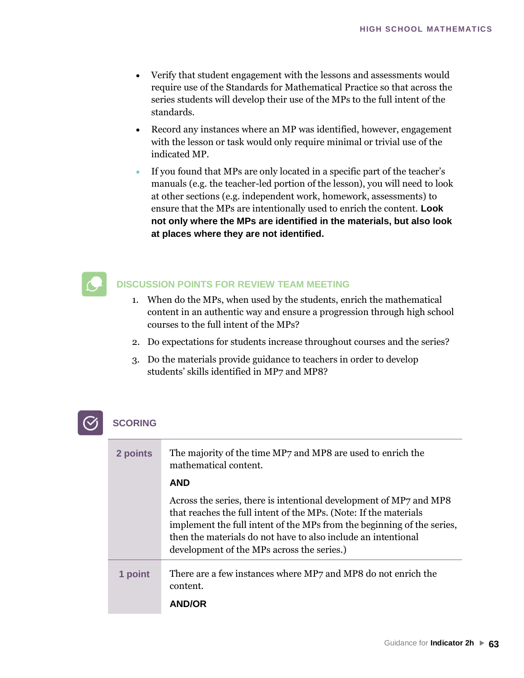- Verify that student engagement with the lessons and assessments would require use of the Standards for Mathematical Practice so that across the series students will develop their use of the MPs to the full intent of the standards.
- Record any instances where an MP was identified, however, engagement with the lesson or task would only require minimal or trivial use of the indicated MP.
- If you found that MPs are only located in a specific part of the teacher's manuals (e.g. the teacher-led portion of the lesson), you will need to look at other sections (e.g. independent work, homework, assessments) to ensure that the MPs are intentionally used to enrich the content. **Look not only where the MPs are identified in the materials, but also look at places where they are not identified.**

- 1. When do the MPs, when used by the students, enrich the mathematical content in an authentic way and ensure a progression through high school courses to the full intent of the MPs?
- 2. Do expectations for students increase throughout courses and the series?
- 3. Do the materials provide guidance to teachers in order to develop students' skills identified in MP7 and MP8?

| 2 points | The majority of the time MP7 and MP8 are used to enrich the<br>mathematical content.                                                                                                                                                                                                                                            |
|----------|---------------------------------------------------------------------------------------------------------------------------------------------------------------------------------------------------------------------------------------------------------------------------------------------------------------------------------|
|          | <b>AND</b>                                                                                                                                                                                                                                                                                                                      |
|          | Across the series, there is intentional development of MP7 and MP8<br>that reaches the full intent of the MPs. (Note: If the materials<br>implement the full intent of the MPs from the beginning of the series,<br>then the materials do not have to also include an intentional<br>development of the MPs across the series.) |
| 1 point  | There are a few instances where MP7 and MP8 do not enrich the<br>content.<br><b>AND/OR</b>                                                                                                                                                                                                                                      |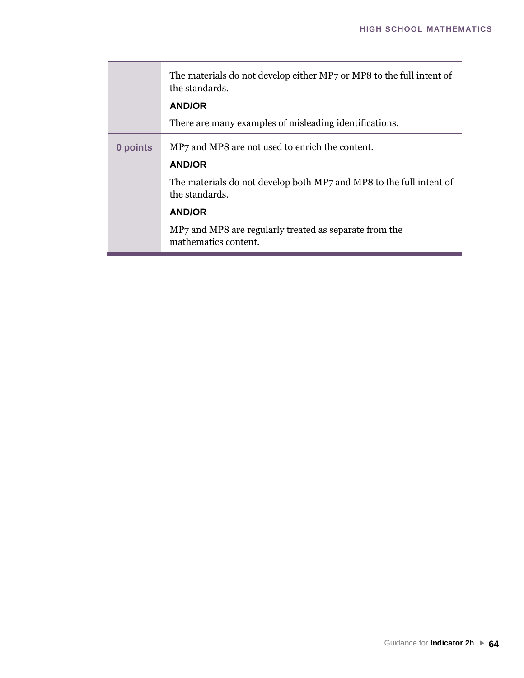|          | The materials do not develop either MP7 or MP8 to the full intent of<br>the standards.<br><b>AND/OR</b> |
|----------|---------------------------------------------------------------------------------------------------------|
|          |                                                                                                         |
|          | There are many examples of misleading identifications.                                                  |
| 0 points | MP7 and MP8 are not used to enrich the content.<br><b>AND/OR</b>                                        |
|          | The materials do not develop both MP7 and MP8 to the full intent of<br>the standards.                   |
|          | <b>AND/OR</b>                                                                                           |
|          | MP7 and MP8 are regularly treated as separate from the<br>mathematics content.                          |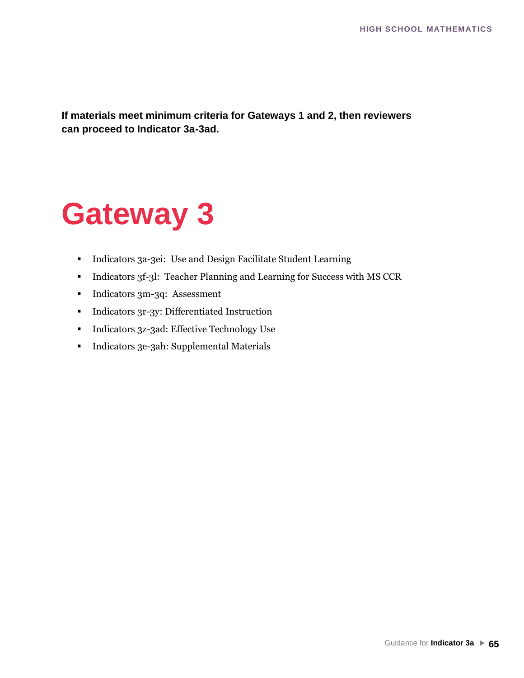**If materials meet minimum criteria for Gateways 1 and 2, then reviewers can proceed to Indicator 3a-3ad.**

# **Gateway 3**

- Indicators 3a-3ei: Use and Design Facilitate Student Learning
- Indicators 3f-3l: Teacher Planning and Learning for Success with MS CCR
- **•** Indicators 3m-3q: Assessment
- Indicators 3r-3y: Differentiated Instruction
- Indicators 3z-3ad: Effective Technology Use
- Indicators 3e-3ah: Supplemental Materials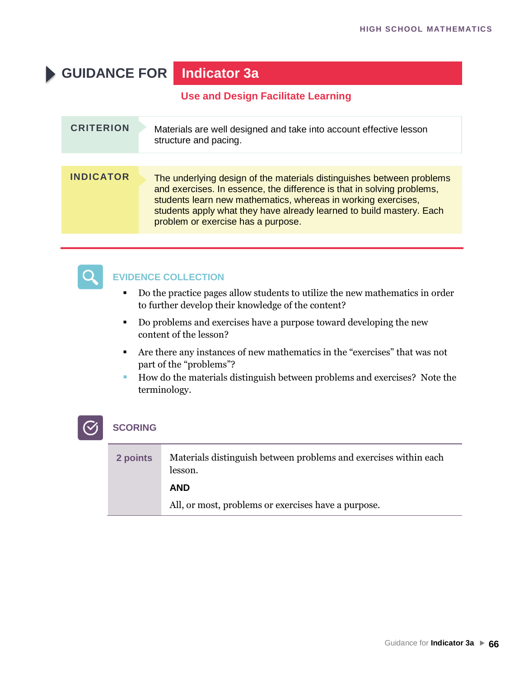## **GUIDANCE FOR Indicator 3a**

#### **Use and Design Facilitate Learning**

| <b>CRITERION</b> | Materials are well designed and take into account effective lesson<br>structure and pacing.                                                                                                                                                                                                                                    |
|------------------|--------------------------------------------------------------------------------------------------------------------------------------------------------------------------------------------------------------------------------------------------------------------------------------------------------------------------------|
|                  |                                                                                                                                                                                                                                                                                                                                |
| <b>INDICATOR</b> | The underlying design of the materials distinguishes between problems<br>and exercises. In essence, the difference is that in solving problems,<br>students learn new mathematics, whereas in working exercises,<br>students apply what they have already learned to build mastery. Each<br>problem or exercise has a purpose. |



#### **EVIDENCE COLLECTION**

- Do the practice pages allow students to utilize the new mathematics in order to further develop their knowledge of the content?
- Do problems and exercises have a purpose toward developing the new content of the lesson?
- Are there any instances of new mathematics in the "exercises" that was not part of the "problems"?
- How do the materials distinguish between problems and exercises? Note the terminology.

| 2 points | Materials distinguish between problems and exercises within each<br>lesson. |
|----------|-----------------------------------------------------------------------------|
|          | <b>AND</b>                                                                  |
|          | All, or most, problems or exercises have a purpose.                         |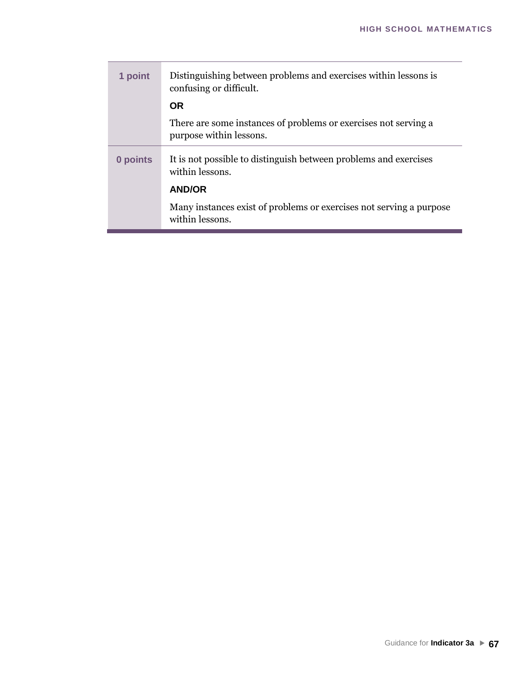| 1 point  | Distinguishing between problems and exercises within lessons is<br>confusing or difficult. |
|----------|--------------------------------------------------------------------------------------------|
|          | <b>OR</b>                                                                                  |
|          | There are some instances of problems or exercises not serving a<br>purpose within lessons. |
| 0 points | It is not possible to distinguish between problems and exercises<br>within lessons.        |
|          | <b>AND/OR</b>                                                                              |
|          | Many instances exist of problems or exercises not serving a purpose<br>within lessons.     |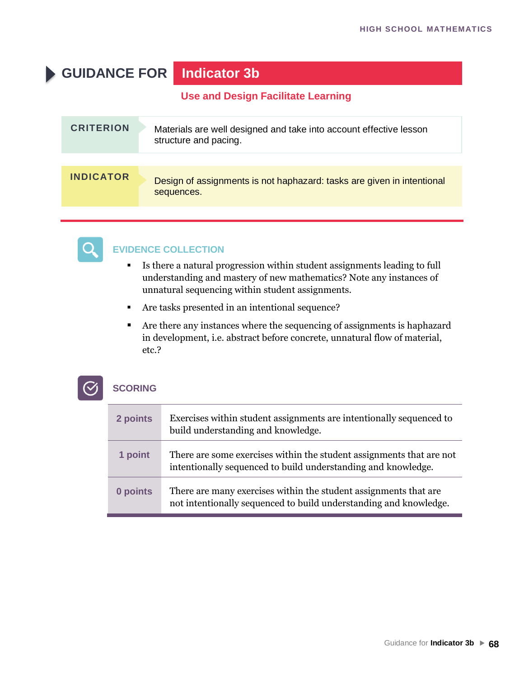## **GUIDANCE FOR Indicator 3b**

#### **Use and Design Facilitate Learning**

| <b>CRITERION</b> | Materials are well designed and take into account effective lesson<br>structure and pacing. |
|------------------|---------------------------------------------------------------------------------------------|
|                  |                                                                                             |
| <b>INDICATOR</b> | Design of assignments is not haphazard: tasks are given in intentional<br>sequences.        |



#### **EVIDENCE COLLECTION**

- Is there a natural progression within student assignments leading to full understanding and mastery of new mathematics? Note any instances of unnatural sequencing within student assignments.
- Are tasks presented in an intentional sequence?
- Are there any instances where the sequencing of assignments is haphazard in development, i.e. abstract before concrete, unnatural flow of material, etc.?

| 2 points | Exercises within student assignments are intentionally sequenced to<br>build understanding and knowledge.                             |
|----------|---------------------------------------------------------------------------------------------------------------------------------------|
| 1 point  | There are some exercises within the student assignments that are not<br>intentionally sequenced to build understanding and knowledge. |
| 0 points | There are many exercises within the student assignments that are<br>not intentionally sequenced to build understanding and knowledge. |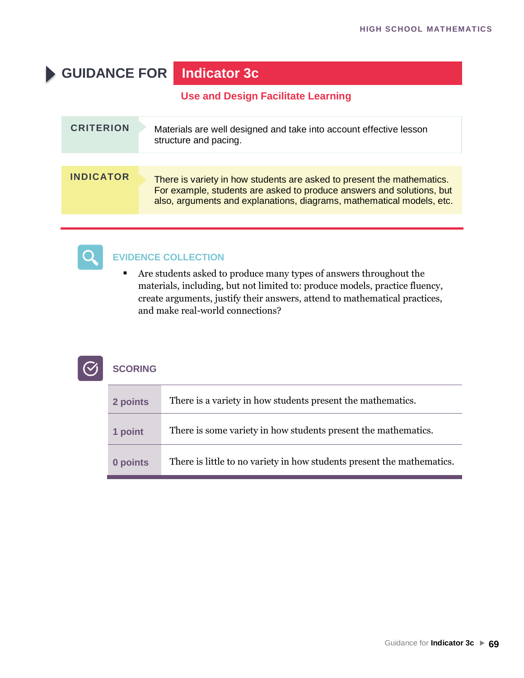## **GUIDANCE FOR Indicator 3c**

#### **Use and Design Facilitate Learning**

| <b>CRITERION</b> | Materials are well designed and take into account effective lesson<br>structure and pacing.                                                                                                                              |
|------------------|--------------------------------------------------------------------------------------------------------------------------------------------------------------------------------------------------------------------------|
|                  |                                                                                                                                                                                                                          |
| <b>INDICATOR</b> | There is variety in how students are asked to present the mathematics.<br>For example, students are asked to produce answers and solutions, but<br>also, arguments and explanations, diagrams, mathematical models, etc. |



#### **EVIDENCE COLLECTION**

■ Are students asked to produce many types of answers throughout the materials, including, but not limited to: produce models, practice fluency, create arguments, justify their answers, attend to mathematical practices, and make real-world connections?

| 2 points | There is a variety in how students present the mathematics.            |
|----------|------------------------------------------------------------------------|
| 1 point  | There is some variety in how students present the mathematics.         |
| 0 points | There is little to no variety in how students present the mathematics. |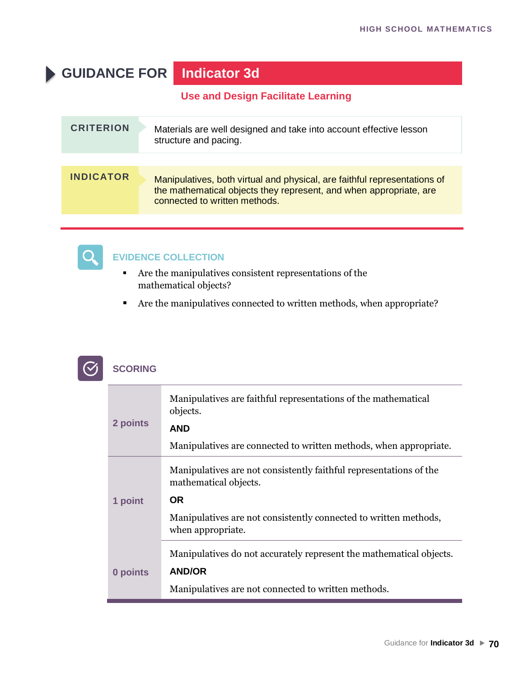## **GUIDANCE FOR Indicator 3d**

**Use and Design Facilitate Learning**

| <b>CRITERION</b> | Materials are well designed and take into account effective lesson<br>structure and pacing.                                                                                      |
|------------------|----------------------------------------------------------------------------------------------------------------------------------------------------------------------------------|
|                  |                                                                                                                                                                                  |
| <b>INDICATOR</b> | Manipulatives, both virtual and physical, are faithful representations of<br>the mathematical objects they represent, and when appropriate, are<br>connected to written methods. |



- Are the manipulatives consistent representations of the mathematical objects?
- Are the manipulatives connected to written methods, when appropriate?

|  | <b>SCORING</b> |
|--|----------------|
|--|----------------|

| 2 points | Manipulatives are faithful representations of the mathematical<br>objects.<br><b>AND</b>                                                    |
|----------|---------------------------------------------------------------------------------------------------------------------------------------------|
|          | Manipulatives are connected to written methods, when appropriate.                                                                           |
| 1 point  | Manipulatives are not consistently faithful representations of the<br>mathematical objects.<br><b>OR</b>                                    |
|          | Manipulatives are not consistently connected to written methods,<br>when appropriate.                                                       |
| 0 points | Manipulatives do not accurately represent the mathematical objects.<br><b>AND/OR</b><br>Manipulatives are not connected to written methods. |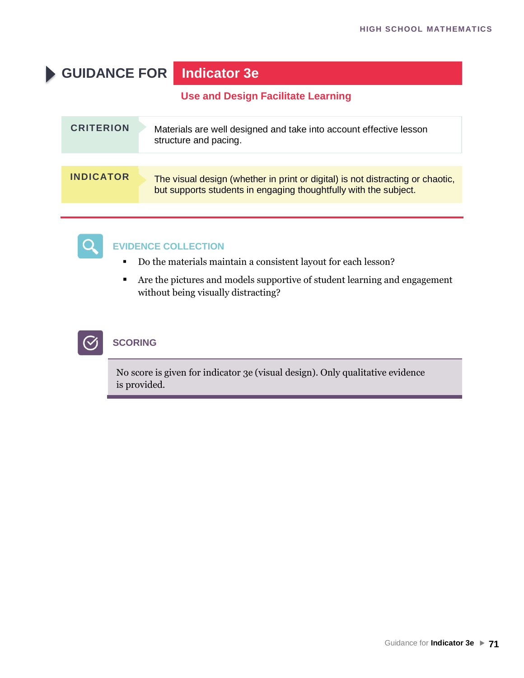## **GUIDANCE FOR Indicator 3e**

**Use and Design Facilitate Learning**

| <b>CRITERION</b> | Materials are well designed and take into account effective lesson<br>structure and pacing.                                                        |
|------------------|----------------------------------------------------------------------------------------------------------------------------------------------------|
| <b>INDICATOR</b> | The visual design (whether in print or digital) is not distracting or chaotic,<br>but supports students in engaging thoughtfully with the subject. |



#### **EVIDENCE COLLECTION**

- Do the materials maintain a consistent layout for each lesson?
- Are the pictures and models supportive of student learning and engagement without being visually distracting?



#### **SCORING**

No score is given for indicator 3e (visual design). Only qualitative evidence is provided.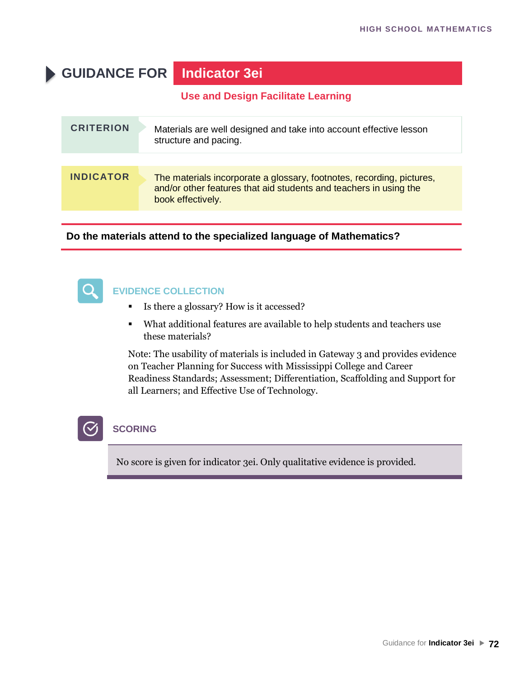## **GUIDANCE FOR Indicator 3ei**

**Use and Design Facilitate Learning**

| <b>CRITERION</b> | Materials are well designed and take into account effective lesson<br>structure and pacing.                                                                     |
|------------------|-----------------------------------------------------------------------------------------------------------------------------------------------------------------|
| <b>INDICATOR</b> | The materials incorporate a glossary, footnotes, recording, pictures,<br>and/or other features that aid students and teachers in using the<br>book effectively. |

**Do the materials attend to the specialized language of Mathematics?**



#### **EVIDENCE COLLECTION**

- Is there a glossary? How is it accessed?
- What additional features are available to help students and teachers use these materials?

Note: The usability of materials is included in Gateway 3 and provides evidence on Teacher Planning for Success with Mississippi College and Career Readiness Standards; Assessment; Differentiation, Scaffolding and Support for all Learners; and Effective Use of Technology.



#### **SCORING**

No score is given for indicator 3ei. Only qualitative evidence is provided.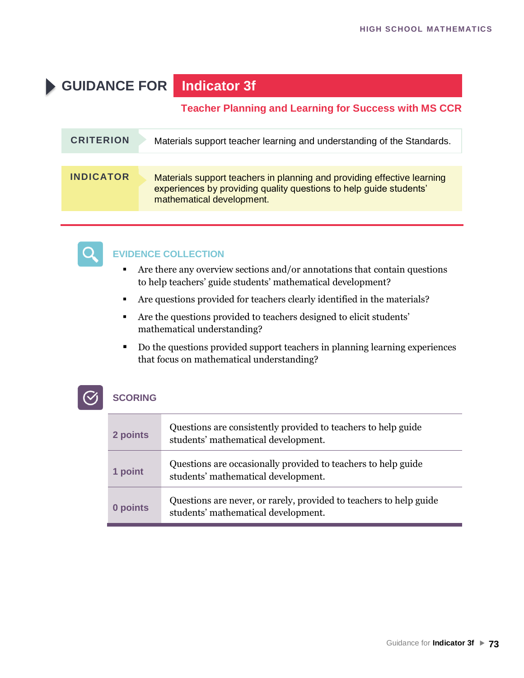# **GUIDANCE FOR Indicator 3f**

#### **Teacher Planning and Learning for Success with MS CCR**

| <b>CRITERION</b> | Materials support teacher learning and understanding of the Standards.                                                                                                     |
|------------------|----------------------------------------------------------------------------------------------------------------------------------------------------------------------------|
|                  |                                                                                                                                                                            |
| <b>INDICATOR</b> | Materials support teachers in planning and providing effective learning<br>experiences by providing quality questions to help guide students'<br>mathematical development. |



#### **EVIDENCE COLLECTION**

- Are there any overview sections and/or annotations that contain questions to help teachers' guide students' mathematical development?
- Are questions provided for teachers clearly identified in the materials?
- Are the questions provided to teachers designed to elicit students' mathematical understanding?
- Do the questions provided support teachers in planning learning experiences that focus on mathematical understanding?

| 2 points | Questions are consistently provided to teachers to help guide<br>students' mathematical development.      |
|----------|-----------------------------------------------------------------------------------------------------------|
| 1 point  | Questions are occasionally provided to teachers to help guide<br>students' mathematical development.      |
| 0 points | Questions are never, or rarely, provided to teachers to help guide<br>students' mathematical development. |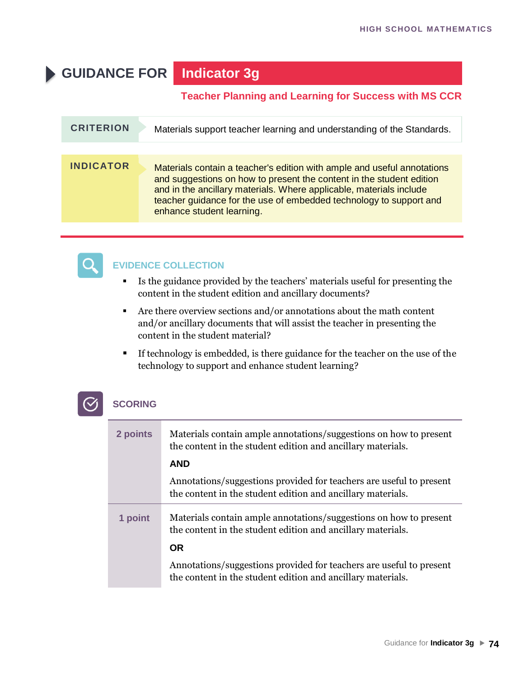# **GUIDANCE FOR Indicator 3g**

#### **Teacher Planning and Learning for Success with MS CCR**

| <b>CRITERION</b> | Materials support teacher learning and understanding of the Standards.                                                                                                                                                                                                                                                    |
|------------------|---------------------------------------------------------------------------------------------------------------------------------------------------------------------------------------------------------------------------------------------------------------------------------------------------------------------------|
|                  |                                                                                                                                                                                                                                                                                                                           |
| <b>INDICATOR</b> | Materials contain a teacher's edition with ample and useful annotations<br>and suggestions on how to present the content in the student edition<br>and in the ancillary materials. Where applicable, materials include<br>teacher guidance for the use of embedded technology to support and<br>enhance student learning. |



### **EVIDENCE COLLECTION**

- Is the guidance provided by the teachers' materials useful for presenting the content in the student edition and ancillary documents?
- Are there overview sections and/or annotations about the math content and/or ancillary documents that will assist the teacher in presenting the content in the student material?
- **If technology is embedded, is there guidance for the teacher on the use of the** technology to support and enhance student learning?

| 2 points | Materials contain ample annotations/suggestions on how to present<br>the content in the student edition and ancillary materials.<br><b>AND</b> |
|----------|------------------------------------------------------------------------------------------------------------------------------------------------|
|          | Annotations/suggestions provided for teachers are useful to present<br>the content in the student edition and ancillary materials.             |
| 1 point  | Materials contain ample annotations/suggestions on how to present<br>the content in the student edition and ancillary materials.               |
|          | <b>OR</b>                                                                                                                                      |
|          | Annotations/suggestions provided for teachers are useful to present<br>the content in the student edition and ancillary materials.             |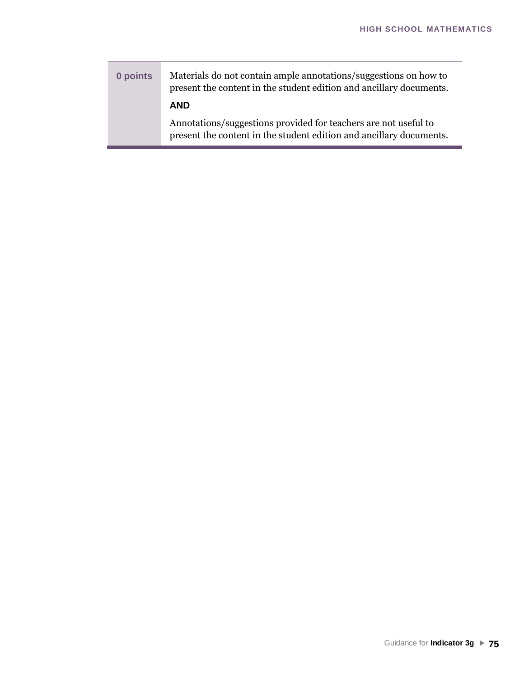**0 points** Materials do not contain ample annotations/suggestions on how to present the content in the student edition and ancillary documents. **AND** Annotations/suggestions provided for teachers are not useful to present the content in the student edition and ancillary documents.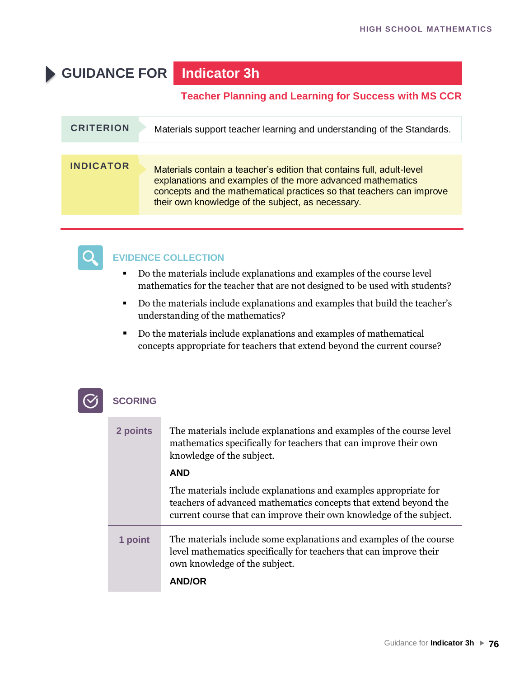# **GUIDANCE FOR Indicator 3h**

#### **Teacher Planning and Learning for Success with MS CCR**

| <b>CRITERION</b> | Materials support teacher learning and understanding of the Standards.                                                                                                                                                                                           |
|------------------|------------------------------------------------------------------------------------------------------------------------------------------------------------------------------------------------------------------------------------------------------------------|
|                  |                                                                                                                                                                                                                                                                  |
| <b>INDICATOR</b> | Materials contain a teacher's edition that contains full, adult-level<br>explanations and examples of the more advanced mathematics<br>concepts and the mathematical practices so that teachers can improve<br>their own knowledge of the subject, as necessary. |



### **EVIDENCE COLLECTION**

- Do the materials include explanations and examples of the course level mathematics for the teacher that are not designed to be used with students?
- Do the materials include explanations and examples that build the teacher's understanding of the mathematics?
- Do the materials include explanations and examples of mathematical concepts appropriate for teachers that extend beyond the current course?



| 2 points | The materials include explanations and examples of the course level<br>mathematics specifically for teachers that can improve their own<br>knowledge of the subject.                                       |
|----------|------------------------------------------------------------------------------------------------------------------------------------------------------------------------------------------------------------|
|          | <b>AND</b>                                                                                                                                                                                                 |
|          | The materials include explanations and examples appropriate for<br>teachers of advanced mathematics concepts that extend beyond the<br>current course that can improve their own knowledge of the subject. |
| 1 point  | The materials include some explanations and examples of the course<br>level mathematics specifically for teachers that can improve their<br>own knowledge of the subject.                                  |
|          | <b>AND/OR</b>                                                                                                                                                                                              |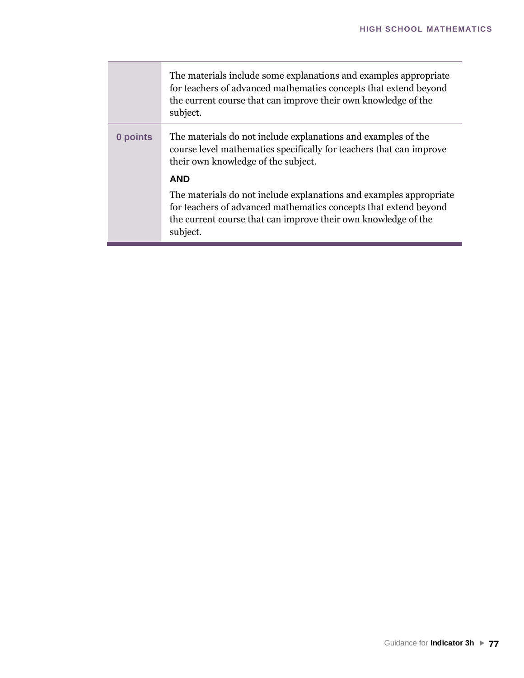|          | The materials include some explanations and examples appropriate<br>for teachers of advanced mathematics concepts that extend beyond<br>the current course that can improve their own knowledge of the<br>subject.   |
|----------|----------------------------------------------------------------------------------------------------------------------------------------------------------------------------------------------------------------------|
| 0 points | The materials do not include explanations and examples of the<br>course level mathematics specifically for teachers that can improve<br>their own knowledge of the subject.                                          |
|          | <b>AND</b>                                                                                                                                                                                                           |
|          | The materials do not include explanations and examples appropriate<br>for teachers of advanced mathematics concepts that extend beyond<br>the current course that can improve their own knowledge of the<br>subject. |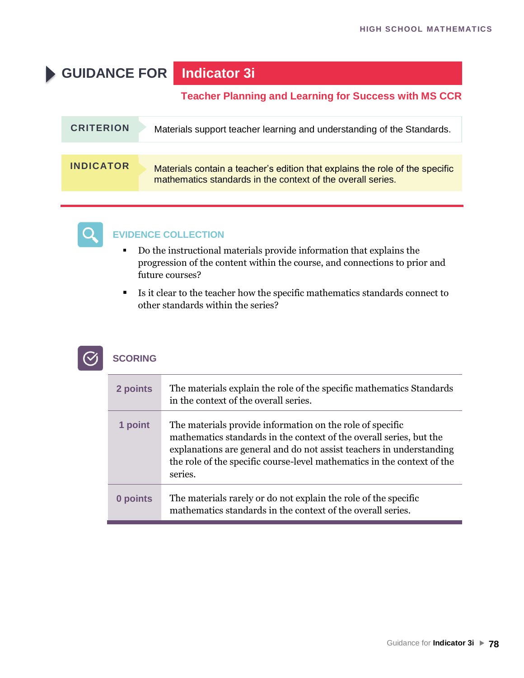# **GUIDANCE FOR Indicator 3i**

#### **Teacher Planning and Learning for Success with MS CCR**

| <b>CRITERION</b> | Materials support teacher learning and understanding of the Standards.                                                                      |
|------------------|---------------------------------------------------------------------------------------------------------------------------------------------|
|                  |                                                                                                                                             |
| <b>INDICATOR</b> | Materials contain a teacher's edition that explains the role of the specific<br>mathematics standards in the context of the overall series. |



### **EVIDENCE COLLECTION**

- Do the instructional materials provide information that explains the progression of the content within the course, and connections to prior and future courses?
- Is it clear to the teacher how the specific mathematics standards connect to other standards within the series?



| 2 points | The materials explain the role of the specific mathematics Standards<br>in the context of the overall series.                                                                                                                                                                                  |
|----------|------------------------------------------------------------------------------------------------------------------------------------------------------------------------------------------------------------------------------------------------------------------------------------------------|
| 1 point  | The materials provide information on the role of specific<br>mathematics standards in the context of the overall series, but the<br>explanations are general and do not assist teachers in understanding<br>the role of the specific course-level mathematics in the context of the<br>series. |
| 0 points | The materials rarely or do not explain the role of the specific<br>mathematics standards in the context of the overall series.                                                                                                                                                                 |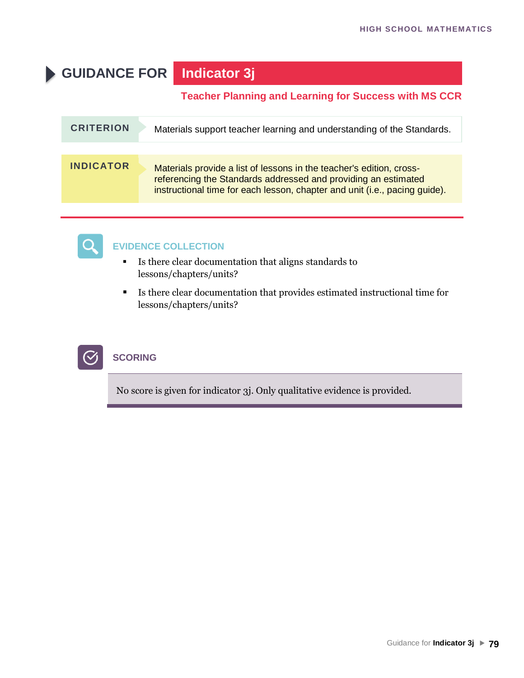# **GUIDANCE FOR Indicator 3j**

### **Teacher Planning and Learning for Success with MS CCR**

| <b>CRITERION</b> | Materials support teacher learning and understanding of the Standards.                                                                                                                                               |
|------------------|----------------------------------------------------------------------------------------------------------------------------------------------------------------------------------------------------------------------|
|                  |                                                                                                                                                                                                                      |
| <b>INDICATOR</b> | Materials provide a list of lessons in the teacher's edition, cross-<br>referencing the Standards addressed and providing an estimated<br>instructional time for each lesson, chapter and unit (i.e., pacing guide). |



## **EVIDENCE COLLECTION**

- Is there clear documentation that aligns standards to lessons/chapters/units?
- Is there clear documentation that provides estimated instructional time for lessons/chapters/units?



### **SCORING**

No score is given for indicator 3j. Only qualitative evidence is provided.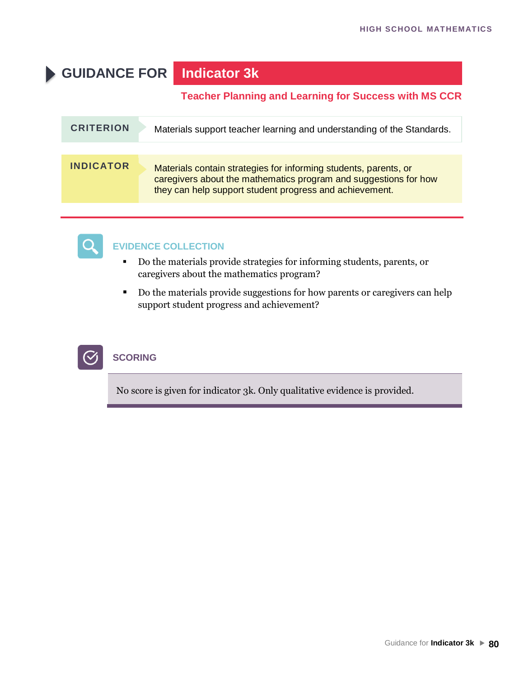# **GUIDANCE FOR Indicator 3k**

#### **Teacher Planning and Learning for Success with MS CCR**

| <b>CRITERION</b> | Materials support teacher learning and understanding of the Standards.                                                                                                                          |
|------------------|-------------------------------------------------------------------------------------------------------------------------------------------------------------------------------------------------|
|                  |                                                                                                                                                                                                 |
| <b>INDICATOR</b> | Materials contain strategies for informing students, parents, or<br>caregivers about the mathematics program and suggestions for how<br>they can help support student progress and achievement. |



### **EVIDENCE COLLECTION**

- Do the materials provide strategies for informing students, parents, or caregivers about the mathematics program?
- Do the materials provide suggestions for how parents or caregivers can help support student progress and achievement?



### **SCORING**

No score is given for indicator 3k. Only qualitative evidence is provided.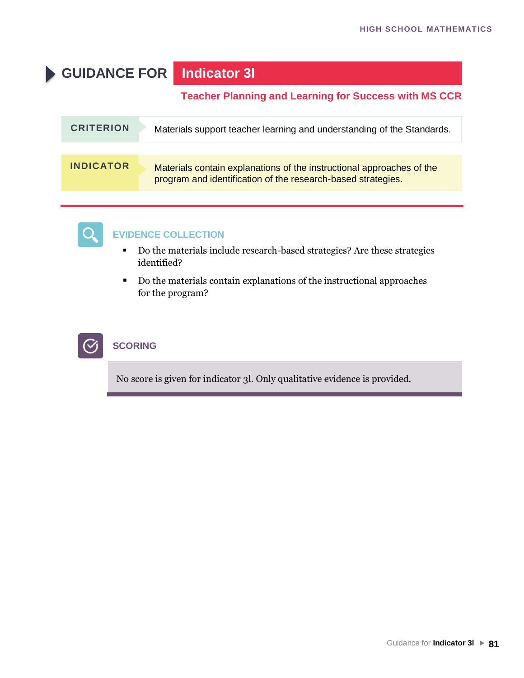# **GUIDANCE FOR Indicator 3l**

#### **Teacher Planning and Learning for Success with MS CCR**

| <b>CRITERION</b> | Materials support teacher learning and understanding of the Standards.                                                                |
|------------------|---------------------------------------------------------------------------------------------------------------------------------------|
|                  |                                                                                                                                       |
| <b>INDICATOR</b> | Materials contain explanations of the instructional approaches of the<br>program and identification of the research-based strategies. |



### **EVIDENCE COLLECTION**

- Do the materials include research-based strategies? Are these strategies identified?
- Do the materials contain explanations of the instructional approaches for the program?



#### **SCORING**

No score is given for indicator 3l. Only qualitative evidence is provided.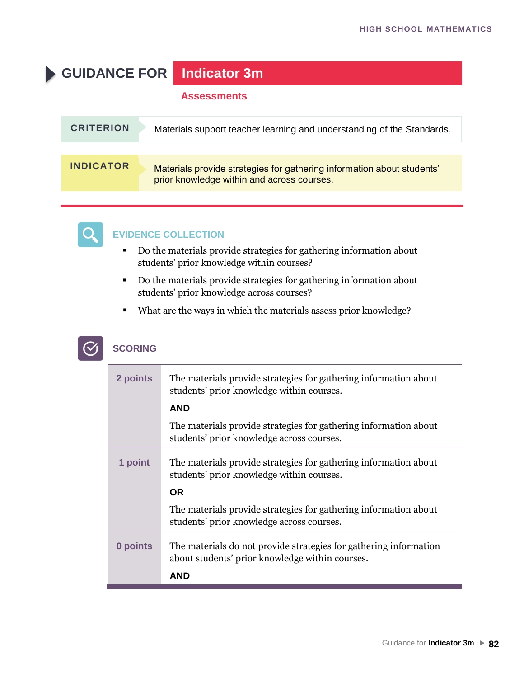# **GUIDANCE FOR Indicator 3m**

#### **Assessments**

| <b>CRITERION</b> | Materials support teacher learning and understanding of the Standards.                                               |
|------------------|----------------------------------------------------------------------------------------------------------------------|
|                  |                                                                                                                      |
| <b>INDICATOR</b> | Materials provide strategies for gathering information about students'<br>prior knowledge within and across courses. |



#### **EVIDENCE COLLECTION**

- Do the materials provide strategies for gathering information about students' prior knowledge within courses?
- Do the materials provide strategies for gathering information about students' prior knowledge across courses?
- What are the ways in which the materials assess prior knowledge?

| 2 points | The materials provide strategies for gathering information about<br>students' prior knowledge within courses.        |
|----------|----------------------------------------------------------------------------------------------------------------------|
|          | <b>AND</b>                                                                                                           |
|          | The materials provide strategies for gathering information about<br>students' prior knowledge across courses.        |
| 1 point  | The materials provide strategies for gathering information about<br>students' prior knowledge within courses.        |
|          | <b>OR</b>                                                                                                            |
|          | The materials provide strategies for gathering information about<br>students' prior knowledge across courses.        |
| 0 points | The materials do not provide strategies for gathering information<br>about students' prior knowledge within courses. |
|          | AND                                                                                                                  |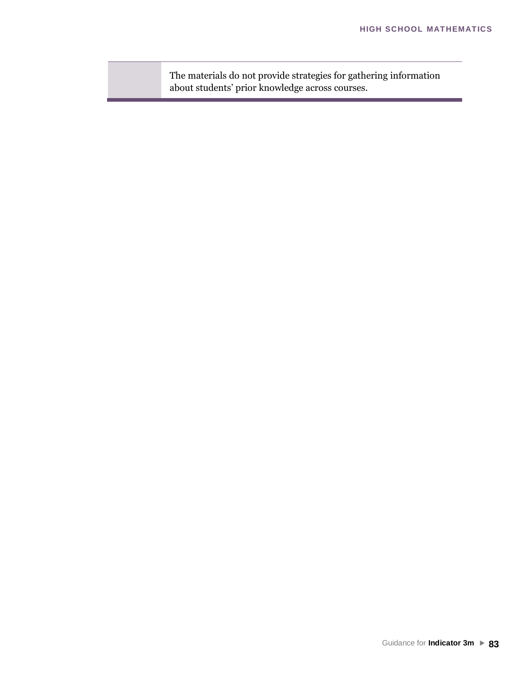The materials do not provide strategies for gathering information about students' prior knowledge across courses.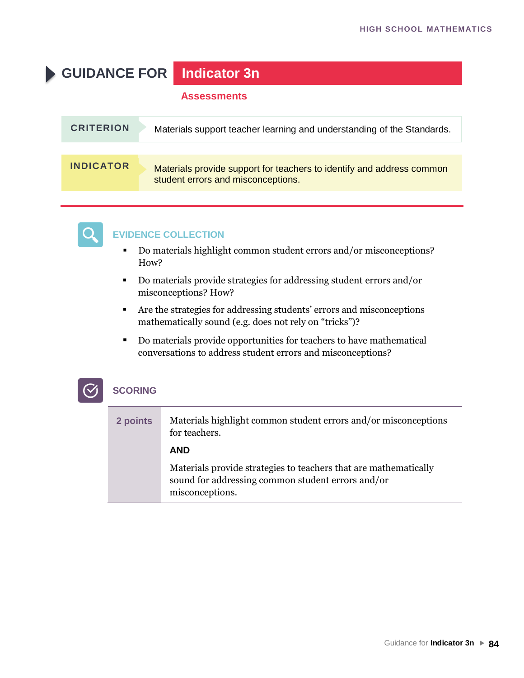# **GUIDANCE FOR Indicator 3n**

#### **Assessments**

| <b>CRITERION</b> | Materials support teacher learning and understanding of the Standards.                                      |
|------------------|-------------------------------------------------------------------------------------------------------------|
|                  |                                                                                                             |
| <b>INDICATOR</b> | Materials provide support for teachers to identify and address common<br>student errors and misconceptions. |



#### **EVIDENCE COLLECTION**

- Do materials highlight common student errors and/or misconceptions? How?
- Do materials provide strategies for addressing student errors and/or misconceptions? How?
- Are the strategies for addressing students' errors and misconceptions mathematically sound (e.g. does not rely on "tricks")?
- Do materials provide opportunities for teachers to have mathematical conversations to address student errors and misconceptions?

| 2 points | Materials highlight common student errors and/or misconceptions<br>for teachers.                                                         |
|----------|------------------------------------------------------------------------------------------------------------------------------------------|
|          | <b>AND</b>                                                                                                                               |
|          | Materials provide strategies to teachers that are mathematically<br>sound for addressing common student errors and/or<br>misconceptions. |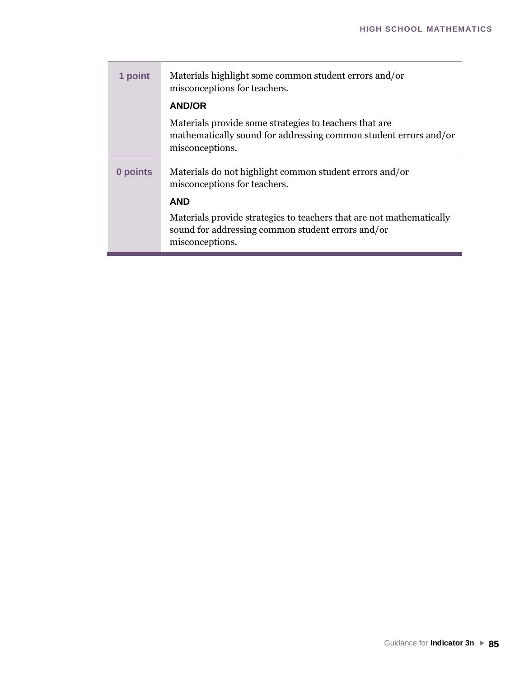| 1 point  | Materials highlight some common student errors and/or<br>misconceptions for teachers.                                                          |
|----------|------------------------------------------------------------------------------------------------------------------------------------------------|
|          | <b>AND/OR</b>                                                                                                                                  |
|          | Materials provide some strategies to teachers that are.<br>mathematically sound for addressing common student errors and/or<br>misconceptions. |
| 0 points | Materials do not highlight common student errors and/or<br>misconceptions for teachers.                                                        |
|          | <b>AND</b>                                                                                                                                     |
|          | Materials provide strategies to teachers that are not mathematically<br>sound for addressing common student errors and/or<br>misconceptions.   |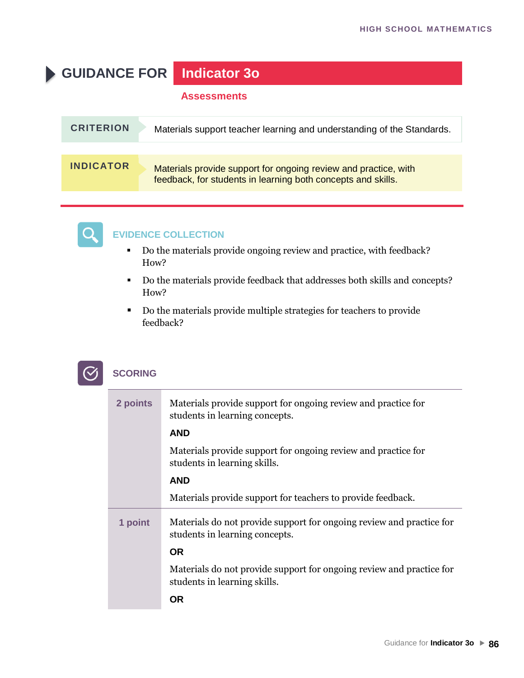# **GUIDANCE FOR Indicator 3o**

#### **Assessments**

| <b>CRITERION</b> | Materials support teacher learning and understanding of the Standards.                                                          |
|------------------|---------------------------------------------------------------------------------------------------------------------------------|
|                  |                                                                                                                                 |
| <b>INDICATOR</b> | Materials provide support for ongoing review and practice, with<br>feedback, for students in learning both concepts and skills. |



#### **EVIDENCE COLLECTION**

- Do the materials provide ongoing review and practice, with feedback? How?
- Do the materials provide feedback that addresses both skills and concepts? How?
- Do the materials provide multiple strategies for teachers to provide feedback?

| <b>SCORING</b> |
|----------------|
|----------------|

| 2 points | Materials provide support for ongoing review and practice for<br>students in learning concepts.        |
|----------|--------------------------------------------------------------------------------------------------------|
|          | <b>AND</b>                                                                                             |
|          | Materials provide support for ongoing review and practice for<br>students in learning skills.          |
|          | <b>AND</b>                                                                                             |
|          | Materials provide support for teachers to provide feedback.                                            |
| 1 point  | Materials do not provide support for ongoing review and practice for<br>students in learning concepts. |
|          | <b>OR</b>                                                                                              |
|          | Materials do not provide support for ongoing review and practice for<br>students in learning skills.   |
|          | 0R                                                                                                     |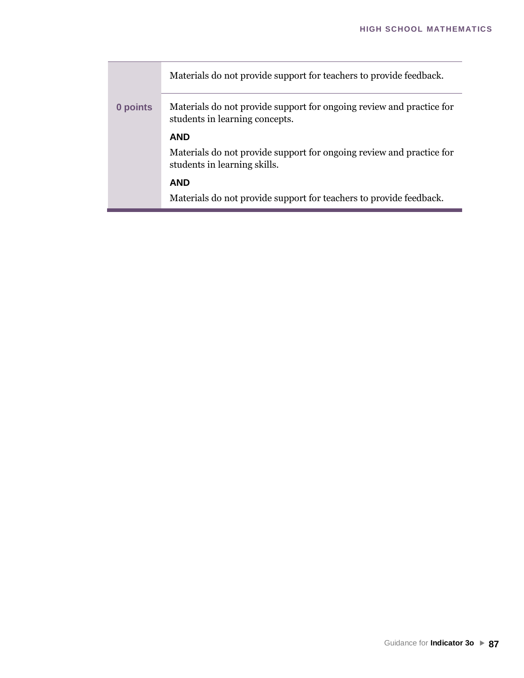|          | Materials do not provide support for teachers to provide feedback.                                     |
|----------|--------------------------------------------------------------------------------------------------------|
| 0 points | Materials do not provide support for ongoing review and practice for<br>students in learning concepts. |
|          | <b>AND</b>                                                                                             |
|          | Materials do not provide support for ongoing review and practice for<br>students in learning skills.   |
|          | <b>AND</b>                                                                                             |
|          | Materials do not provide support for teachers to provide feedback.                                     |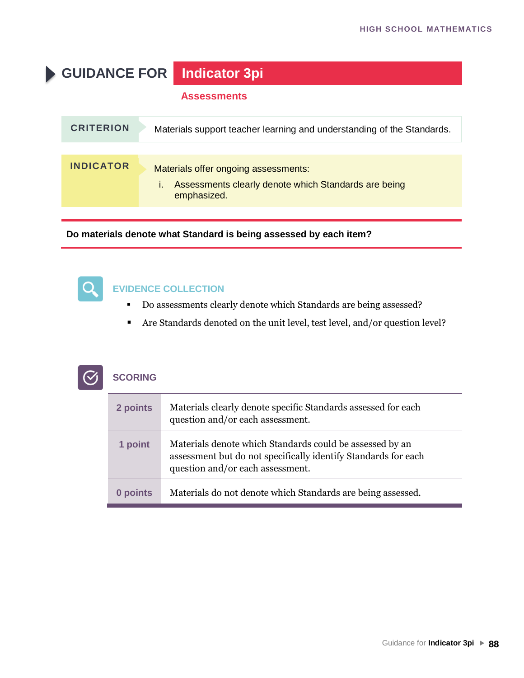**GUIDANCE FOR Indicator 3pi**

#### **Assessments**

| <b>CRITERION</b> | Materials support teacher learning and understanding of the Standards.                                      |
|------------------|-------------------------------------------------------------------------------------------------------------|
|                  |                                                                                                             |
| <b>INDICATOR</b> | Materials offer ongoing assessments:<br>Assessments clearly denote which Standards are being<br>emphasized. |

**Do materials denote what Standard is being assessed by each item?**



 $\mathcal{C}$ 

#### **EVIDENCE COLLECTION**

- Do assessments clearly denote which Standards are being assessed?
- Are Standards denoted on the unit level, test level, and/or question level?

| <b>SCORING</b> |
|----------------|

| 2 points | Materials clearly denote specific Standards assessed for each<br>question and/or each assessment.                                                              |
|----------|----------------------------------------------------------------------------------------------------------------------------------------------------------------|
| 1 point  | Materials denote which Standards could be assessed by an<br>assessment but do not specifically identify Standards for each<br>question and/or each assessment. |
| 0 points | Materials do not denote which Standards are being assessed.                                                                                                    |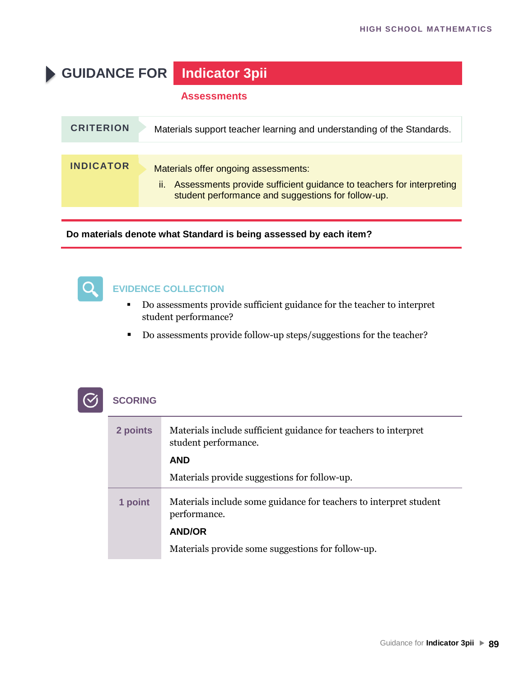# **GUIDANCE FOR Indicator 3pii**

#### **Assessments**

| <b>CRITERION</b> | Materials support teacher learning and understanding of the Standards.                                                                                                    |
|------------------|---------------------------------------------------------------------------------------------------------------------------------------------------------------------------|
|                  |                                                                                                                                                                           |
| <b>INDICATOR</b> | Materials offer ongoing assessments:<br>Assessments provide sufficient guidance to teachers for interpreting<br>ii.<br>student performance and suggestions for follow-up. |

**Do materials denote what Standard is being assessed by each item?**



#### **EVIDENCE COLLECTION**

- Do assessments provide sufficient guidance for the teacher to interpret student performance?
- Do assessments provide follow-up steps/suggestions for the teacher?

| 2 points | Materials include sufficient guidance for teachers to interpret<br>student performance. |
|----------|-----------------------------------------------------------------------------------------|
|          | <b>AND</b>                                                                              |
|          | Materials provide suggestions for follow-up.                                            |
| 1 point  | Materials include some guidance for teachers to interpret student<br>performance.       |
|          | <b>AND/OR</b>                                                                           |
|          | Materials provide some suggestions for follow-up.                                       |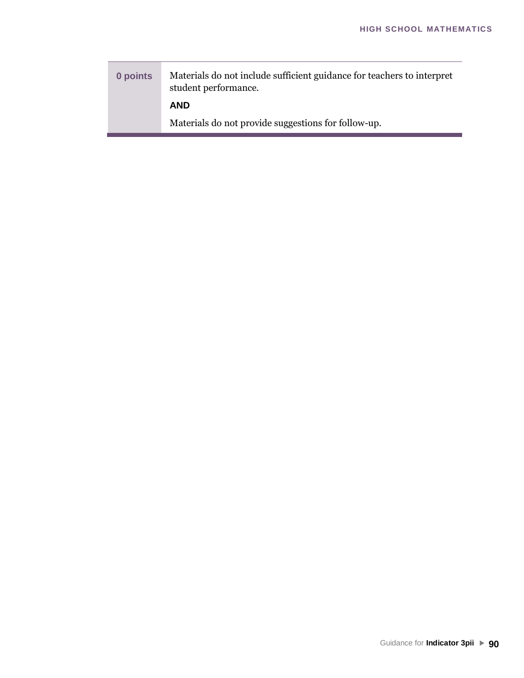**0 points** Materials do not include sufficient guidance for teachers to interpret student performance. **AND** Materials do not provide suggestions for follow-up.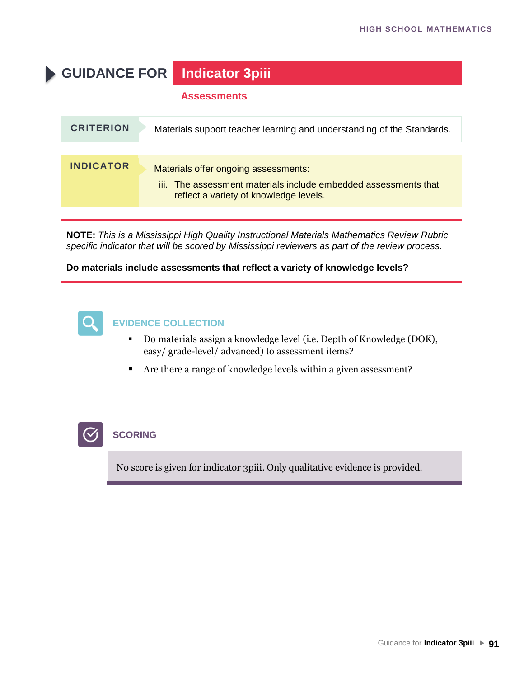# **GUIDANCE FOR Indicator 3piii**

#### **Assessments**

| <b>CRITERION</b> | Materials support teacher learning and understanding of the Standards.                                                                            |
|------------------|---------------------------------------------------------------------------------------------------------------------------------------------------|
|                  |                                                                                                                                                   |
| <b>INDICATOR</b> | Materials offer ongoing assessments:<br>iii. The assessment materials include embedded assessments that<br>reflect a variety of knowledge levels. |
|                  |                                                                                                                                                   |

**NOTE:** *This is a Mississippi High Quality Instructional Materials Mathematics Review Rubric specific indicator that will be scored by Mississippi reviewers as part of the review process.*

#### **Do materials include assessments that reflect a variety of knowledge levels?**



#### **EVIDENCE COLLECTION**

- Do materials assign a knowledge level (i.e. Depth of Knowledge (DOK), easy/ grade-level/ advanced) to assessment items?
- Are there a range of knowledge levels within a given assessment?



#### **SCORING**

No score is given for indicator 3piii. Only qualitative evidence is provided.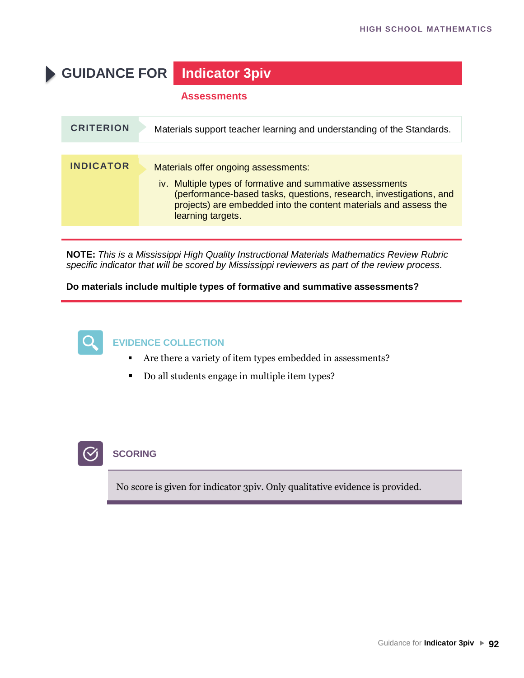**GUIDANCE FOR Indicator 3piv**

#### **Assessments**

| <b>CRITERION</b> | Materials support teacher learning and understanding of the Standards.                                                                                                                                                                                           |
|------------------|------------------------------------------------------------------------------------------------------------------------------------------------------------------------------------------------------------------------------------------------------------------|
|                  |                                                                                                                                                                                                                                                                  |
| <b>INDICATOR</b> | Materials offer ongoing assessments:<br>iv. Multiple types of formative and summative assessments<br>(performance-based tasks, questions, research, investigations, and<br>projects) are embedded into the content materials and assess the<br>learning targets. |
|                  |                                                                                                                                                                                                                                                                  |

**NOTE:** *This is a Mississippi High Quality Instructional Materials Mathematics Review Rubric specific indicator that will be scored by Mississippi reviewers as part of the review process.*

**Do materials include multiple types of formative and summative assessments?**



#### **EVIDENCE COLLECTION**

- Are there a variety of item types embedded in assessments?
- Do all students engage in multiple item types?



#### **SCORING**

No score is given for indicator 3piv. Only qualitative evidence is provided.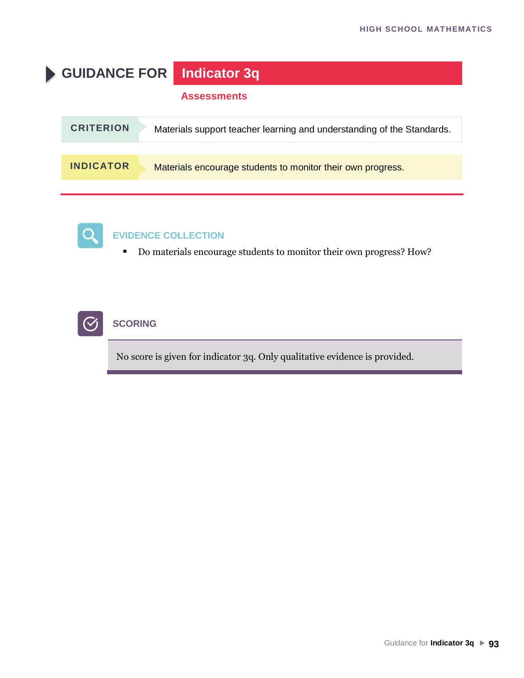



### **EVIDENCE COLLECTION**

■ Do materials encourage students to monitor their own progress? How?



### **SCORING**

No score is given for indicator 3q. Only qualitative evidence is provided.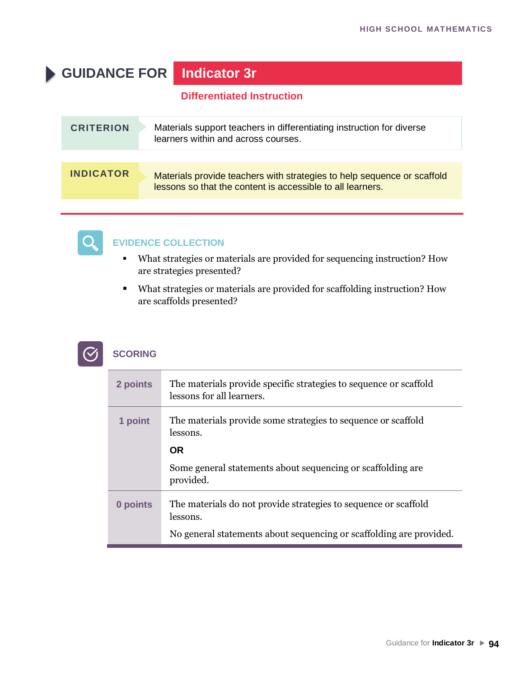# **GUIDANCE FOR Indicator 3r**

#### **Differentiated Instruction**

| <b>CRITERION</b> | Materials support teachers in differentiating instruction for diverse<br>learners within and across courses.                          |
|------------------|---------------------------------------------------------------------------------------------------------------------------------------|
|                  |                                                                                                                                       |
| <b>INDICATOR</b> | Materials provide teachers with strategies to help sequence or scaffold<br>lessons so that the content is accessible to all learners. |



#### **EVIDENCE COLLECTION**

- What strategies or materials are provided for sequencing instruction? How are strategies presented?
- What strategies or materials are provided for scaffolding instruction? How are scaffolds presented?



| 2 points | The materials provide specific strategies to sequence or scaffold<br>lessons for all learners. |
|----------|------------------------------------------------------------------------------------------------|
| 1 point  | The materials provide some strategies to sequence or scaffold<br>lessons.                      |
|          | <b>OR</b>                                                                                      |
|          | Some general statements about sequencing or scaffolding are.<br>provided.                      |
| 0 points | The materials do not provide strategies to sequence or scaffold<br>lessons.                    |
|          | No general statements about sequencing or scaffolding are provided.                            |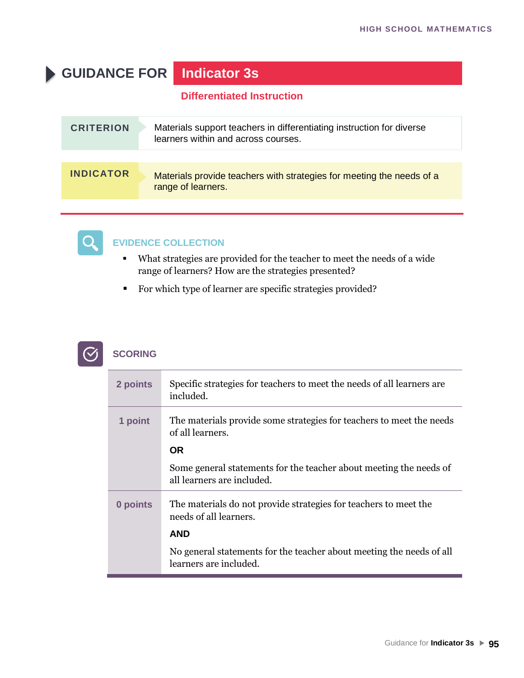# **GUIDANCE FOR Indicator 3s**

### **Differentiated Instruction**

| <b>CRITERION</b> | Materials support teachers in differentiating instruction for diverse<br>learners within and across courses. |
|------------------|--------------------------------------------------------------------------------------------------------------|
|                  |                                                                                                              |
| <b>INDICATOR</b> | Materials provide teachers with strategies for meeting the needs of a<br>range of learners.                  |



#### **EVIDENCE COLLECTION**

- What strategies are provided for the teacher to meet the needs of a wide range of learners? How are the strategies presented?
- For which type of learner are specific strategies provided?



| 2 points | Specific strategies for teachers to meet the needs of all learners are<br>included.              |
|----------|--------------------------------------------------------------------------------------------------|
| 1 point  | The materials provide some strategies for teachers to meet the needs<br>of all learners.         |
|          | <b>OR</b>                                                                                        |
|          | Some general statements for the teacher about meeting the needs of<br>all learners are included. |
| 0 points | The materials do not provide strategies for teachers to meet the<br>needs of all learners.       |
|          | <b>AND</b>                                                                                       |
|          | No general statements for the teacher about meeting the needs of all<br>learners are included.   |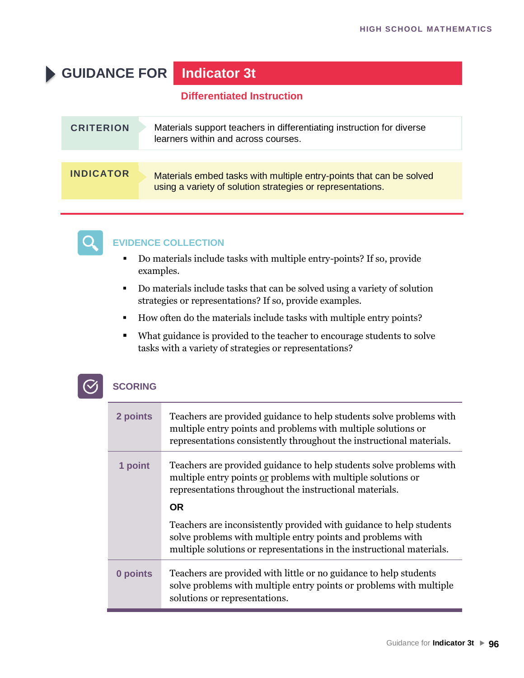# **GUIDANCE FOR Indicator 3t**

#### **Differentiated Instruction**

| <b>CRITERION</b> | Materials support teachers in differentiating instruction for diverse<br>learners within and across courses.                      |
|------------------|-----------------------------------------------------------------------------------------------------------------------------------|
|                  |                                                                                                                                   |
| <b>INDICATOR</b> | Materials embed tasks with multiple entry-points that can be solved<br>using a variety of solution strategies or representations. |



#### **EVIDENCE COLLECTION**

- Do materials include tasks with multiple entry-points? If so, provide examples.
- Do materials include tasks that can be solved using a variety of solution strategies or representations? If so, provide examples.
- How often do the materials include tasks with multiple entry points?
- What guidance is provided to the teacher to encourage students to solve tasks with a variety of strategies or representations?

| 2 points | Teachers are provided guidance to help students solve problems with<br>multiple entry points and problems with multiple solutions or<br>representations consistently throughout the instructional materials. |
|----------|--------------------------------------------------------------------------------------------------------------------------------------------------------------------------------------------------------------|
| 1 point  | Teachers are provided guidance to help students solve problems with<br>multiple entry points or problems with multiple solutions or<br>representations throughout the instructional materials.<br><b>OR</b>  |
|          | Teachers are inconsistently provided with guidance to help students<br>solve problems with multiple entry points and problems with<br>multiple solutions or representations in the instructional materials.  |
| 0 points | Teachers are provided with little or no guidance to help students<br>solve problems with multiple entry points or problems with multiple<br>solutions or representations.                                    |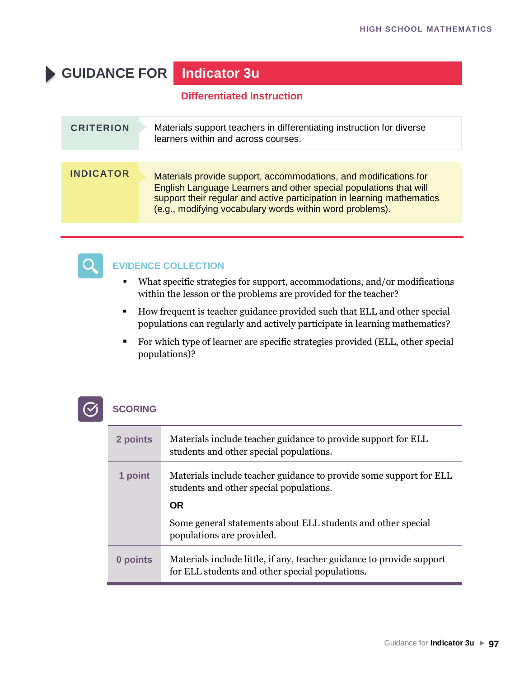# **GUIDANCE FOR Indicator 3u**

#### **Differentiated Instruction**

| <b>CRITERION</b> | Materials support teachers in differentiating instruction for diverse<br>learners within and across courses.                                                                                                                                                                |
|------------------|-----------------------------------------------------------------------------------------------------------------------------------------------------------------------------------------------------------------------------------------------------------------------------|
| <b>INDICATOR</b> | Materials provide support, accommodations, and modifications for<br>English Language Learners and other special populations that will<br>support their regular and active participation in learning mathematics<br>(e.g., modifying vocabulary words within word problems). |



### **EVIDENCE COLLECTION**

- What specific strategies for support, accommodations, and/or modifications within the lesson or the problems are provided for the teacher?
- How frequent is teacher guidance provided such that ELL and other special populations can regularly and actively participate in learning mathematics?
- For which type of learner are specific strategies provided (ELL, other special populations)?

| 2 points | Materials include teacher guidance to provide support for ELL<br>students and other special populations.                 |
|----------|--------------------------------------------------------------------------------------------------------------------------|
| 1 point  | Materials include teacher guidance to provide some support for ELL<br>students and other special populations.            |
|          | <b>OR</b>                                                                                                                |
|          | Some general statements about ELL students and other special<br>populations are provided.                                |
| 0 points | Materials include little, if any, teacher guidance to provide support<br>for ELL students and other special populations. |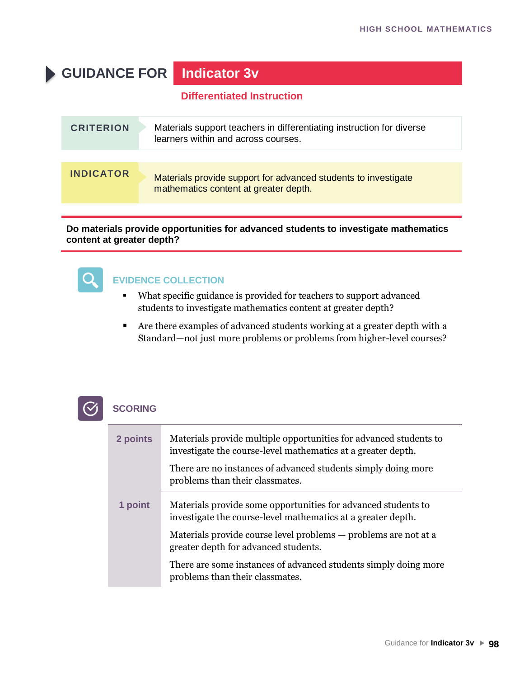# **GUIDANCE FOR Indicator 3v**

#### **Differentiated Instruction**

| <b>CRITERION</b> | Materials support teachers in differentiating instruction for diverse<br>learners within and across courses. |
|------------------|--------------------------------------------------------------------------------------------------------------|
|                  |                                                                                                              |
| <b>INDICATOR</b> | Materials provide support for advanced students to investigate<br>mathematics content at greater depth.      |

#### **Do materials provide opportunities for advanced students to investigate mathematics content at greater depth?**



#### **EVIDENCE COLLECTION**

- What specific guidance is provided for teachers to support advanced students to investigate mathematics content at greater depth?
- Are there examples of advanced students working at a greater depth with a Standard—not just more problems or problems from higher-level courses?

| 2 points | Materials provide multiple opportunities for advanced students to<br>investigate the course-level mathematics at a greater depth. |
|----------|-----------------------------------------------------------------------------------------------------------------------------------|
|          | There are no instances of advanced students simply doing more<br>problems than their classmates.                                  |
| 1 point  | Materials provide some opportunities for advanced students to<br>investigate the course-level mathematics at a greater depth.     |
|          | Materials provide course level problems — problems are not at a<br>greater depth for advanced students.                           |
|          | There are some instances of advanced students simply doing more<br>problems than their classmates.                                |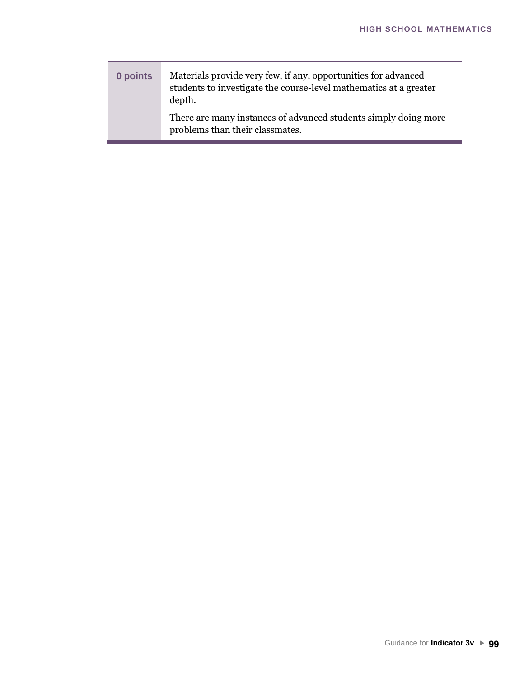| 0 points | Materials provide very few, if any, opportunities for advanced<br>students to investigate the course-level mathematics at a greater<br>depth. |
|----------|-----------------------------------------------------------------------------------------------------------------------------------------------|
|          | There are many instances of advanced students simply doing more<br>problems than their classmates.                                            |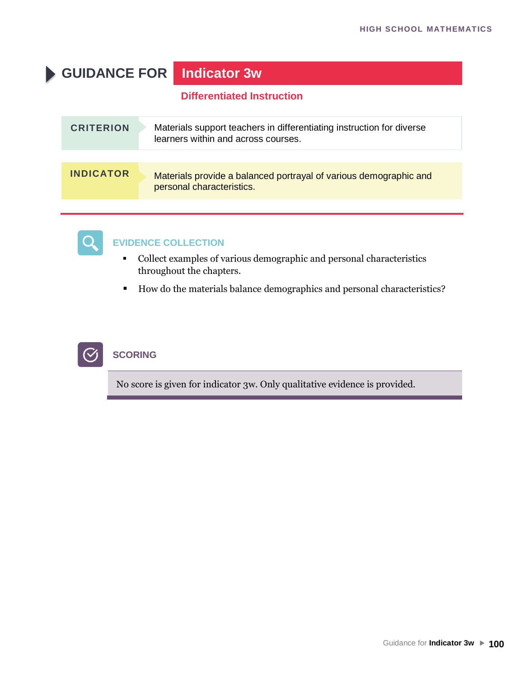# **GUIDANCE FOR Indicator 3w**

#### **Differentiated Instruction**

| <b>CRITERION</b> | Materials support teachers in differentiating instruction for diverse<br>learners within and across courses. |
|------------------|--------------------------------------------------------------------------------------------------------------|
|                  |                                                                                                              |
| <b>INDICATOR</b> | Materials provide a balanced portrayal of various demographic and<br>personal characteristics.               |



#### **EVIDENCE COLLECTION**

- Collect examples of various demographic and personal characteristics throughout the chapters.
- How do the materials balance demographics and personal characteristics?



### **SCORING**

No score is given for indicator 3w. Only qualitative evidence is provided.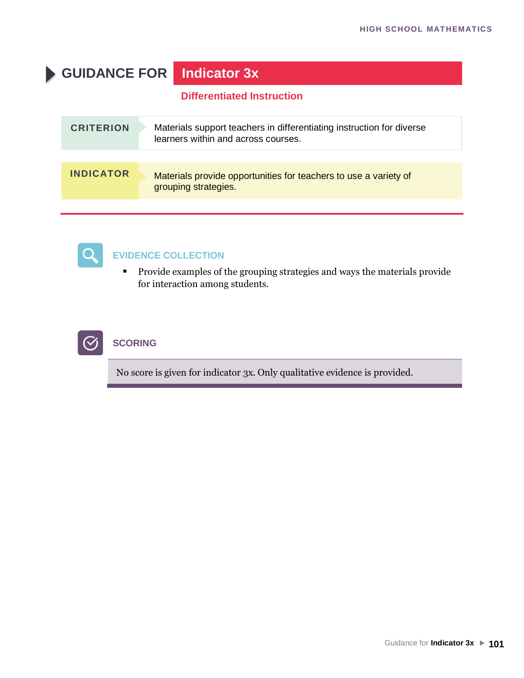# **GUIDANCE FOR Indicator 3x**

### **Differentiated Instruction**

| <b>CRITERION</b> | Materials support teachers in differentiating instruction for diverse<br>learners within and across courses. |
|------------------|--------------------------------------------------------------------------------------------------------------|
|                  |                                                                                                              |
| <b>INDICATOR</b> | Materials provide opportunities for teachers to use a variety of<br>grouping strategies.                     |



#### **EVIDENCE COLLECTION**

▪ Provide examples of the grouping strategies and ways the materials provide for interaction among students.



### **SCORING**

No score is given for indicator 3x. Only qualitative evidence is provided.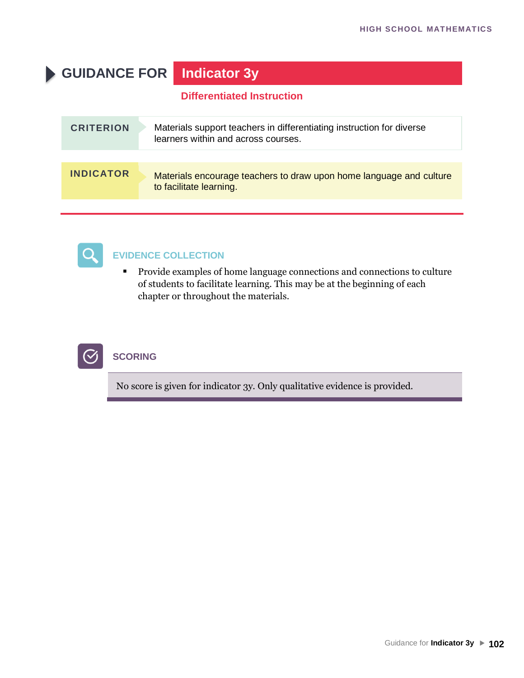# **GUIDANCE FOR Indicator 3y**

#### **Differentiated Instruction**

| <b>CRITERION</b> | Materials support teachers in differentiating instruction for diverse<br>learners within and across courses. |
|------------------|--------------------------------------------------------------------------------------------------------------|
|                  |                                                                                                              |
| <b>INDICATOR</b> | Materials encourage teachers to draw upon home language and culture<br>to facilitate learning.               |



#### **EVIDENCE COLLECTION**

▪ Provide examples of home language connections and connections to culture of students to facilitate learning. This may be at the beginning of each chapter or throughout the materials.



### **SCORING**

No score is given for indicator 3y. Only qualitative evidence is provided.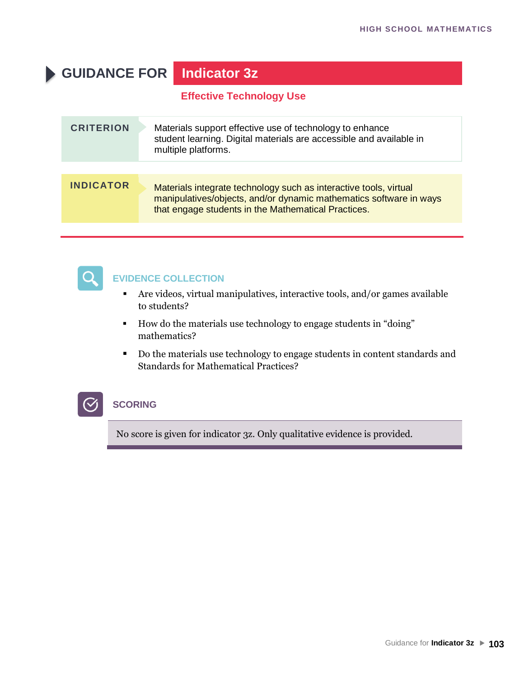# **GUIDANCE FOR Indicator 3z**

**Effective Technology Use**

| <b>CRITERION</b> | Materials support effective use of technology to enhance<br>student learning. Digital materials are accessible and available in<br>multiple platforms.                                         |
|------------------|------------------------------------------------------------------------------------------------------------------------------------------------------------------------------------------------|
|                  |                                                                                                                                                                                                |
| <b>INDICATOR</b> | Materials integrate technology such as interactive tools, virtual<br>manipulatives/objects, and/or dynamic mathematics software in ways<br>that engage students in the Mathematical Practices. |



#### **EVIDENCE COLLECTION**

- Are videos, virtual manipulatives, interactive tools, and/or games available to students?
- How do the materials use technology to engage students in "doing" mathematics?
- Do the materials use technology to engage students in content standards and Standards for Mathematical Practices?

### **SCORING**

No score is given for indicator 3z. Only qualitative evidence is provided.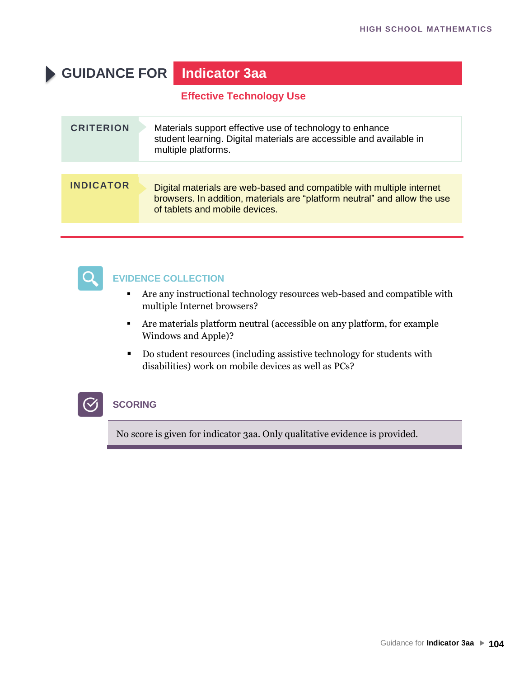# **GUIDANCE FOR Indicator 3aa**

**Effective Technology Use**

| <b>INDICATOR</b><br>Digital materials are web-based and compatible with multiple internet<br>browsers. In addition, materials are "platform neutral" and allow the use | <b>CRITERION</b> | Materials support effective use of technology to enhance<br>student learning. Digital materials are accessible and available in<br>multiple platforms. |
|------------------------------------------------------------------------------------------------------------------------------------------------------------------------|------------------|--------------------------------------------------------------------------------------------------------------------------------------------------------|
|                                                                                                                                                                        |                  |                                                                                                                                                        |
|                                                                                                                                                                        |                  | of tablets and mobile devices.                                                                                                                         |



#### **EVIDENCE COLLECTION**

- Are any instructional technology resources web-based and compatible with multiple Internet browsers?
- Are materials platform neutral (accessible on any platform, for example Windows and Apple)?
- Do student resources (including assistive technology for students with disabilities) work on mobile devices as well as PCs?

### **SCORING**

No score is given for indicator 3aa. Only qualitative evidence is provided.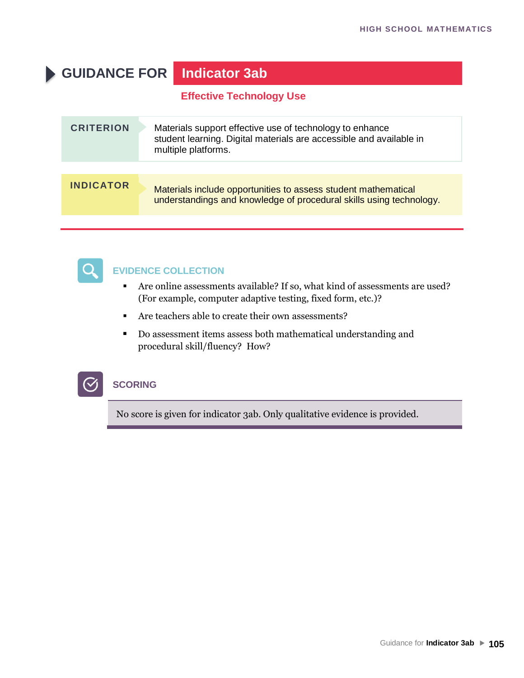# **GUIDANCE FOR Indicator 3ab**

**Effective Technology Use**

| <b>CRITERION</b> | Materials support effective use of technology to enhance<br>student learning. Digital materials are accessible and available in<br>multiple platforms. |
|------------------|--------------------------------------------------------------------------------------------------------------------------------------------------------|
|                  |                                                                                                                                                        |
| <b>INDICATOR</b> | Materials include opportunities to assess student mathematical<br>understandings and knowledge of procedural skills using technology.                  |



#### **EVIDENCE COLLECTION**

- Are online assessments available? If so, what kind of assessments are used? (For example, computer adaptive testing, fixed form, etc.)?
- Are teachers able to create their own assessments?
- Do assessment items assess both mathematical understanding and procedural skill/fluency? How?



#### **SCORING**

No score is given for indicator 3ab. Only qualitative evidence is provided.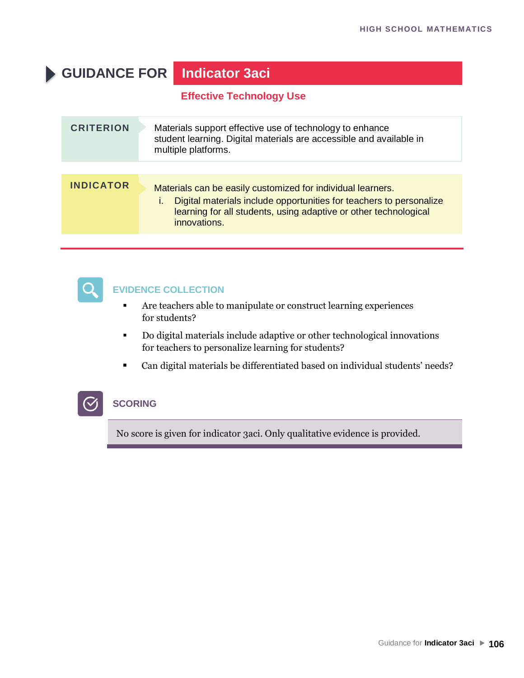# **GUIDANCE FOR Indicator 3aci**

**Effective Technology Use**

| <b>CRITERION</b> | Materials support effective use of technology to enhance<br>student learning. Digital materials are accessible and available in<br>multiple platforms.                                                                       |
|------------------|------------------------------------------------------------------------------------------------------------------------------------------------------------------------------------------------------------------------------|
| <b>INDICATOR</b> | Materials can be easily customized for individual learners.<br>Digital materials include opportunities for teachers to personalize<br>L.<br>learning for all students, using adaptive or other technological<br>innovations. |



#### **EVIDENCE COLLECTION**

- **EXECUTE:** Are teachers able to manipulate or construct learning experiences for students?
- Do digital materials include adaptive or other technological innovations for teachers to personalize learning for students?
- Can digital materials be differentiated based on individual students' needs?

#### **SCORING**

No score is given for indicator 3aci. Only qualitative evidence is provided.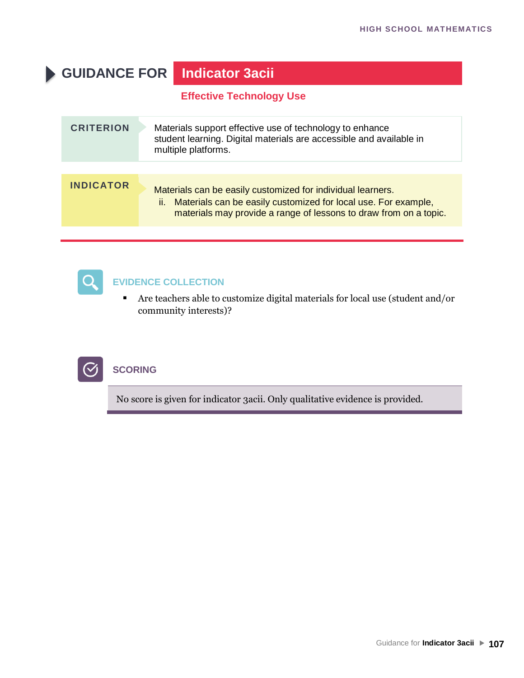# **GUIDANCE FOR Indicator 3acii**

**Effective Technology Use**

| <b>CRITERION</b> | Materials support effective use of technology to enhance<br>student learning. Digital materials are accessible and available in<br>multiple platforms.                                                    |
|------------------|-----------------------------------------------------------------------------------------------------------------------------------------------------------------------------------------------------------|
|                  |                                                                                                                                                                                                           |
| <b>INDICATOR</b> | Materials can be easily customized for individual learners.<br>Materials can be easily customized for local use. For example,<br>ii.<br>materials may provide a range of lessons to draw from on a topic. |



#### **EVIDENCE COLLECTION**

▪ Are teachers able to customize digital materials for local use (student and/or community interests)?



### **SCORING**

No score is given for indicator 3acii. Only qualitative evidence is provided.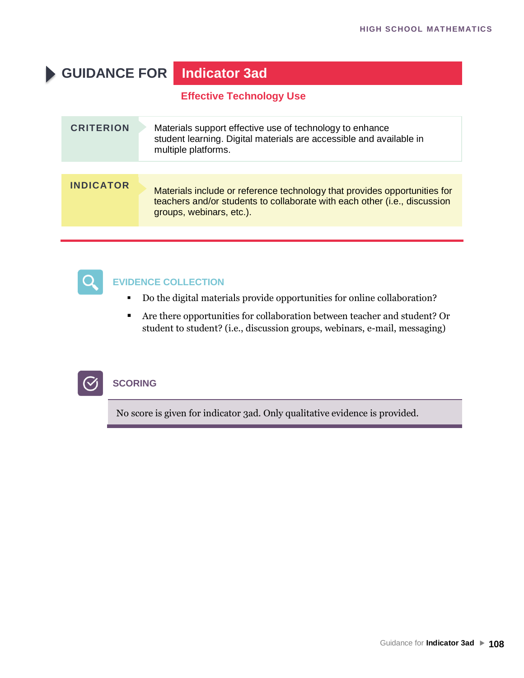# **GUIDANCE FOR Indicator 3ad**

**Effective Technology Use**

| <b>CRITERION</b> | Materials support effective use of technology to enhance<br>student learning. Digital materials are accessible and available in<br>multiple platforms.                             |
|------------------|------------------------------------------------------------------------------------------------------------------------------------------------------------------------------------|
|                  |                                                                                                                                                                                    |
| <b>INDICATOR</b> | Materials include or reference technology that provides opportunities for<br>teachers and/or students to collaborate with each other (i.e., discussion<br>groups, webinars, etc.). |
|                  |                                                                                                                                                                                    |



### **EVIDENCE COLLECTION**

- Do the digital materials provide opportunities for online collaboration?
- Are there opportunities for collaboration between teacher and student? Or student to student? (i.e., discussion groups, webinars, e-mail, messaging)



#### **SCORING**

No score is given for indicator 3ad. Only qualitative evidence is provided.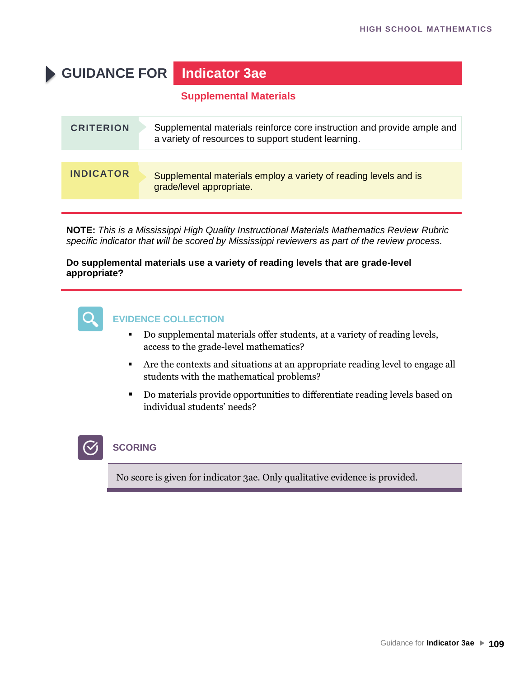# **GUIDANCE FOR Indicator 3ae**

### **Supplemental Materials**

| <b>CRITERION</b> | Supplemental materials reinforce core instruction and provide ample and<br>a variety of resources to support student learning. |
|------------------|--------------------------------------------------------------------------------------------------------------------------------|
|                  |                                                                                                                                |
| <b>INDICATOR</b> | Supplemental materials employ a variety of reading levels and is<br>grade/level appropriate.                                   |

**NOTE:** *This is a Mississippi High Quality Instructional Materials Mathematics Review Rubric specific indicator that will be scored by Mississippi reviewers as part of the review process.*

#### **Do supplemental materials use a variety of reading levels that are grade-level appropriate?**



## **EVIDENCE COLLECTION**

- Do supplemental materials offer students, at a variety of reading levels, access to the grade-level mathematics?
- Are the contexts and situations at an appropriate reading level to engage all students with the mathematical problems?
- Do materials provide opportunities to differentiate reading levels based on individual students' needs?



### **SCORING**

No score is given for indicator 3ae. Only qualitative evidence is provided.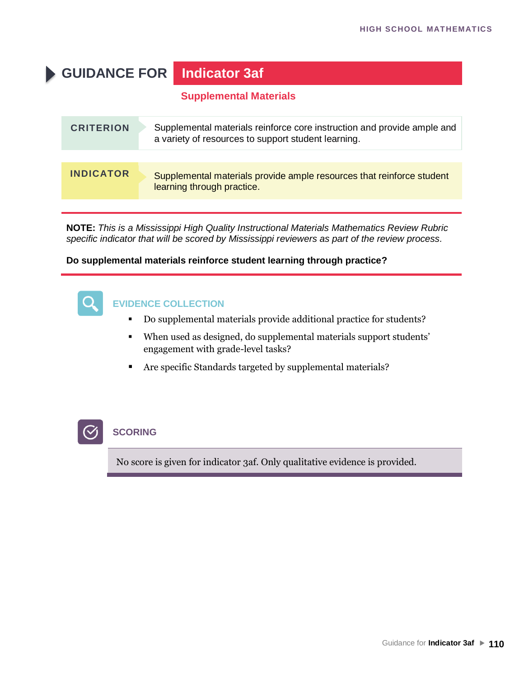# **GUIDANCE FOR Indicator 3af**

### **Supplemental Materials**

| <b>CRITERION</b> | Supplemental materials reinforce core instruction and provide ample and<br>a variety of resources to support student learning. |
|------------------|--------------------------------------------------------------------------------------------------------------------------------|
|                  |                                                                                                                                |
| <b>INDICATOR</b> | Supplemental materials provide ample resources that reinforce student<br>learning through practice.                            |

**NOTE:** *This is a Mississippi High Quality Instructional Materials Mathematics Review Rubric specific indicator that will be scored by Mississippi reviewers as part of the review process.*

#### **Do supplemental materials reinforce student learning through practice?**



### **EVIDENCE COLLECTION**

- Do supplemental materials provide additional practice for students?
- When used as designed, do supplemental materials support students' engagement with grade-level tasks?
- Are specific Standards targeted by supplemental materials?



### **SCORING**

No score is given for indicator 3af. Only qualitative evidence is provided.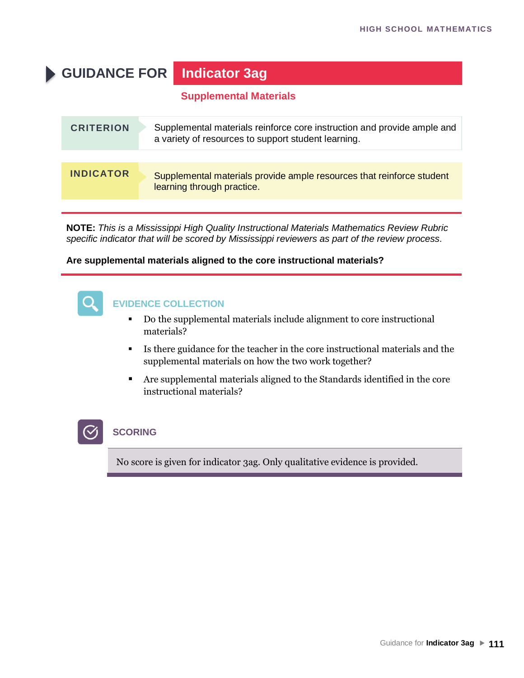# **GUIDANCE FOR Indicator 3ag**

### **Supplemental Materials**

| <b>CRITERION</b> | Supplemental materials reinforce core instruction and provide ample and<br>a variety of resources to support student learning. |
|------------------|--------------------------------------------------------------------------------------------------------------------------------|
|                  |                                                                                                                                |
| <b>INDICATOR</b> | Supplemental materials provide ample resources that reinforce student<br>learning through practice.                            |

**NOTE:** *This is a Mississippi High Quality Instructional Materials Mathematics Review Rubric specific indicator that will be scored by Mississippi reviewers as part of the review process.*

#### **Are supplemental materials aligned to the core instructional materials?**



### **EVIDENCE COLLECTION**

- Do the supplemental materials include alignment to core instructional materials?
- Is there guidance for the teacher in the core instructional materials and the supplemental materials on how the two work together?
- Are supplemental materials aligned to the Standards identified in the core instructional materials?

## **SCORING**

No score is given for indicator 3ag. Only qualitative evidence is provided.